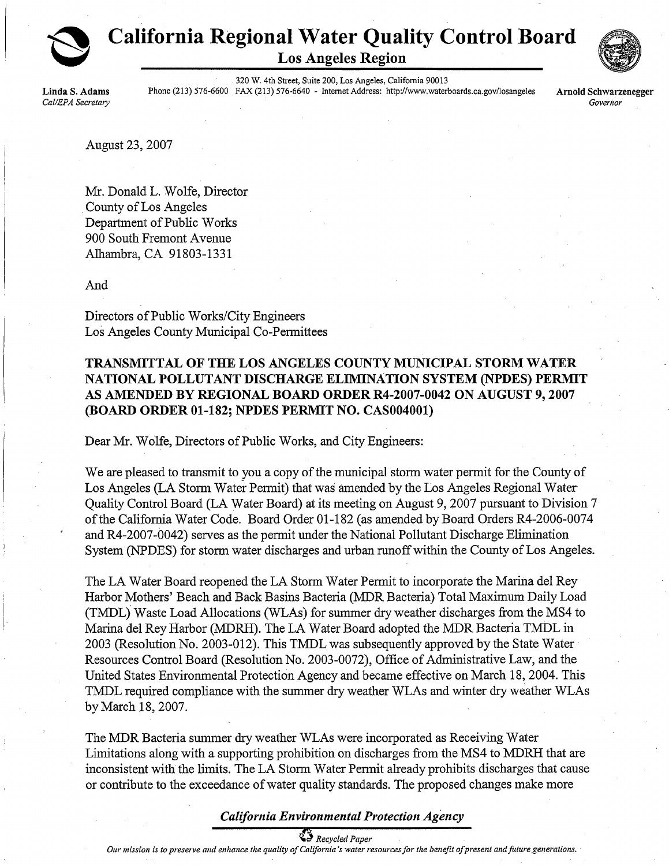

**Los Angeles Region** 



Linda S. Adams Cal/EPA Secretary

320 W. 4th Street, Suite 200, Los Angeles, California 90013 Phone (213) 576-6600 FAX (213) 576-6640 - Internet Address: http://www.waterboards.ca.gov/losangeles

**Arnold Schwarzenegger** Governor

August 23, 2007

Mr. Donald L. Wolfe, Director County of Los Angeles Department of Public Works 900 South Fremont Avenue Alhambra, CA 91803-1331

And

Directors of Public Works/City Engineers Los Angeles County Municipal Co-Permittees

## TRANSMITTAL OF THE LOS ANGELES COUNTY MUNICIPAL STORM WATER NATIONAL POLLUTANT DISCHARGE ELIMINATION SYSTEM (NPDES) PERMIT AS AMENDED BY REGIONAL BOARD ORDER R4-2007-0042 ON AUGUST 9, 2007 (BOARD ORDER 01-182; NPDES PERMIT NO. CAS004001)

Dear Mr. Wolfe, Directors of Public Works, and City Engineers:

We are pleased to transmit to you a copy of the municipal storm water permit for the County of Los Angeles (LA Storm Water Permit) that was amended by the Los Angeles Regional Water Quality Control Board (LA Water Board) at its meeting on August 9, 2007 pursuant to Division 7 of the California Water Code. Board Order 01-182 (as amended by Board Orders R4-2006-0074 and R4-2007-0042) serves as the permit under the National Pollutant Discharge Elimination System (NPDES) for storm water discharges and urban runoff within the County of Los Angeles.

The LA Water Board reopened the LA Storm Water Permit to incorporate the Marina del Rey Harbor Mothers' Beach and Back Basins Bacteria (MDR Bacteria) Total Maximum Daily Load (TMDL) Waste Load Allocations (WLAs) for summer dry weather discharges from the MS4 to Marina del Rey Harbor (MDRH). The LA Water Board adopted the MDR Bacteria TMDL in 2003 (Resolution No. 2003-012). This TMDL was subsequently approved by the State Water Resources Control Board (Resolution No. 2003-0072), Office of Administrative Law, and the United States Environmental Protection Agency and became effective on March 18, 2004. This TMDL required compliance with the summer dry weather WLAs and winter dry weather WLAs by March 18, 2007.

The MDR Bacteria summer dry weather WLAs were incorporated as Receiving Water Limitations along with a supporting prohibition on discharges from the MS4 to MDRH that are inconsistent with the limits. The LA Storm Water Permit already prohibits discharges that cause or contribute to the exceedance of water quality standards. The proposed changes make more

#### **California Environmental Protection Agency**

Our mission is to preserve and enhance the quality of California's water resources for the benefit of present and future generations.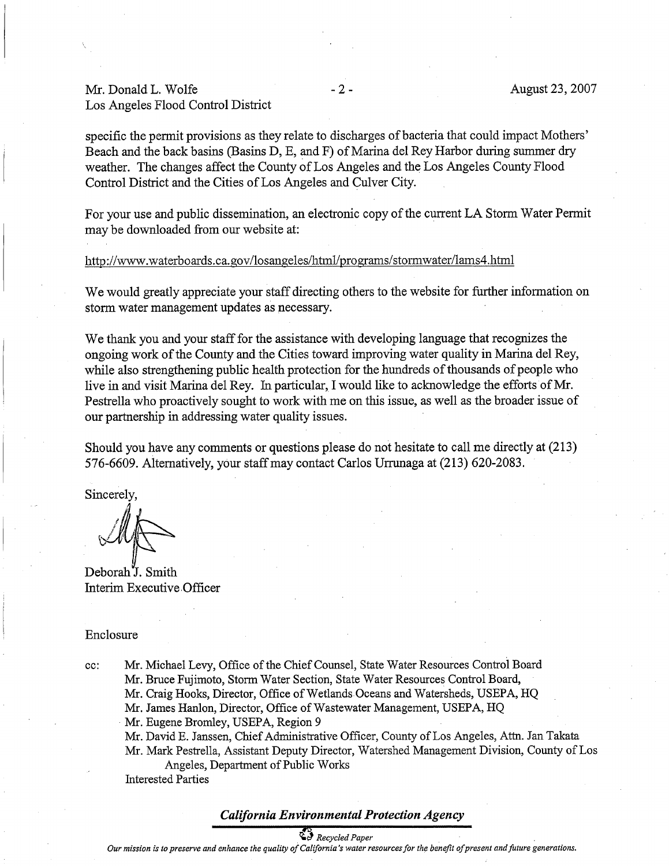specific the permit provisions as they relate to discharges of bacteria that could impact Mothers' Beach and the back basins (Basins D, E, and F) of Marina del Rey Harbor during summer dry weather. The changes affect the County of Los Angeles and the Los Angeles County Flood Control District and the Cities of Los Angeles and Culver City.

 $-2-$ 

For your use and public dissemination, an electronic copy of the current LA Storm Water Permit may be downloaded from our website at:

http://www.waterboards.ca.gov/losangeles/html/programs/stormwater/lams4.html

We would greatly appreciate your staff directing others to the website for further information on storm water management updates as necessary.

We thank you and your staff for the assistance with developing language that recognizes the ongoing work of the County and the Cities toward improving water quality in Marina del Rey, while also strengthening public health protection for the hundreds of thousands of people who live in and visit Marina del Rey. In particular, I would like to acknowledge the efforts of Mr. Pestrella who proactively sought to work with me on this issue, as well as the broader issue of our partnership in addressing water quality issues.

Should you have any comments or questions please do not hesitate to call me directly at (213) 576-6609. Alternatively, your staff may contact Carlos Urrunaga at (213) 620-2083.

Sincerely.

Deborah<sup>y</sup>. Smith Interim Executive Officer

Enclosure

cc:

Mr. Michael Levy, Office of the Chief Counsel, State Water Resources Control Board Mr. Bruce Fujimoto, Storm Water Section, State Water Resources Control Board, Mr. Craig Hooks, Director, Office of Wetlands Oceans and Watersheds, USEPA, HQ

Mr. James Hanlon, Director, Office of Wastewater Management, USEPA, HQ

Mr. Eugene Bromley, USEPA, Region 9

Mr. David E. Janssen, Chief Administrative Officer, County of Los Angeles, Attn. Jan Takata

Mr. Mark Pestrella, Assistant Deputy Director, Watershed Management Division, County of Los Angeles, Department of Public Works

**Interested Parties** 

# **California Environmental Protection Agency**

Our mission is to preserve and enhance the quality of California's water resources for the benefit of present and future generations.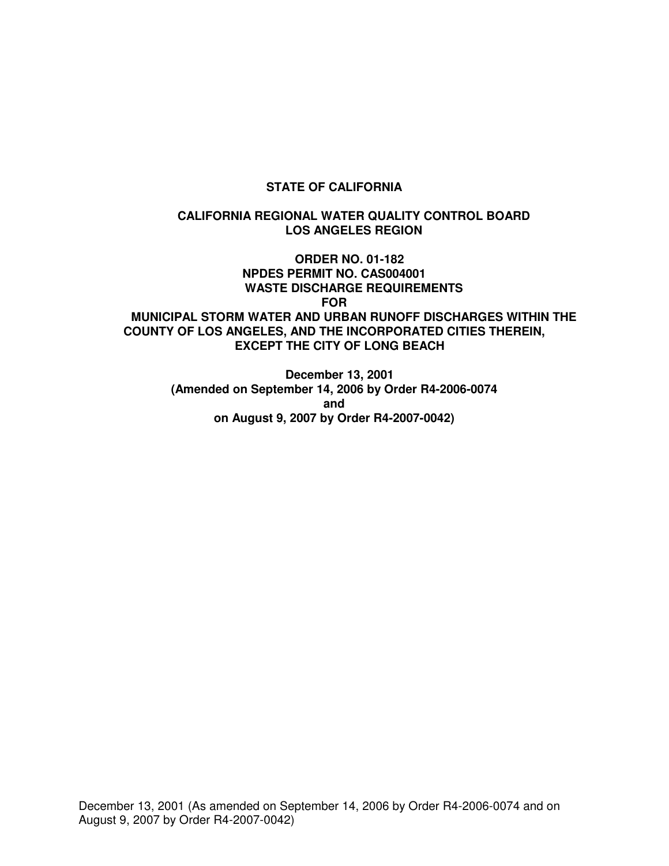### **STATE OF CALIFORNIA**

### **CALIFORNIA REGIONAL WATER QUALITY CONTROL BOARD LOS ANGELES REGION**

**ORDER NO. 01-182 NPDES PERMIT NO. CAS004001 WASTE DISCHARGE REQUIREMENTS FOR MUNICIPAL STORM WATER AND URBAN RUNOFF DISCHARGES WITHIN THE COUNTY OF LOS ANGELES, AND THE INCORPORATED CITIES THEREIN, EXCEPT THE CITY OF LONG BEACH**

> **December 13, 2001 (Amended on September 14, 2006 by Order R4-2006-0074 and on August 9, 2007 by Order R4-2007-0042)**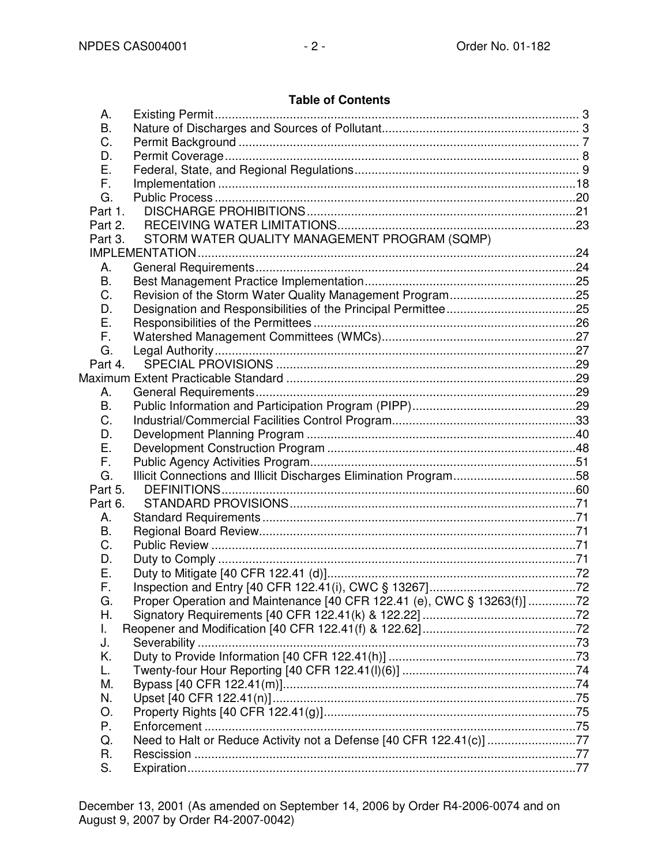# **Table of Contents**

| А.      |                                                                         |  |
|---------|-------------------------------------------------------------------------|--|
| B.      |                                                                         |  |
|         |                                                                         |  |
| C.      |                                                                         |  |
| D.      |                                                                         |  |
| Ε.      |                                                                         |  |
| F.      |                                                                         |  |
| G.      |                                                                         |  |
| Part 1. |                                                                         |  |
| Part 2. |                                                                         |  |
| Part 3. | STORM WATER QUALITY MANAGEMENT PROGRAM (SQMP)                           |  |
|         |                                                                         |  |
| А.      |                                                                         |  |
| В.      |                                                                         |  |
| C.      |                                                                         |  |
|         |                                                                         |  |
| D.      |                                                                         |  |
| Е.      |                                                                         |  |
| F.      |                                                                         |  |
| G.      |                                                                         |  |
| Part 4. |                                                                         |  |
|         |                                                                         |  |
| А.      |                                                                         |  |
| В.      |                                                                         |  |
| C.      |                                                                         |  |
| D.      |                                                                         |  |
| Ε.      |                                                                         |  |
| F.      |                                                                         |  |
| G.      |                                                                         |  |
| Part 5. |                                                                         |  |
| Part 6. |                                                                         |  |
| А.      |                                                                         |  |
|         |                                                                         |  |
| В.      |                                                                         |  |
| C.      |                                                                         |  |
| D.      |                                                                         |  |
| Е.      |                                                                         |  |
| F.      |                                                                         |  |
| G.      | Proper Operation and Maintenance [40 CFR 122.41 (e), CWC § 13263(f)] 72 |  |
| Η.      |                                                                         |  |
| L.      |                                                                         |  |
| J.      | Severability                                                            |  |
| Κ.      |                                                                         |  |
| L.      |                                                                         |  |
| М.      |                                                                         |  |
| N.      |                                                                         |  |
| О.      |                                                                         |  |
| Р.      |                                                                         |  |
| Q.      | Need to Halt or Reduce Activity not a Defense [40 CFR 122.41(c)] 77     |  |
| R.      |                                                                         |  |
| S.      |                                                                         |  |
|         |                                                                         |  |

December 13, 2001 (As amended on September 14, 2006 by Order R4-2006-0074 and on August 9, 2007 by Order R4-2007-0042)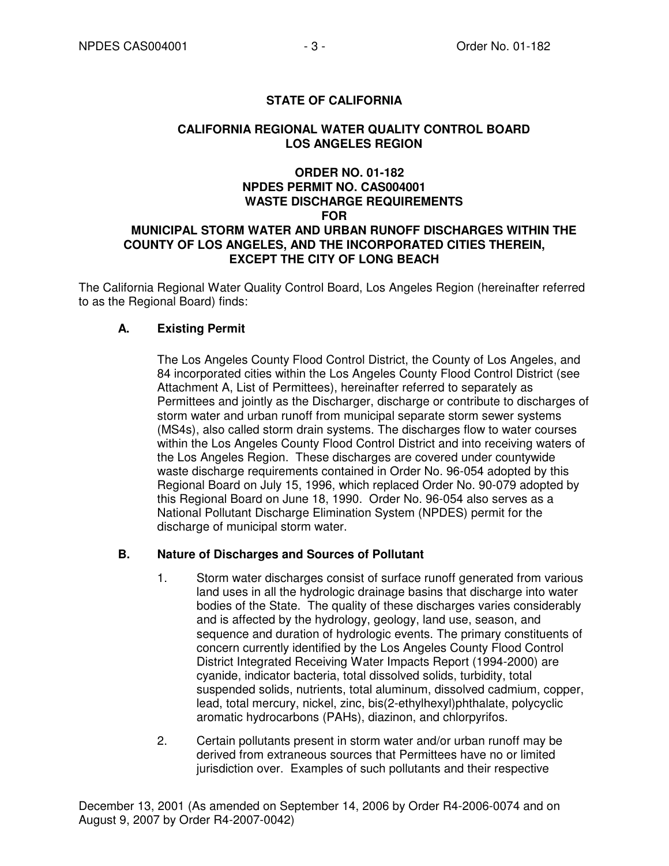# **STATE OF CALIFORNIA**

### **CALIFORNIA REGIONAL WATER QUALITY CONTROL BOARD LOS ANGELES REGION**

#### **ORDER NO. 01-182 NPDES PERMIT NO. CAS004001 WASTE DISCHARGE REQUIREMENTS FOR MUNICIPAL STORM WATER AND URBAN RUNOFF DISCHARGES WITHIN THE COUNTY OF LOS ANGELES, AND THE INCORPORATED CITIES THEREIN, EXCEPT THE CITY OF LONG BEACH**

The California Regional Water Quality Control Board, Los Angeles Region (hereinafter referred to as the Regional Board) finds:

### **A. Existing Permit**

The Los Angeles County Flood Control District, the County of Los Angeles, and 84 incorporated cities within the Los Angeles County Flood Control District (see Attachment A, List of Permittees), hereinafter referred to separately as Permittees and jointly as the Discharger, discharge or contribute to discharges of storm water and urban runoff from municipal separate storm sewer systems (MS4s), also called storm drain systems. The discharges flow to water courses within the Los Angeles County Flood Control District and into receiving waters of the Los Angeles Region. These discharges are covered under countywide waste discharge requirements contained in Order No. 96-054 adopted by this Regional Board on July 15, 1996, which replaced Order No. 90-079 adopted by this Regional Board on June 18, 1990. Order No. 96-054 also serves as a National Pollutant Discharge Elimination System (NPDES) permit for the discharge of municipal storm water.

#### **B. Nature of Discharges and Sources of Pollutant**

- 1. Storm water discharges consist of surface runoff generated from various land uses in all the hydrologic drainage basins that discharge into water bodies of the State. The quality of these discharges varies considerably and is affected by the hydrology, geology, land use, season, and sequence and duration of hydrologic events. The primary constituents of concern currently identified by the Los Angeles County Flood Control District Integrated Receiving Water Impacts Report (1994-2000) are cyanide, indicator bacteria, total dissolved solids, turbidity, total suspended solids, nutrients, total aluminum, dissolved cadmium, copper, lead, total mercury, nickel, zinc, bis(2-ethylhexyl)phthalate, polycyclic aromatic hydrocarbons (PAHs), diazinon, and chlorpyrifos.
- 2. Certain pollutants present in storm water and/or urban runoff may be derived from extraneous sources that Permittees have no or limited jurisdiction over. Examples of such pollutants and their respective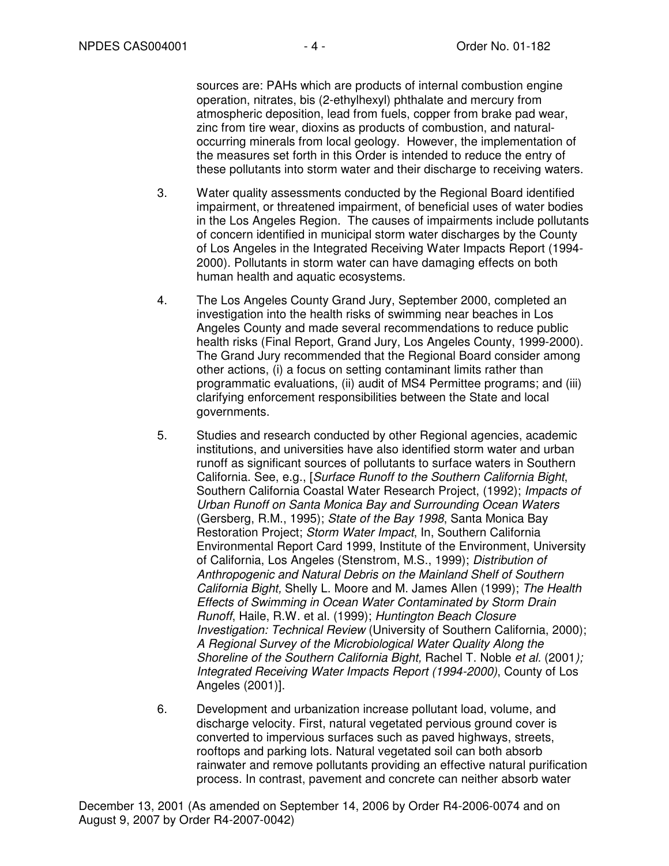sources are: PAHs which are products of internal combustion engine operation, nitrates, bis (2-ethylhexyl) phthalate and mercury from atmospheric deposition, lead from fuels, copper from brake pad wear, zinc from tire wear, dioxins as products of combustion, and naturaloccurring minerals from local geology. However, the implementation of the measures set forth in this Order is intended to reduce the entry of these pollutants into storm water and their discharge to receiving waters.

- 3. Water quality assessments conducted by the Regional Board identified impairment, or threatened impairment, of beneficial uses of water bodies in the Los Angeles Region. The causes of impairments include pollutants of concern identified in municipal storm water discharges by the County of Los Angeles in the Integrated Receiving Water Impacts Report (1994- 2000). Pollutants in storm water can have damaging effects on both human health and aquatic ecosystems.
- 4. The Los Angeles County Grand Jury, September 2000, completed an investigation into the health risks of swimming near beaches in Los Angeles County and made several recommendations to reduce public health risks (Final Report, Grand Jury, Los Angeles County, 1999-2000). The Grand Jury recommended that the Regional Board consider among other actions, (i) a focus on setting contaminant limits rather than programmatic evaluations, (ii) audit of MS4 Permittee programs; and (iii) clarifying enforcement responsibilities between the State and local governments.
- 5. Studies and research conducted by other Regional agencies, academic institutions, and universities have also identified storm water and urban runoff as significant sources of pollutants to surface waters in Southern California. See, e.g., [*Surface Runoff to the Southern California Bight*, Southern California Coastal Water Research Project, (1992); *Impacts of Urban Runoff on Santa Monica Bay and Surrounding Ocean Waters* (Gersberg, R.M., 1995); *State of the Bay 1998*, Santa Monica Bay Restoration Project; *Storm Water Impact*, In, Southern California Environmental Report Card 1999, Institute of the Environment, University of California, Los Angeles (Stenstrom, M.S., 1999); *Distribution of Anthropogenic and Natural Debris on the Mainland Shelf of Southern California Bight,* Shelly L. Moore and M. James Allen (1999); *The Health Effects of Swimming in Ocean Water Contaminated by Storm Drain Runoff*, Haile, R.W. et al. (1999); *Huntington Beach Closure Investigation: Technical Review* (University of Southern California, 2000); *A Regional Survey of the Microbiological Water Quality Along the Shoreline of the Southern California Bight,* Rachel T. Noble *et al.* (2001*); Integrated Receiving Water Impacts Report (1994-2000)*, County of Los Angeles (2001)].
- 6. Development and urbanization increase pollutant load, volume, and discharge velocity. First, natural vegetated pervious ground cover is converted to impervious surfaces such as paved highways, streets, rooftops and parking lots. Natural vegetated soil can both absorb rainwater and remove pollutants providing an effective natural purification process. In contrast, pavement and concrete can neither absorb water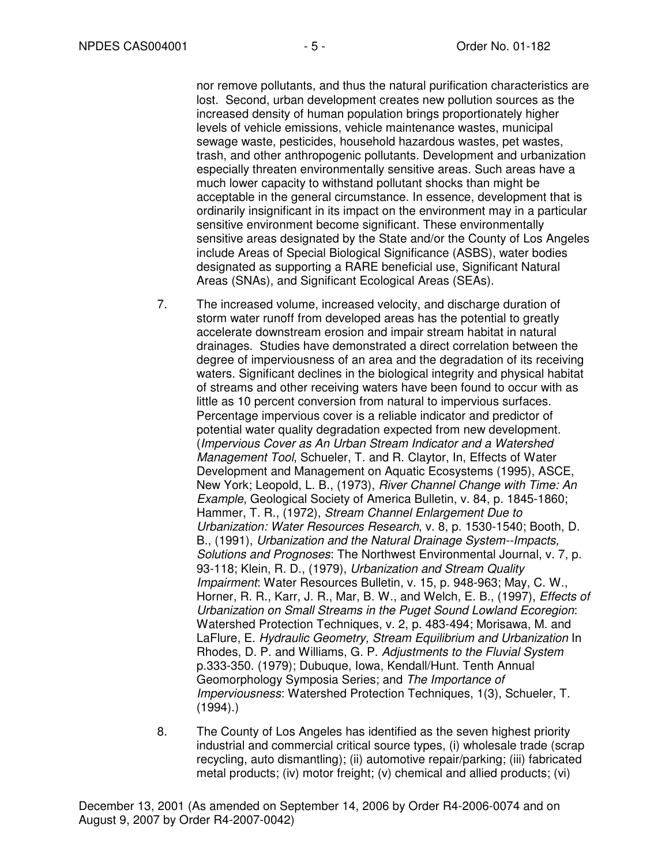nor remove pollutants, and thus the natural purification characteristics are lost. Second, urban development creates new pollution sources as the increased density of human population brings proportionately higher levels of vehicle emissions, vehicle maintenance wastes, municipal sewage waste, pesticides, household hazardous wastes, pet wastes, trash, and other anthropogenic pollutants. Development and urbanization especially threaten environmentally sensitive areas. Such areas have a much lower capacity to withstand pollutant shocks than might be acceptable in the general circumstance. In essence, development that is ordinarily insignificant in its impact on the environment may in a particular sensitive environment become significant. These environmentally sensitive areas designated by the State and/or the County of Los Angeles include Areas of Special Biological Significance (ASBS), water bodies designated as supporting a RARE beneficial use, Significant Natural Areas (SNAs), and Significant Ecological Areas (SEAs).

- 7. The increased volume, increased velocity, and discharge duration of storm water runoff from developed areas has the potential to greatly accelerate downstream erosion and impair stream habitat in natural drainages. Studies have demonstrated a direct correlation between the degree of imperviousness of an area and the degradation of its receiving waters. Significant declines in the biological integrity and physical habitat of streams and other receiving waters have been found to occur with as little as 10 percent conversion from natural to impervious surfaces. Percentage impervious cover is a reliable indicator and predictor of potential water quality degradation expected from new development. (*Impervious Cover as An Urban Stream Indicator and a Watershed Management Tool*, Schueler, T. and R. Claytor, In, Effects of Water Development and Management on Aquatic Ecosystems (1995), ASCE, New York; Leopold, L. B., (1973), *River Channel Change with Time: An Example*, Geological Society of America Bulletin, v. 84, p. 1845-1860; Hammer, T. R., (1972), *Stream Channel Enlargement Due to Urbanization: Water Resources Research*, v. 8, p. 1530-1540; Booth, D. B., (1991), *Urbanization and the Natural Drainage System--Impacts, Solutions and Prognoses*: The Northwest Environmental Journal, v. 7, p. 93-118; Klein, R. D., (1979), *Urbanization and Stream Quality Impairment*: Water Resources Bulletin, v. 15, p. 948-963; May, C. W., Horner, R. R., Karr, J. R., Mar, B. W., and Welch, E. B., (1997), *Effects of Urbanization on Small Streams in the Puget Sound Lowland Ecoregion*: Watershed Protection Techniques, v. 2, p. 483-494; Morisawa, M. and LaFlure, E. *Hydraulic Geometry, Stream Equilibrium and Urbanization* In Rhodes, D. P. and Williams, G. P. *Adjustments to the Fluvial System* p.333-350. (1979); Dubuque, Iowa, Kendall/Hunt. Tenth Annual Geomorphology Symposia Series; and *The Importance of Imperviousness*: Watershed Protection Techniques, 1(3), Schueler, T.  $(1994).$
- 8. The County of Los Angeles has identified as the seven highest priority industrial and commercial critical source types, (i) wholesale trade (scrap recycling, auto dismantling); (ii) automotive repair/parking; (iii) fabricated metal products; (iv) motor freight; (v) chemical and allied products; (vi)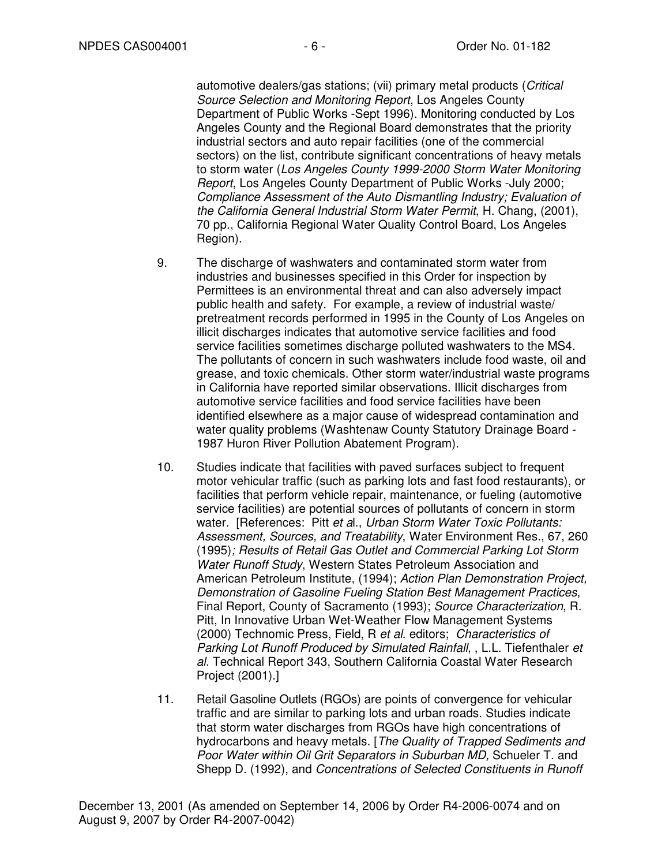automotive dealers/gas stations; (vii) primary metal products (*Critical Source Selection and Monitoring Report*, Los Angeles County Department of Public Works -Sept 1996). Monitoring conducted by Los Angeles County and the Regional Board demonstrates that the priority industrial sectors and auto repair facilities (one of the commercial sectors) on the list, contribute significant concentrations of heavy metals to storm water (*Los Angeles County 1999-2000 Storm Water Monitoring Report*, Los Angeles County Department of Public Works -July 2000; *Compliance Assessment of the Auto Dismantling Industry; Evaluation of the California General Industrial Storm Water Permit*, H. Chang, (2001), 70 pp., California Regional Water Quality Control Board, Los Angeles Region).

- 9. The discharge of washwaters and contaminated storm water from industries and businesses specified in this Order for inspection by Permittees is an environmental threat and can also adversely impact public health and safety. For example, a review of industrial waste/ pretreatment records performed in 1995 in the County of Los Angeles on illicit discharges indicates that automotive service facilities and food service facilities sometimes discharge polluted washwaters to the MS4. The pollutants of concern in such washwaters include food waste, oil and grease, and toxic chemicals. Other storm water/industrial waste programs in California have reported similar observations. Illicit discharges from automotive service facilities and food service facilities have been identified elsewhere as a major cause of widespread contamination and water quality problems (Washtenaw County Statutory Drainage Board - 1987 Huron River Pollution Abatement Program).
- 10. Studies indicate that facilities with paved surfaces subject to frequent motor vehicular traffic (such as parking lots and fast food restaurants), or facilities that perform vehicle repair, maintenance, or fueling (automotive service facilities) are potential sources of pollutants of concern in storm water. [References: Pitt *et a*l., *Urban Storm Water Toxic Pollutants: Assessment, Sources, and Treatability*, Water Environment Res., 67, 260 (1995)*; Results of Retail Gas Outlet and Commercial Parking Lot Storm Water Runoff Study*, Western States Petroleum Association and American Petroleum Institute, (1994); *Action Plan Demonstration Project, Demonstration of Gasoline Fueling Station Best Management Practices*, Final Report, County of Sacramento (1993); *Source Characterization*, R. Pitt, In Innovative Urban Wet-Weather Flow Management Systems (2000) Technomic Press, Field, R *et al*. editors; *Characteristics of Parking Lot Runoff Produced by Simulated Rainfall*, , L.L. Tiefenthaler *et al*. Technical Report 343, Southern California Coastal Water Research Project (2001).]
- 11. Retail Gasoline Outlets (RGOs) are points of convergence for vehicular traffic and are similar to parking lots and urban roads. Studies indicate that storm water discharges from RGOs have high concentrations of hydrocarbons and heavy metals. [*The Quality of Trapped Sediments and Poor Water within Oil Grit Separators in Suburban MD,* Schueler T. and Shepp D. (1992), and *Concentrations of Selected Constituents in Runoff*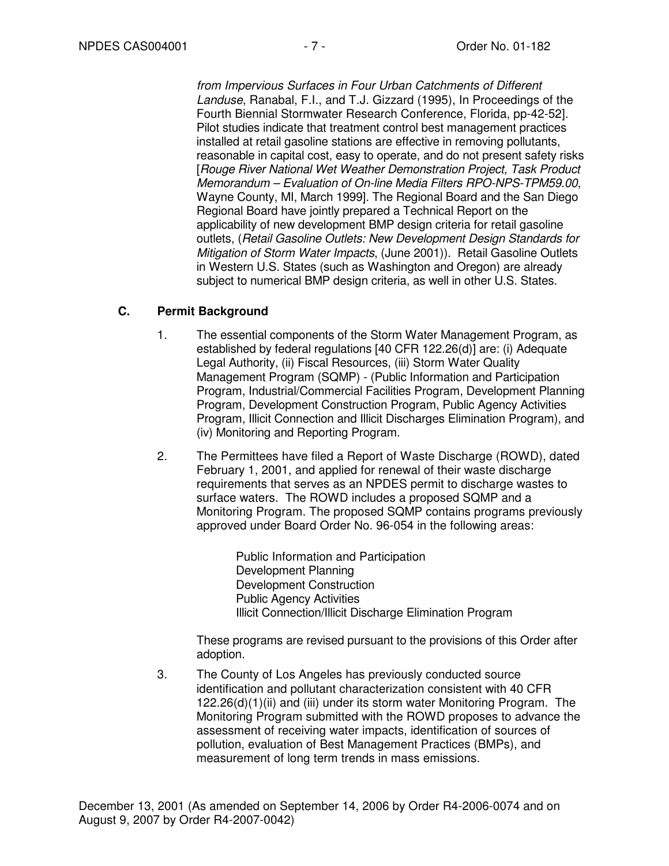*from Impervious Surfaces in Four Urban Catchments of Different Landuse*, Ranabal, F.I., and T.J. Gizzard (1995), In Proceedings of the Fourth Biennial Stormwater Research Conference, Florida, pp-42-52]. Pilot studies indicate that treatment control best management practices installed at retail gasoline stations are effective in removing pollutants, reasonable in capital cost, easy to operate, and do not present safety risks [*Rouge River National Wet Weather Demonstration Project, Task Product Memorandum – Evaluation of On-line Media Filters RPO-NPS-TPM59.00*, Wayne County, MI, March 1999]. The Regional Board and the San Diego Regional Board have jointly prepared a Technical Report on the applicability of new development BMP design criteria for retail gasoline outlets, (*Retail Gasoline Outlets: New Development Design Standards for Mitigation of Storm Water Impacts*, (June 2001)). Retail Gasoline Outlets in Western U.S. States (such as Washington and Oregon) are already subject to numerical BMP design criteria, as well in other U.S. States.

## **C. Permit Background**

- 1. The essential components of the Storm Water Management Program, as established by federal regulations [40 CFR 122.26(d)] are: (i) Adequate Legal Authority, (ii) Fiscal Resources, (iii) Storm Water Quality Management Program (SQMP) - (Public Information and Participation Program, Industrial/Commercial Facilities Program, Development Planning Program, Development Construction Program, Public Agency Activities Program, Illicit Connection and Illicit Discharges Elimination Program), and (iv) Monitoring and Reporting Program.
- 2. The Permittees have filed a Report of Waste Discharge (ROWD), dated February 1, 2001, and applied for renewal of their waste discharge requirements that serves as an NPDES permit to discharge wastes to surface waters. The ROWD includes a proposed SQMP and a Monitoring Program. The proposed SQMP contains programs previously approved under Board Order No. 96-054 in the following areas:

Public Information and Participation Development Planning Development Construction Public Agency Activities Illicit Connection/Illicit Discharge Elimination Program

These programs are revised pursuant to the provisions of this Order after adoption.

3. The County of Los Angeles has previously conducted source identification and pollutant characterization consistent with 40 CFR 122.26(d)(1)(ii) and (iii) under its storm water Monitoring Program. The Monitoring Program submitted with the ROWD proposes to advance the assessment of receiving water impacts, identification of sources of pollution, evaluation of Best Management Practices (BMPs), and measurement of long term trends in mass emissions.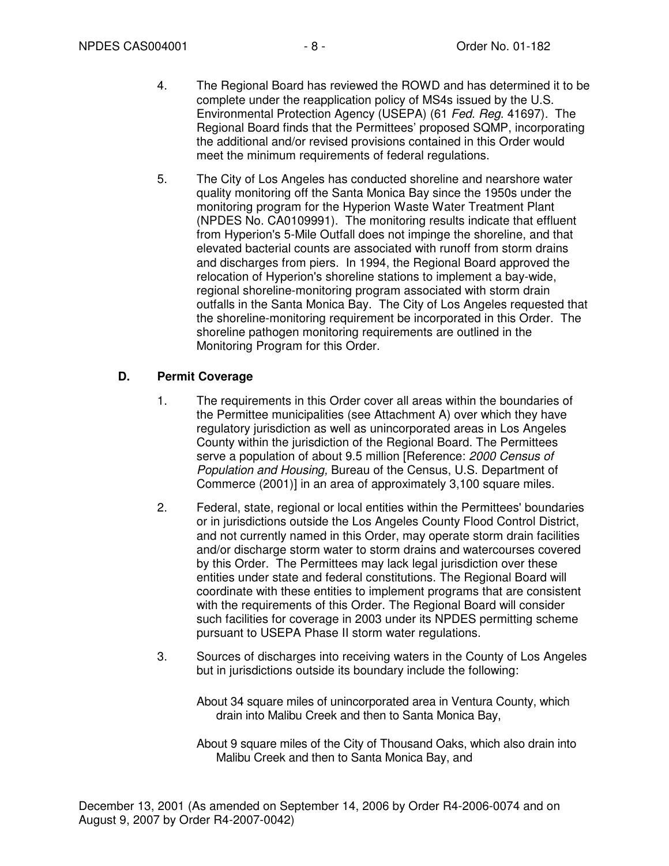- 4. The Regional Board has reviewed the ROWD and has determined it to be complete under the reapplication policy of MS4s issued by the U.S. Environmental Protection Agency (USEPA) (61 *Fed. Reg*. 41697). The Regional Board finds that the Permittees' proposed SQMP, incorporating the additional and/or revised provisions contained in this Order would meet the minimum requirements of federal regulations.
- 5. The City of Los Angeles has conducted shoreline and nearshore water quality monitoring off the Santa Monica Bay since the 1950s under the monitoring program for the Hyperion Waste Water Treatment Plant (NPDES No. CA0109991). The monitoring results indicate that effluent from Hyperion's 5-Mile Outfall does not impinge the shoreline, and that elevated bacterial counts are associated with runoff from storm drains and discharges from piers. In 1994, the Regional Board approved the relocation of Hyperion's shoreline stations to implement a bay-wide, regional shoreline-monitoring program associated with storm drain outfalls in the Santa Monica Bay. The City of Los Angeles requested that the shoreline-monitoring requirement be incorporated in this Order. The shoreline pathogen monitoring requirements are outlined in the Monitoring Program for this Order.

# **D. Permit Coverage**

- 1. The requirements in this Order cover all areas within the boundaries of the Permittee municipalities (see Attachment A) over which they have regulatory jurisdiction as well as unincorporated areas in Los Angeles County within the jurisdiction of the Regional Board. The Permittees serve a population of about 9.5 million [Reference: *2000 Census of Population and Housing,* Bureau of the Census, U.S. Department of Commerce (2001)] in an area of approximately 3,100 square miles.
- 2. Federal, state, regional or local entities within the Permittees'boundaries or in jurisdictions outside the Los Angeles County Flood Control District, and not currently named in this Order, may operate storm drain facilities and/or discharge storm water to storm drains and watercourses covered by this Order. The Permittees may lack legal jurisdiction over these entities under state and federal constitutions. The Regional Board will coordinate with these entities to implement programs that are consistent with the requirements of this Order. The Regional Board will consider such facilities for coverage in 2003 under its NPDES permitting scheme pursuant to USEPA Phase II storm water regulations.
- 3. Sources of discharges into receiving waters in the County of Los Angeles but in jurisdictions outside its boundary include the following:
	- About 34 square miles of unincorporated area in Ventura County, which drain into Malibu Creek and then to Santa Monica Bay,
	- About 9 square miles of the City of Thousand Oaks, which also drain into Malibu Creek and then to Santa Monica Bay, and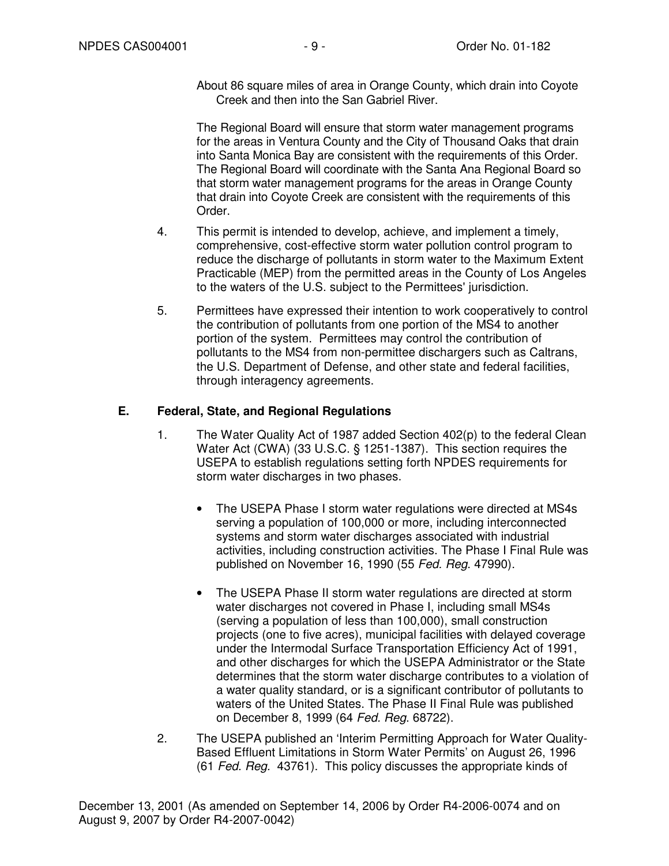About 86 square miles of area in Orange County, which drain into Coyote Creek and then into the San Gabriel River.

The Regional Board will ensure that storm water management programs for the areas in Ventura County and the City of Thousand Oaks that drain into Santa Monica Bay are consistent with the requirements of this Order. The Regional Board will coordinate with the Santa Ana Regional Board so that storm water management programs for the areas in Orange County that drain into Coyote Creek are consistent with the requirements of this Order.

- 4. This permit is intended to develop, achieve, and implement a timely, comprehensive, cost-effective storm water pollution control program to reduce the discharge of pollutants in storm water to the Maximum Extent Practicable (MEP) from the permitted areas in the County of Los Angeles to the waters of the U.S. subject to the Permittees' jurisdiction.
- 5. Permittees have expressed their intention to work cooperatively to control the contribution of pollutants from one portion of the MS4 to another portion of the system. Permittees may control the contribution of pollutants to the MS4 from non-permittee dischargers such as Caltrans, the U.S. Department of Defense, and other state and federal facilities, through interagency agreements.

# **E. Federal, State, and Regional Regulations**

- 1. The Water Quality Act of 1987 added Section 402(p) to the federal Clean Water Act (CWA) (33 U.S.C. § 1251-1387). This section requires the USEPA to establish regulations setting forth NPDES requirements for storm water discharges in two phases.
	- The USEPA Phase I storm water regulations were directed at MS4s serving a population of 100,000 or more, including interconnected systems and storm water discharges associated with industrial activities, including construction activities. The Phase I Final Rule was published on November 16, 1990 (55 *Fed. Reg*. 47990).
	- The USEPA Phase II storm water regulations are directed at storm water discharges not covered in Phase I, including small MS4s (serving a population of less than 100,000), small construction projects (one to five acres), municipal facilities with delayed coverage under the Intermodal Surface Transportation Efficiency Act of 1991, and other discharges for which the USEPA Administrator or the State determines that the storm water discharge contributes to a violation of a water quality standard, or is a significant contributor of pollutants to waters of the United States. The Phase II Final Rule was published on December 8, 1999 (64 *Fed. Reg*. 68722).
- 2. The USEPA published an 'Interim Permitting Approach for Water Quality-Based Effluent Limitations in Storm Water Permits' on August 26, 1996 (61 *Fed. Reg.* 43761). This policy discusses the appropriate kinds of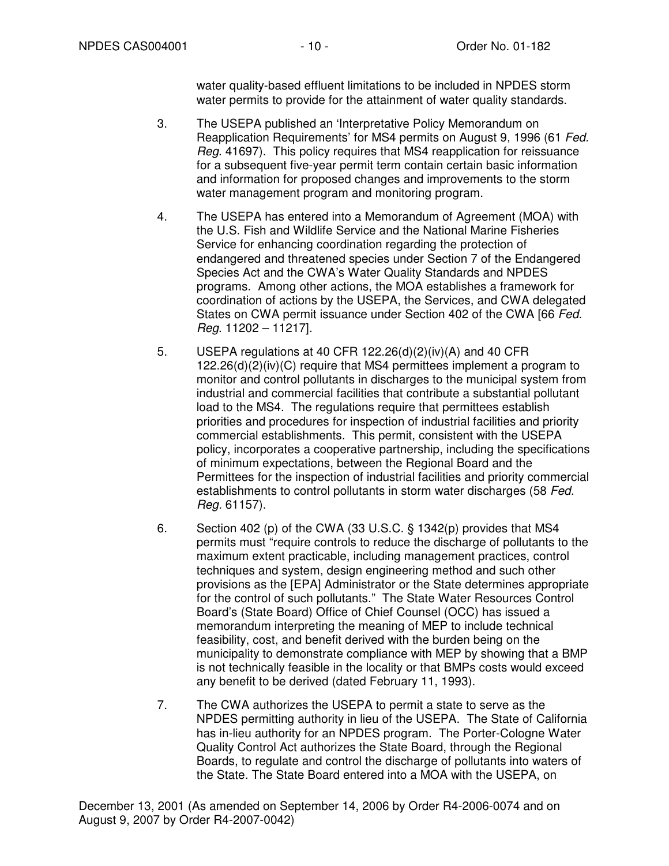water quality-based effluent limitations to be included in NPDES storm water permits to provide for the attainment of water quality standards.

- 3. The USEPA published an 'Interpretative Policy Memorandum on Reapplication Requirements' for MS4 permits on August 9, 1996 (61 *Fed. Reg*. 41697). This policy requires that MS4 reapplication for reissuance for a subsequent five-year permit term contain certain basic information and information for proposed changes and improvements to the storm water management program and monitoring program.
- 4. The USEPA has entered into a Memorandum of Agreement (MOA) with the U.S. Fish and Wildlife Service and the National Marine Fisheries Service for enhancing coordination regarding the protection of endangered and threatened species under Section 7 of the Endangered Species Act and the CWA's Water Quality Standards and NPDES programs. Among other actions, the MOA establishes a framework for coordination of actions by the USEPA, the Services, and CWA delegated States on CWA permit issuance under Section 402 of the CWA [66 *Fed. Reg*. 11202 – 11217].
- 5. USEPA regulations at 40 CFR 122.26(d)(2)(iv)(A) and 40 CFR 122.26(d)(2)(iv)(C) require that MS4 permittees implement a program to monitor and control pollutants in discharges to the municipal system from industrial and commercial facilities that contribute a substantial pollutant load to the MS4. The regulations require that permittees establish priorities and procedures for inspection of industrial facilities and priority commercial establishments. This permit, consistent with the USEPA policy, incorporates a cooperative partnership, including the specifications of minimum expectations, between the Regional Board and the Permittees for the inspection of industrial facilities and priority commercial establishments to control pollutants in storm water discharges (58 *Fed. Reg.* 61157).
- 6. Section 402 (p) of the CWA (33 U.S.C. § 1342(p) provides that MS4 permits must "require controls to reduce the discharge of pollutants to the maximum extent practicable, including management practices, control techniques and system, design engineering method and such other provisions as the [EPA] Administrator or the State determines appropriate for the control of such pollutants." The State Water Resources Control Board's (State Board) Office of Chief Counsel (OCC) has issued a memorandum interpreting the meaning of MEP to include technical feasibility, cost, and benefit derived with the burden being on the municipality to demonstrate compliance with MEP by showing that a BMP is not technically feasible in the locality or that BMPs costs would exceed any benefit to be derived (dated February 11, 1993).
- 7. The CWA authorizes the USEPA to permit a state to serve as the NPDES permitting authority in lieu of the USEPA. The State of California has in-lieu authority for an NPDES program. The Porter-Cologne Water Quality Control Act authorizes the State Board, through the Regional Boards, to regulate and control the discharge of pollutants into waters of the State. The State Board entered into a MOA with the USEPA, on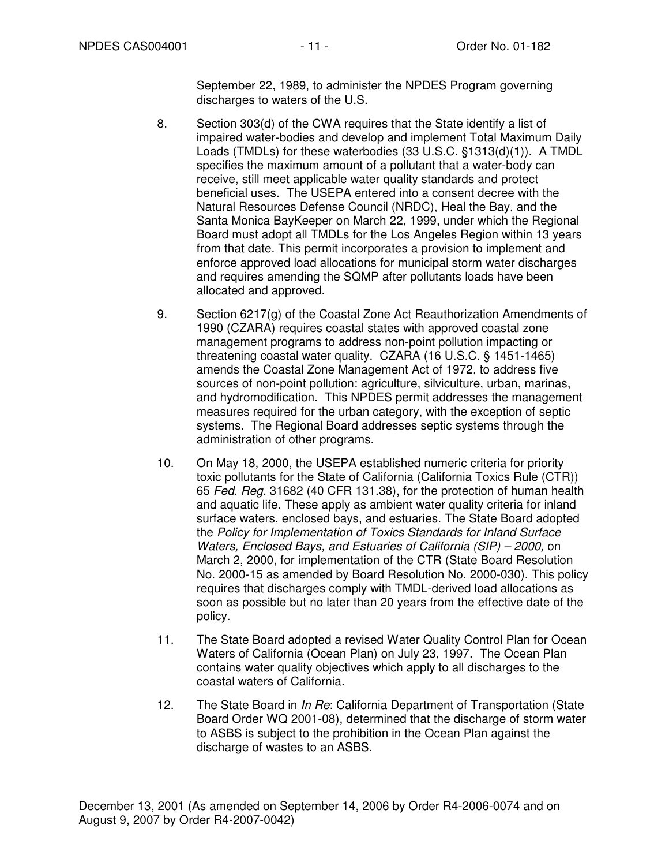September 22, 1989, to administer the NPDES Program governing discharges to waters of the U.S.

- 8. Section 303(d) of the CWA requires that the State identify a list of impaired water-bodies and develop and implement Total Maximum Daily Loads (TMDLs) for these waterbodies (33 U.S.C. §1313(d)(1)). A TMDL specifies the maximum amount of a pollutant that a water-body can receive, still meet applicable water quality standards and protect beneficial uses. The USEPA entered into a consent decree with the Natural Resources Defense Council (NRDC), Heal the Bay, and the Santa Monica BayKeeper on March 22, 1999, under which the Regional Board must adopt all TMDLs for the Los Angeles Region within 13 years from that date. This permit incorporates a provision to implement and enforce approved load allocations for municipal storm water discharges and requires amending the SQMP after pollutants loads have been allocated and approved.
- 9. Section 6217(g) of the Coastal Zone Act Reauthorization Amendments of 1990 (CZARA) requires coastal states with approved coastal zone management programs to address non-point pollution impacting or threatening coastal water quality. CZARA (16 U.S.C. § 1451-1465) amends the Coastal Zone Management Act of 1972, to address five sources of non-point pollution: agriculture, silviculture, urban, marinas, and hydromodification. This NPDES permit addresses the management measures required for the urban category, with the exception of septic systems. The Regional Board addresses septic systems through the administration of other programs.
- 10. On May 18, 2000, the USEPA established numeric criteria for priority toxic pollutants for the State of California (California Toxics Rule (CTR)) 65 *Fed. Reg*. 31682 (40 CFR 131.38), for the protection of human health and aquatic life. These apply as ambient water quality criteria for inland surface waters, enclosed bays, and estuaries. The State Board adopted the *Policy for Implementation of Toxics Standards for Inland Surface Waters, Enclosed Bays, and Estuaries of California (SIP) – 2000,* on March 2, 2000, for implementation of the CTR (State Board Resolution No. 2000-15 as amended by Board Resolution No. 2000-030). This policy requires that discharges comply with TMDL-derived load allocations as soon as possible but no later than 20 years from the effective date of the policy.
- 11. The State Board adopted a revised Water Quality Control Plan for Ocean Waters of California (Ocean Plan) on July 23, 1997. The Ocean Plan contains water quality objectives which apply to all discharges to the coastal waters of California.
- 12. The State Board in *In Re*: California Department of Transportation (State Board Order WQ 2001-08), determined that the discharge of storm water to ASBS is subject to the prohibition in the Ocean Plan against the discharge of wastes to an ASBS.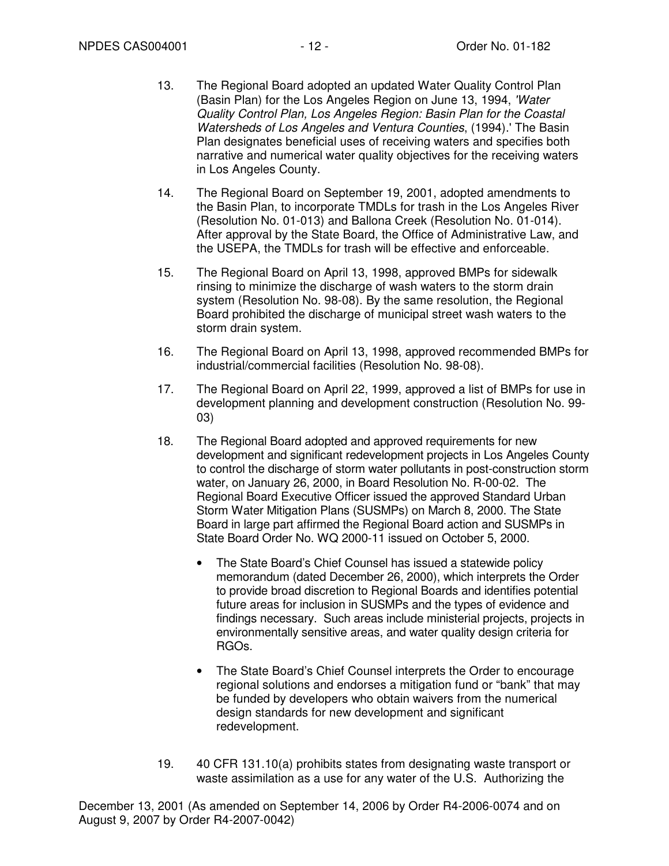- 13. The Regional Board adopted an updated Water Quality Control Plan (Basin Plan) for the Los Angeles Region on June 13, 1994, *'Water Quality Control Plan, Los Angeles Region: Basin Plan for the Coastal Watersheds of Los Angeles and Ventura Counties*, (1994).'The Basin Plan designates beneficial uses of receiving waters and specifies both narrative and numerical water quality objectives for the receiving waters in Los Angeles County.
- 14. The Regional Board on September 19, 2001, adopted amendments to the Basin Plan, to incorporate TMDLs for trash in the Los Angeles River (Resolution No. 01-013) and Ballona Creek (Resolution No. 01-014). After approval by the State Board, the Office of Administrative Law, and the USEPA, the TMDLs for trash will be effective and enforceable.
- 15. The Regional Board on April 13, 1998, approved BMPs for sidewalk rinsing to minimize the discharge of wash waters to the storm drain system (Resolution No. 98-08). By the same resolution, the Regional Board prohibited the discharge of municipal street wash waters to the storm drain system.
- 16. The Regional Board on April 13, 1998, approved recommended BMPs for industrial/commercial facilities (Resolution No. 98-08).
- 17. The Regional Board on April 22, 1999, approved a list of BMPs for use in development planning and development construction (Resolution No. 99- 03)
- 18. The Regional Board adopted and approved requirements for new development and significant redevelopment projects in Los Angeles County to control the discharge of storm water pollutants in post-construction storm water, on January 26, 2000, in Board Resolution No. R-00-02. The Regional Board Executive Officer issued the approved Standard Urban Storm Water Mitigation Plans (SUSMPs) on March 8, 2000. The State Board in large part affirmed the Regional Board action and SUSMPs in State Board Order No. WQ 2000-11 issued on October 5, 2000.
	- The State Board's Chief Counsel has issued a statewide policy memorandum (dated December 26, 2000), which interprets the Order to provide broad discretion to Regional Boards and identifies potential future areas for inclusion in SUSMPs and the types of evidence and findings necessary. Such areas include ministerial projects, projects in environmentally sensitive areas, and water quality design criteria for RGOs.
	- The State Board's Chief Counsel interprets the Order to encourage regional solutions and endorses a mitigation fund or "bank" that may be funded by developers who obtain waivers from the numerical design standards for new development and significant redevelopment.
- 19. 40 CFR 131.10(a) prohibits states from designating waste transport or waste assimilation as a use for any water of the U.S. Authorizing the

December 13, 2001 (As amended on September 14, 2006 by Order R4-2006-0074 and on August 9, 2007 by Order R4-2007-0042)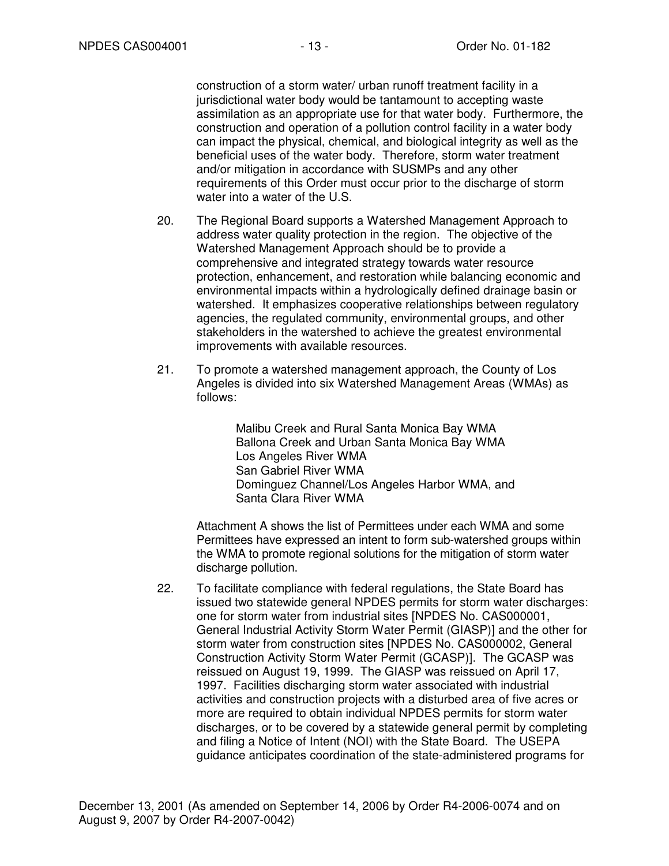construction of a storm water/ urban runoff treatment facility in a jurisdictional water body would be tantamount to accepting waste assimilation as an appropriate use for that water body. Furthermore, the construction and operation of a pollution control facility in a water body can impact the physical, chemical, and biological integrity as well as the beneficial uses of the water body. Therefore, storm water treatment and/or mitigation in accordance with SUSMPs and any other requirements of this Order must occur prior to the discharge of storm water into a water of the U.S.

- 20. The Regional Board supports a Watershed Management Approach to address water quality protection in the region. The objective of the Watershed Management Approach should be to provide a comprehensive and integrated strategy towards water resource protection, enhancement, and restoration while balancing economic and environmental impacts within a hydrologically defined drainage basin or watershed. It emphasizes cooperative relationships between regulatory agencies, the regulated community, environmental groups, and other stakeholders in the watershed to achieve the greatest environmental improvements with available resources.
- 21. To promote a watershed management approach, the County of Los Angeles is divided into six Watershed Management Areas (WMAs) as follows:

Malibu Creek and Rural Santa Monica Bay WMA Ballona Creek and Urban Santa Monica Bay WMA Los Angeles River WMA San Gabriel River WMA Dominguez Channel/Los Angeles Harbor WMA, and Santa Clara River WMA

Attachment A shows the list of Permittees under each WMA and some Permittees have expressed an intent to form sub-watershed groups within the WMA to promote regional solutions for the mitigation of storm water discharge pollution.

22. To facilitate compliance with federal regulations, the State Board has issued two statewide general NPDES permits for storm water discharges: one for storm water from industrial sites [NPDES No. CAS000001, General Industrial Activity Storm Water Permit (GIASP)] and the other for storm water from construction sites [NPDES No. CAS000002, General Construction Activity Storm Water Permit (GCASP)]. The GCASP was reissued on August 19, 1999. The GIASP was reissued on April 17, 1997. Facilities discharging storm water associated with industrial activities and construction projects with a disturbed area of five acres or more are required to obtain individual NPDES permits for storm water discharges, or to be covered by a statewide general permit by completing and filing a Notice of Intent (NOI) with the State Board. The USEPA guidance anticipates coordination of the state-administered programs for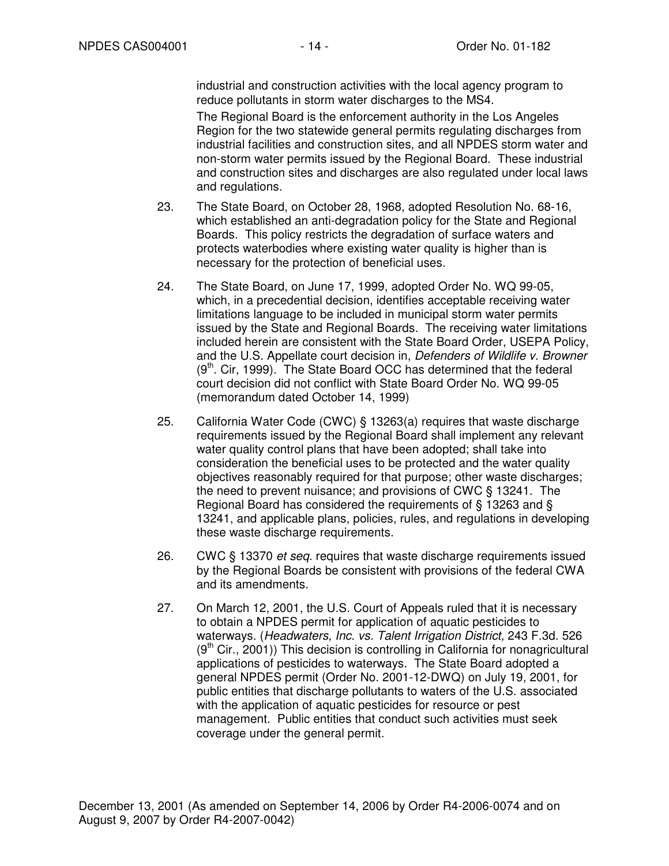industrial and construction activities with the local agency program to reduce pollutants in storm water discharges to the MS4.

The Regional Board is the enforcement authority in the Los Angeles Region for the two statewide general permits regulating discharges from industrial facilities and construction sites, and all NPDES storm water and non-storm water permits issued by the Regional Board. These industrial and construction sites and discharges are also regulated under local laws and regulations.

- 23. The State Board, on October 28, 1968, adopted Resolution No. 68-16, which established an anti-degradation policy for the State and Regional Boards. This policy restricts the degradation of surface waters and protects waterbodies where existing water quality is higher than is necessary for the protection of beneficial uses.
- 24. The State Board, on June 17, 1999, adopted Order No. WQ 99-05, which, in a precedential decision, identifies acceptable receiving water limitations language to be included in municipal storm water permits issued by the State and Regional Boards. The receiving water limitations included herein are consistent with the State Board Order, USEPA Policy, and the U.S. Appellate court decision in, *Defenders of Wildlife v. Browner* (9<sup>th</sup>. Cir, 1999). The State Board OCC has determined that the federal court decision did not conflict with State Board Order No. WQ 99-05 (memorandum dated October 14, 1999)
- 25. California Water Code (CWC) § 13263(a) requires that waste discharge requirements issued by the Regional Board shall implement any relevant water quality control plans that have been adopted; shall take into consideration the beneficial uses to be protected and the water quality objectives reasonably required for that purpose; other waste discharges; the need to prevent nuisance; and provisions of CWC § 13241. The Regional Board has considered the requirements of § 13263 and § 13241, and applicable plans, policies, rules, and regulations in developing these waste discharge requirements.
- 26. CWC § 13370 *et seq.* requires that waste discharge requirements issued by the Regional Boards be consistent with provisions of the federal CWA and its amendments.
- 27. On March 12, 2001, the U.S. Court of Appeals ruled that it is necessary to obtain a NPDES permit for application of aquatic pesticides to waterways. (*Headwaters, Inc. vs. Talent Irrigation District,* 243 F.3d. 526 (9<sup>th</sup> Cir., 2001)) This decision is controlling in California for nonagricultural applications of pesticides to waterways. The State Board adopted a general NPDES permit (Order No. 2001-12-DWQ) on July 19, 2001, for public entities that discharge pollutants to waters of the U.S. associated with the application of aquatic pesticides for resource or pest management. Public entities that conduct such activities must seek coverage under the general permit.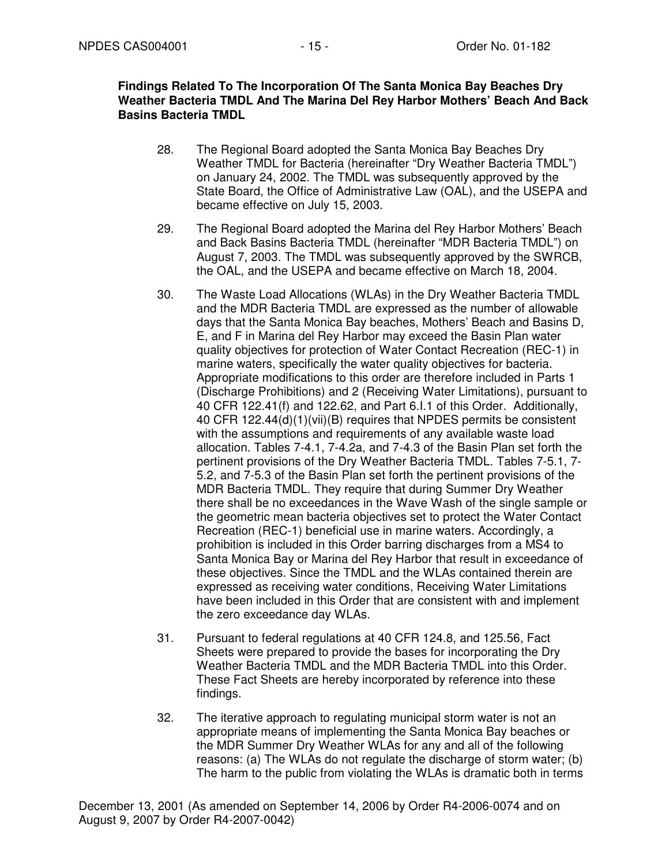### **Findings Related To The Incorporation Of The Santa Monica Bay Beaches Dry Weather Bacteria TMDL And The Marina Del Rey Harbor Mothers' Beach And Back Basins Bacteria TMDL**

- 28. The Regional Board adopted the Santa Monica Bay Beaches Dry Weather TMDL for Bacteria (hereinafter "Dry Weather Bacteria TMDL") on January 24, 2002. The TMDL was subsequently approved by the State Board, the Office of Administrative Law (OAL), and the USEPA and became effective on July 15, 2003.
- 29. The Regional Board adopted the Marina del Rey Harbor Mothers' Beach and Back Basins Bacteria TMDL (hereinafter "MDR Bacteria TMDL") on August 7, 2003. The TMDL was subsequently approved by the SWRCB, the OAL, and the USEPA and became effective on March 18, 2004.
- 30. The Waste Load Allocations (WLAs) in the Dry Weather Bacteria TMDL and the MDR Bacteria TMDL are expressed as the number of allowable days that the Santa Monica Bay beaches, Mothers' Beach and Basins D, E, and F in Marina del Rey Harbor may exceed the Basin Plan water quality objectives for protection of Water Contact Recreation (REC-1) in marine waters, specifically the water quality objectives for bacteria. Appropriate modifications to this order are therefore included in Parts 1 (Discharge Prohibitions) and 2 (Receiving Water Limitations), pursuant to 40 CFR 122.41(f) and 122.62, and Part 6.I.1 of this Order. Additionally, 40 CFR 122.44(d)(1)(vii)(B) requires that NPDES permits be consistent with the assumptions and requirements of any available waste load allocation. Tables 7-4.1, 7-4.2a, and 7-4.3 of the Basin Plan set forth the pertinent provisions of the Dry Weather Bacteria TMDL. Tables 7-5.1, 7- 5.2, and 7-5.3 of the Basin Plan set forth the pertinent provisions of the MDR Bacteria TMDL. They require that during Summer Dry Weather there shall be no exceedances in the Wave Wash of the single sample or the geometric mean bacteria objectives set to protect the Water Contact Recreation (REC-1) beneficial use in marine waters. Accordingly, a prohibition is included in this Order barring discharges from a MS4 to Santa Monica Bay or Marina del Rey Harbor that result in exceedance of these objectives. Since the TMDL and the WLAs contained therein are expressed as receiving water conditions, Receiving Water Limitations have been included in this Order that are consistent with and implement the zero exceedance day WLAs.
- 31. Pursuant to federal regulations at 40 CFR 124.8, and 125.56, Fact Sheets were prepared to provide the bases for incorporating the Dry Weather Bacteria TMDL and the MDR Bacteria TMDL into this Order. These Fact Sheets are hereby incorporated by reference into these findings.
- 32. The iterative approach to regulating municipal storm water is not an appropriate means of implementing the Santa Monica Bay beaches or the MDR Summer Dry Weather WLAs for any and all of the following reasons: (a) The WLAs do not regulate the discharge of storm water; (b) The harm to the public from violating the WLAs is dramatic both in terms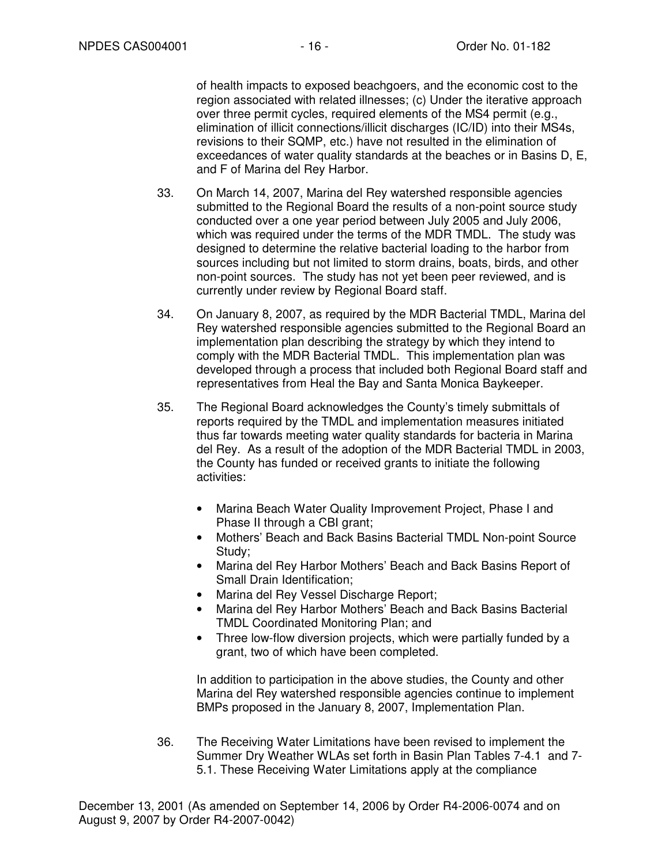of health impacts to exposed beachgoers, and the economic cost to the region associated with related illnesses; (c) Under the iterative approach over three permit cycles, required elements of the MS4 permit (e.g., elimination of illicit connections/illicit discharges (IC/ID) into their MS4s, revisions to their SQMP, etc.) have not resulted in the elimination of exceedances of water quality standards at the beaches or in Basins D, E, and F of Marina del Rey Harbor.

- 33. On March 14, 2007, Marina del Rey watershed responsible agencies submitted to the Regional Board the results of a non-point source study conducted over a one year period between July 2005 and July 2006, which was required under the terms of the MDR TMDL. The study was designed to determine the relative bacterial loading to the harbor from sources including but not limited to storm drains, boats, birds, and other non-point sources. The study has not yet been peer reviewed, and is currently under review by Regional Board staff.
- 34. On January 8, 2007, as required by the MDR Bacterial TMDL, Marina del Rey watershed responsible agencies submitted to the Regional Board an implementation plan describing the strategy by which they intend to comply with the MDR Bacterial TMDL. This implementation plan was developed through a process that included both Regional Board staff and representatives from Heal the Bay and Santa Monica Baykeeper.
- 35. The Regional Board acknowledges the County's timely submittals of reports required by the TMDL and implementation measures initiated thus far towards meeting water quality standards for bacteria in Marina del Rey. As a result of the adoption of the MDR Bacterial TMDL in 2003, the County has funded or received grants to initiate the following activities:
	- Marina Beach Water Quality Improvement Project, Phase I and Phase II through a CBI grant;
	- Mothers' Beach and Back Basins Bacterial TMDL Non-point Source Study;
	- Marina del Rey Harbor Mothers' Beach and Back Basins Report of Small Drain Identification;
	- Marina del Rey Vessel Discharge Report;
	- Marina del Rey Harbor Mothers' Beach and Back Basins Bacterial TMDL Coordinated Monitoring Plan; and
	- Three low-flow diversion projects, which were partially funded by a grant, two of which have been completed.

In addition to participation in the above studies, the County and other Marina del Rey watershed responsible agencies continue to implement BMPs proposed in the January 8, 2007, Implementation Plan.

36. The Receiving Water Limitations have been revised to implement the Summer Dry Weather WLAs set forth in Basin Plan Tables 7-4.1 and 7- 5.1. These Receiving Water Limitations apply at the compliance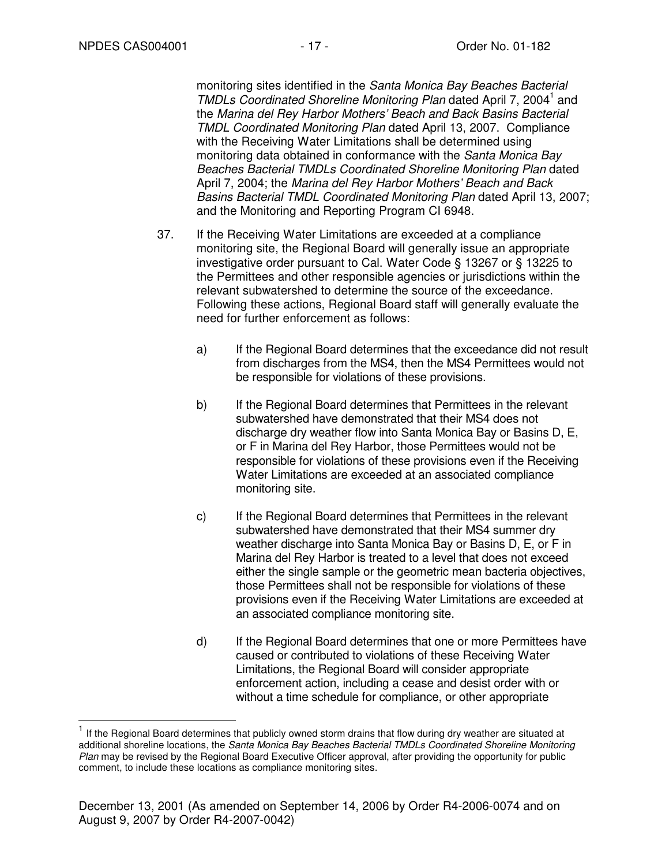monitoring sites identified in the *Santa Monica Bay Beaches Bacterial TMDLs Coordinated Shoreline Monitoring Plan* dated April 7, 2004 1 and the *Marina del Rey Harbor Mothers' Beach and Back Basins Bacterial TMDL Coordinated Monitoring Plan* dated April 13, 2007. Compliance with the Receiving Water Limitations shall be determined using monitoring data obtained in conformance with the *Santa Monica Bay Beaches Bacterial TMDLs Coordinated Shoreline Monitoring Plan* dated April 7, 2004; the *Marina del Rey Harbor Mothers' Beach and Back Basins Bacterial TMDL Coordinated Monitoring Plan* dated April 13, 2007; and the Monitoring and Reporting Program CI 6948.

- 37. If the Receiving Water Limitations are exceeded at a compliance monitoring site, the Regional Board will generally issue an appropriate investigative order pursuant to Cal. Water Code § 13267 or § 13225 to the Permittees and other responsible agencies or jurisdictions within the relevant subwatershed to determine the source of the exceedance. Following these actions, Regional Board staff will generally evaluate the need for further enforcement as follows:
	- a) If the Regional Board determines that the exceedance did not result from discharges from the MS4, then the MS4 Permittees would not be responsible for violations of these provisions.
	- b) If the Regional Board determines that Permittees in the relevant subwatershed have demonstrated that their MS4 does not discharge dry weather flow into Santa Monica Bay or Basins D, E, or F in Marina del Rey Harbor, those Permittees would not be responsible for violations of these provisions even if the Receiving Water Limitations are exceeded at an associated compliance monitoring site.
	- c) If the Regional Board determines that Permittees in the relevant subwatershed have demonstrated that their MS4 summer dry weather discharge into Santa Monica Bay or Basins D, E, or F in Marina del Rey Harbor is treated to a level that does not exceed either the single sample or the geometric mean bacteria objectives, those Permittees shall not be responsible for violations of these provisions even if the Receiving Water Limitations are exceeded at an associated compliance monitoring site.
	- d) If the Regional Board determines that one or more Permittees have caused or contributed to violations of these Receiving Water Limitations, the Regional Board will consider appropriate enforcement action, including a cease and desist order with or without a time schedule for compliance, or other appropriate

<sup>1</sup> If the Regional Board determines that publicly owned storm drains that flow during dry weather are situated at additional shoreline locations, the *Santa Monica Bay Beaches Bacterial TMDLs Coordinated Shoreline Monitoring Plan* may be revised by the Regional Board Executive Officer approval, after providing the opportunity for public comment, to include these locations as compliance monitoring sites.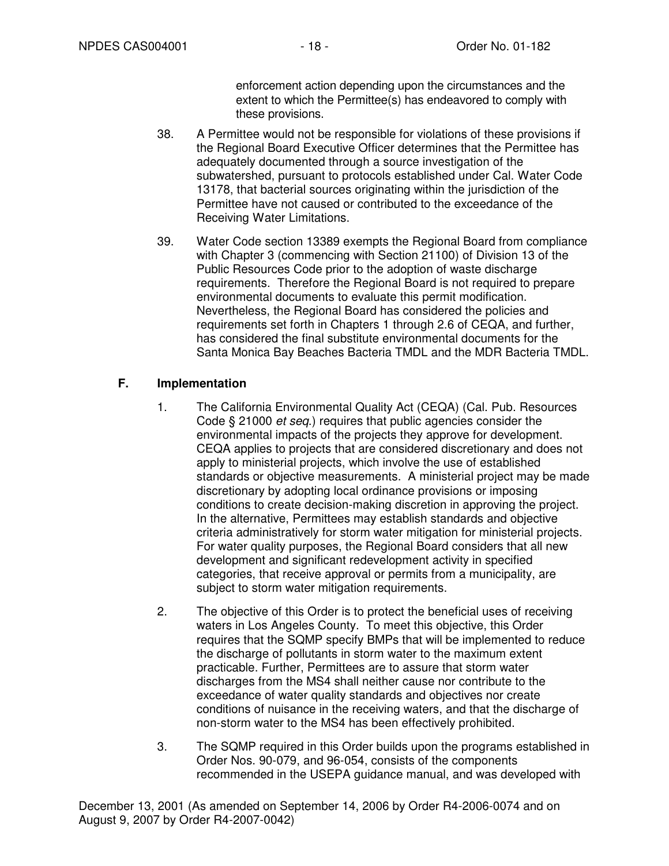enforcement action depending upon the circumstances and the extent to which the Permittee(s) has endeavored to comply with these provisions.

- 38. A Permittee would not be responsible for violations of these provisions if the Regional Board Executive Officer determines that the Permittee has adequately documented through a source investigation of the subwatershed, pursuant to protocols established under Cal. Water Code 13178, that bacterial sources originating within the jurisdiction of the Permittee have not caused or contributed to the exceedance of the Receiving Water Limitations.
- 39. Water Code section 13389 exempts the Regional Board from compliance with Chapter 3 (commencing with Section 21100) of Division 13 of the Public Resources Code prior to the adoption of waste discharge requirements. Therefore the Regional Board is not required to prepare environmental documents to evaluate this permit modification. Nevertheless, the Regional Board has considered the policies and requirements set forth in Chapters 1 through 2.6 of CEQA, and further, has considered the final substitute environmental documents for the Santa Monica Bay Beaches Bacteria TMDL and the MDR Bacteria TMDL.

# **F. Implementation**

- 1. The California Environmental Quality Act (CEQA) (Cal. Pub. Resources Code § 21000 *et seq*.) requires that public agencies consider the environmental impacts of the projects they approve for development. CEQA applies to projects that are considered discretionary and does not apply to ministerial projects, which involve the use of established standards or objective measurements. A ministerial project may be made discretionary by adopting local ordinance provisions or imposing conditions to create decision-making discretion in approving the project. In the alternative, Permittees may establish standards and objective criteria administratively for storm water mitigation for ministerial projects. For water quality purposes, the Regional Board considers that all new development and significant redevelopment activity in specified categories, that receive approval or permits from a municipality, are subject to storm water mitigation requirements.
- 2. The objective of this Order is to protect the beneficial uses of receiving waters in Los Angeles County. To meet this objective, this Order requires that the SQMP specify BMPs that will be implemented to reduce the discharge of pollutants in storm water to the maximum extent practicable. Further, Permittees are to assure that storm water discharges from the MS4 shall neither cause nor contribute to the exceedance of water quality standards and objectives nor create conditions of nuisance in the receiving waters, and that the discharge of non-storm water to the MS4 has been effectively prohibited.
- 3. The SQMP required in this Order builds upon the programs established in Order Nos. 90-079, and 96-054, consists of the components recommended in the USEPA guidance manual, and was developed with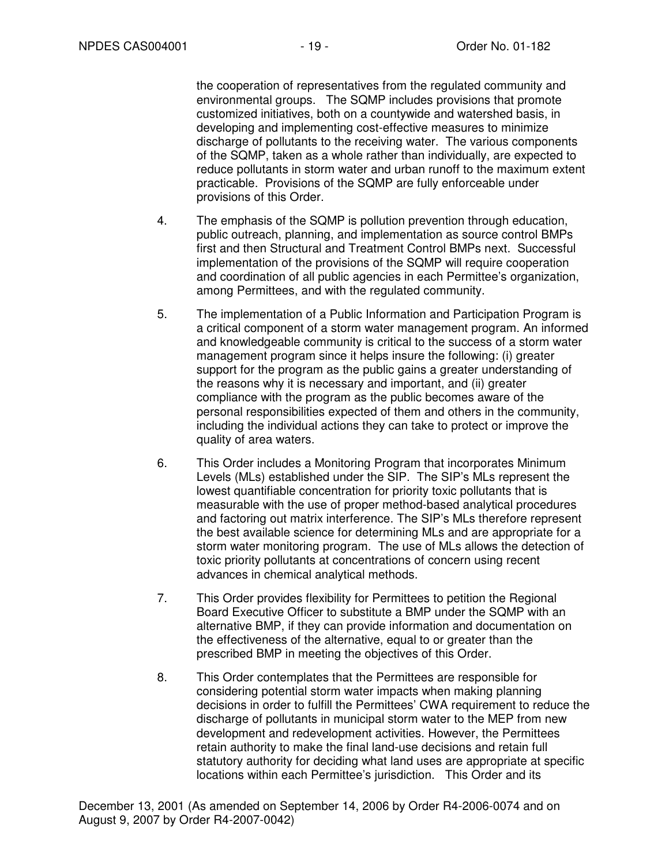the cooperation of representatives from the regulated community and environmental groups. The SQMP includes provisions that promote customized initiatives, both on a countywide and watershed basis, in developing and implementing cost-effective measures to minimize discharge of pollutants to the receiving water. The various components of the SQMP, taken as a whole rather than individually, are expected to reduce pollutants in storm water and urban runoff to the maximum extent practicable. Provisions of the SQMP are fully enforceable under provisions of this Order.

- 4. The emphasis of the SQMP is pollution prevention through education, public outreach, planning, and implementation as source control BMPs first and then Structural and Treatment Control BMPs next. Successful implementation of the provisions of the SQMP will require cooperation and coordination of all public agencies in each Permittee's organization, among Permittees, and with the regulated community.
- 5. The implementation of a Public Information and Participation Program is a critical component of a storm water management program. An informed and knowledgeable community is critical to the success of a storm water management program since it helps insure the following: (i) greater support for the program as the public gains a greater understanding of the reasons why it is necessary and important, and (ii) greater compliance with the program as the public becomes aware of the personal responsibilities expected of them and others in the community, including the individual actions they can take to protect or improve the quality of area waters.
- 6. This Order includes a Monitoring Program that incorporates Minimum Levels (MLs) established under the SIP. The SIP's MLs represent the lowest quantifiable concentration for priority toxic pollutants that is measurable with the use of proper method-based analytical procedures and factoring out matrix interference. The SIP's MLs therefore represent the best available science for determining MLs and are appropriate for a storm water monitoring program. The use of MLs allows the detection of toxic priority pollutants at concentrations of concern using recent advances in chemical analytical methods.
- 7. This Order provides flexibility for Permittees to petition the Regional Board Executive Officer to substitute a BMP under the SQMP with an alternative BMP, if they can provide information and documentation on the effectiveness of the alternative, equal to or greater than the prescribed BMP in meeting the objectives of this Order.
- 8. This Order contemplates that the Permittees are responsible for considering potential storm water impacts when making planning decisions in order to fulfill the Permittees' CWA requirement to reduce the discharge of pollutants in municipal storm water to the MEP from new development and redevelopment activities. However, the Permittees retain authority to make the final land-use decisions and retain full statutory authority for deciding what land uses are appropriate at specific locations within each Permittee's jurisdiction. This Order and its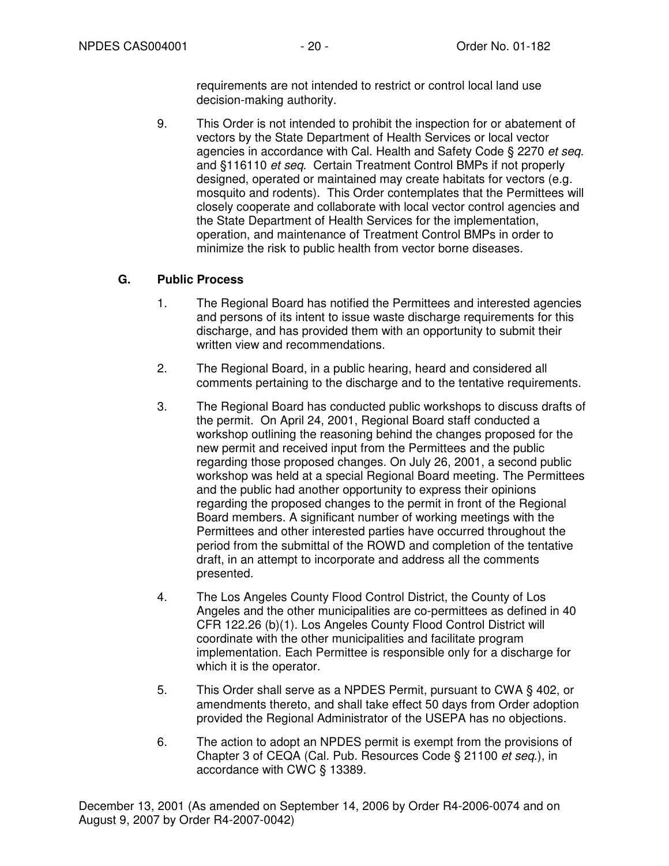requirements are not intended to restrict or control local land use decision-making authority.

9. This Order is not intended to prohibit the inspection for or abatement of vectors by the State Department of Health Services or local vector agencies in accordance with Cal. Health and Safety Code § 2270 *et seq*. and §116110 *et seq*. Certain Treatment Control BMPs if not properly designed, operated or maintained may create habitats for vectors (e.g. mosquito and rodents). This Order contemplates that the Permittees will closely cooperate and collaborate with local vector control agencies and the State Department of Health Services for the implementation, operation, and maintenance of Treatment Control BMPs in order to minimize the risk to public health from vector borne diseases.

# **G. Public Process**

- 1. The Regional Board has notified the Permittees and interested agencies and persons of its intent to issue waste discharge requirements for this discharge, and has provided them with an opportunity to submit their written view and recommendations.
- 2. The Regional Board, in a public hearing, heard and considered all comments pertaining to the discharge and to the tentative requirements.
- 3. The Regional Board has conducted public workshops to discuss drafts of the permit. On April 24, 2001, Regional Board staff conducted a workshop outlining the reasoning behind the changes proposed for the new permit and received input from the Permittees and the public regarding those proposed changes. On July 26, 2001, a second public workshop was held at a special Regional Board meeting. The Permittees and the public had another opportunity to express their opinions regarding the proposed changes to the permit in front of the Regional Board members. A significant number of working meetings with the Permittees and other interested parties have occurred throughout the period from the submittal of the ROWD and completion of the tentative draft, in an attempt to incorporate and address all the comments presented.
- 4. The Los Angeles County Flood Control District, the County of Los Angeles and the other municipalities are co-permittees as defined in 40 CFR 122.26 (b)(1). Los Angeles County Flood Control District will coordinate with the other municipalities and facilitate program implementation. Each Permittee is responsible only for a discharge for which it is the operator.
- 5. This Order shall serve as a NPDES Permit, pursuant to CWA § 402, or amendments thereto, and shall take effect 50 days from Order adoption provided the Regional Administrator of the USEPA has no objections.
- 6. The action to adopt an NPDES permit is exempt from the provisions of Chapter 3 of CEQA (Cal. Pub. Resources Code § 21100 *et seq*.), in accordance with CWC § 13389.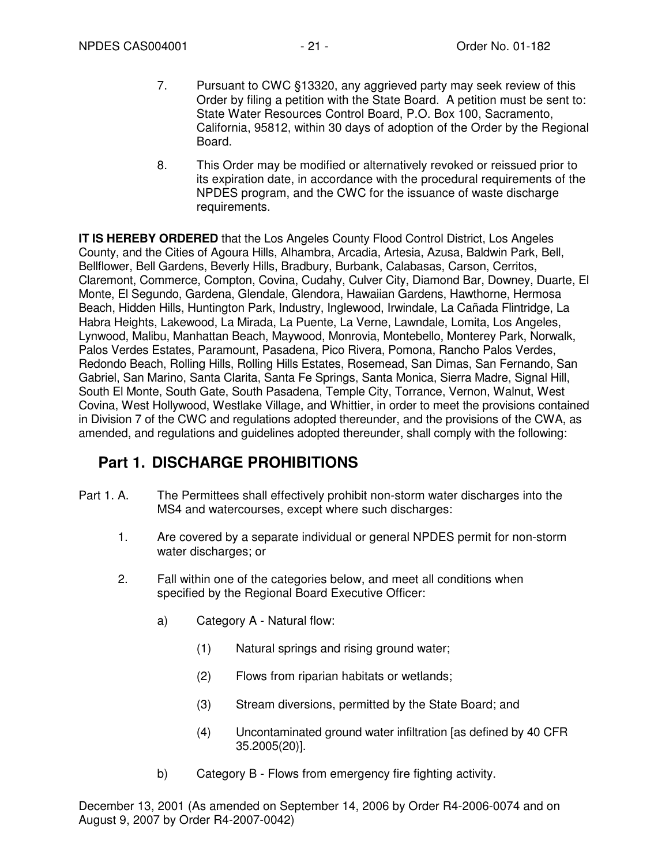- 7. Pursuant to CWC §13320, any aggrieved party may seek review of this Order by filing a petition with the State Board. A petition must be sent to: State Water Resources Control Board, P.O. Box 100, Sacramento, California, 95812, within 30 days of adoption of the Order by the Regional Board.
- 8. This Order may be modified or alternatively revoked or reissued prior to its expiration date, in accordance with the procedural requirements of the NPDES program, and the CWC for the issuance of waste discharge requirements.

**IT IS HEREBY ORDERED** that the Los Angeles County Flood Control District, Los Angeles County, and the Cities of Agoura Hills, Alhambra, Arcadia, Artesia, Azusa, Baldwin Park, Bell, Bellflower, Bell Gardens, Beverly Hills, Bradbury, Burbank, Calabasas, Carson, Cerritos, Claremont, Commerce, Compton, Covina, Cudahy, Culver City, Diamond Bar, Downey, Duarte, El Monte, El Segundo, Gardena, Glendale, Glendora, Hawaiian Gardens, Hawthorne, Hermosa Beach, Hidden Hills, Huntington Park, Industry, Inglewood, Irwindale, La Cañada Flintridge, La Habra Heights, Lakewood, La Mirada, La Puente, La Verne, Lawndale, Lomita, Los Angeles, Lynwood, Malibu, Manhattan Beach, Maywood, Monrovia, Montebello, Monterey Park, Norwalk, Palos Verdes Estates, Paramount, Pasadena, Pico Rivera, Pomona, Rancho Palos Verdes, Redondo Beach, Rolling Hills, Rolling Hills Estates, Rosemead, San Dimas, San Fernando, San Gabriel, San Marino, Santa Clarita, Santa Fe Springs, Santa Monica, Sierra Madre, Signal Hill, South El Monte, South Gate, South Pasadena, Temple City, Torrance, Vernon, Walnut, West Covina, West Hollywood, Westlake Village, and Whittier, in order to meet the provisions contained in Division 7 of the CWC and regulations adopted thereunder, and the provisions of the CWA, as amended, and regulations and guidelines adopted thereunder, shall comply with the following:

# **Part 1. DISCHARGE PROHIBITIONS**

- Part 1. A. The Permittees shall effectively prohibit non-storm water discharges into the MS4 and watercourses, except where such discharges:
	- 1. Are covered by a separate individual or general NPDES permit for non-storm water discharges; or
	- 2. Fall within one of the categories below, and meet all conditions when specified by the Regional Board Executive Officer:
		- a) Category A Natural flow:
			- (1) Natural springs and rising ground water;
			- (2) Flows from riparian habitats or wetlands;
			- (3) Stream diversions, permitted by the State Board; and
			- (4) Uncontaminated ground water infiltration [as defined by 40 CFR 35.2005(20)].
		- b) Category B Flows from emergency fire fighting activity.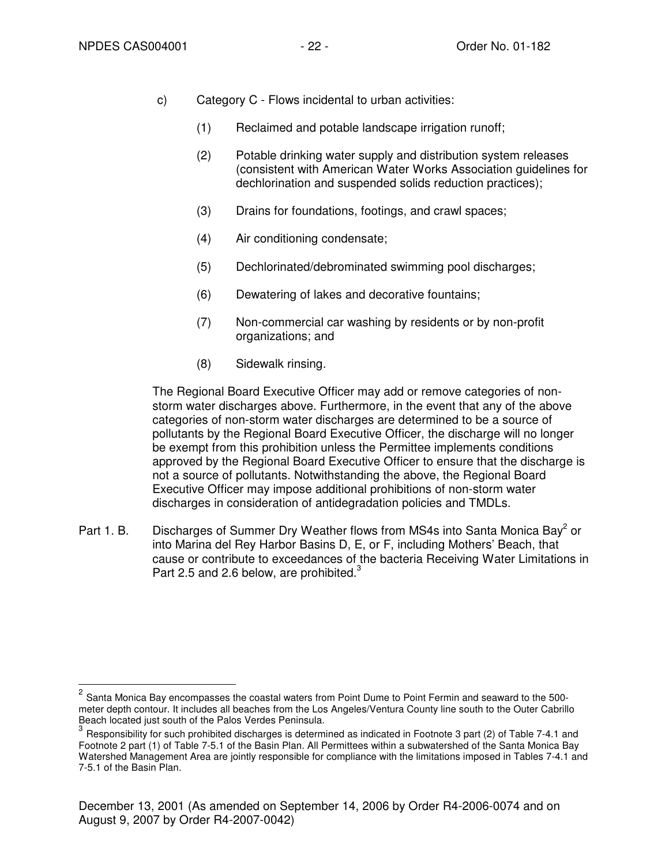- c) Category C Flows incidental to urban activities:
	- (1) Reclaimed and potable landscape irrigation runoff;
	- (2) Potable drinking water supply and distribution system releases (consistent with American Water Works Association guidelines for dechlorination and suspended solids reduction practices);
	- (3) Drains for foundations, footings, and crawl spaces;
	- (4) Air conditioning condensate;
	- (5) Dechlorinated/debrominated swimming pool discharges;
	- (6) Dewatering of lakes and decorative fountains;
	- (7) Non-commercial car washing by residents or by non-profit organizations; and
	- (8) Sidewalk rinsing.

The Regional Board Executive Officer may add or remove categories of nonstorm water discharges above. Furthermore, in the event that any of the above categories of non-storm water discharges are determined to be a source of pollutants by the Regional Board Executive Officer, the discharge will no longer be exempt from this prohibition unless the Permittee implements conditions approved by the Regional Board Executive Officer to ensure that the discharge is not a source of pollutants. Notwithstanding the above, the Regional Board Executive Officer may impose additional prohibitions of non-storm water discharges in consideration of antidegradation policies and TMDLs.

Part 1. B. Discharges of Summer Dry Weather flows from MS4s into Santa Monica Bay<sup>2</sup> or into Marina del Rey Harbor Basins D, E, or F, including Mothers' Beach, that cause or contribute to exceedances of the bacteria Receiving Water Limitations in Part 2.5 and 2.6 below, are prohibited. $3$ 

<sup>2</sup> Santa Monica Bay encompasses the coastal waters from Point Dume to Point Fermin and seaward to the 500 meter depth contour. It includes all beaches from the Los Angeles/Ventura County line south to the Outer Cabrillo Beach located just south of the Palos Verdes Peninsula.

<sup>3</sup> Responsibility for such prohibited discharges is determined as indicated in Footnote 3 part (2) of Table 7-4.1 and Footnote 2 part (1) of Table 7-5.1 of the Basin Plan. All Permittees within a subwatershed of the Santa Monica Bay Watershed Management Area are jointly responsible for compliance with the limitations imposed in Tables 7-4.1 and 7-5.1 of the Basin Plan.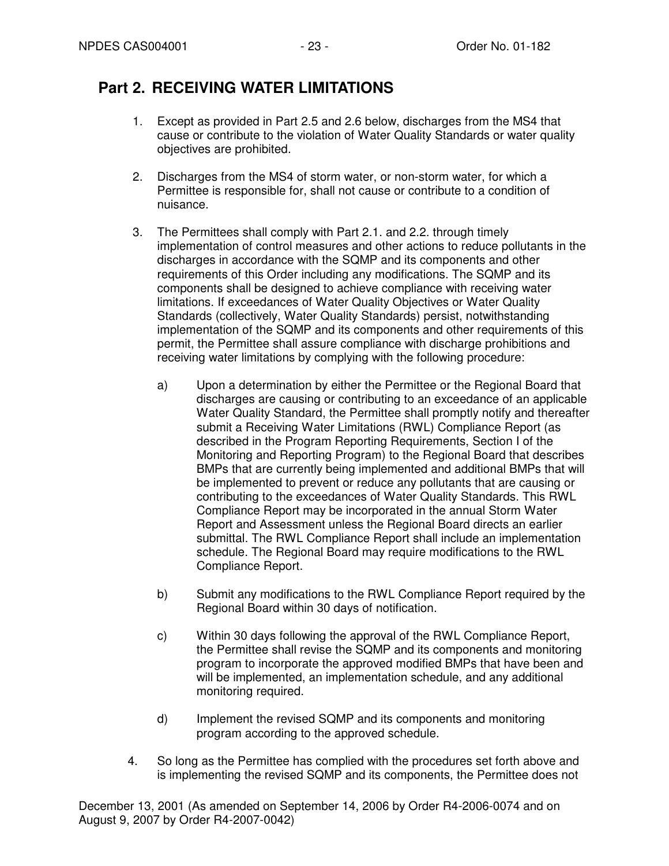# **Part 2. RECEIVING WATER LIMITATIONS**

- 1. Except as provided in Part 2.5 and 2.6 below, discharges from the MS4 that cause or contribute to the violation of Water Quality Standards or water quality objectives are prohibited.
- 2. Discharges from the MS4 of storm water, or non-storm water, for which a Permittee is responsible for, shall not cause or contribute to a condition of nuisance.
- 3. The Permittees shall comply with Part 2.1. and 2.2. through timely implementation of control measures and other actions to reduce pollutants in the discharges in accordance with the SQMP and its components and other requirements of this Order including any modifications. The SQMP and its components shall be designed to achieve compliance with receiving water limitations. If exceedances of Water Quality Objectives or Water Quality Standards (collectively, Water Quality Standards) persist, notwithstanding implementation of the SQMP and its components and other requirements of this permit, the Permittee shall assure compliance with discharge prohibitions and receiving water limitations by complying with the following procedure:
	- a) Upon a determination by either the Permittee or the Regional Board that discharges are causing or contributing to an exceedance of an applicable Water Quality Standard, the Permittee shall promptly notify and thereafter submit a Receiving Water Limitations (RWL) Compliance Report (as described in the Program Reporting Requirements, Section I of the Monitoring and Reporting Program) to the Regional Board that describes BMPs that are currently being implemented and additional BMPs that will be implemented to prevent or reduce any pollutants that are causing or contributing to the exceedances of Water Quality Standards. This RWL Compliance Report may be incorporated in the annual Storm Water Report and Assessment unless the Regional Board directs an earlier submittal. The RWL Compliance Report shall include an implementation schedule. The Regional Board may require modifications to the RWL Compliance Report.
	- b) Submit any modifications to the RWL Compliance Report required by the Regional Board within 30 days of notification.
	- c) Within 30 days following the approval of the RWL Compliance Report, the Permittee shall revise the SQMP and its components and monitoring program to incorporate the approved modified BMPs that have been and will be implemented, an implementation schedule, and any additional monitoring required.
	- d) Implement the revised SQMP and its components and monitoring program according to the approved schedule.
- 4. So long as the Permittee has complied with the procedures set forth above and is implementing the revised SQMP and its components, the Permittee does not

December 13, 2001 (As amended on September 14, 2006 by Order R4-2006-0074 and on August 9, 2007 by Order R4-2007-0042)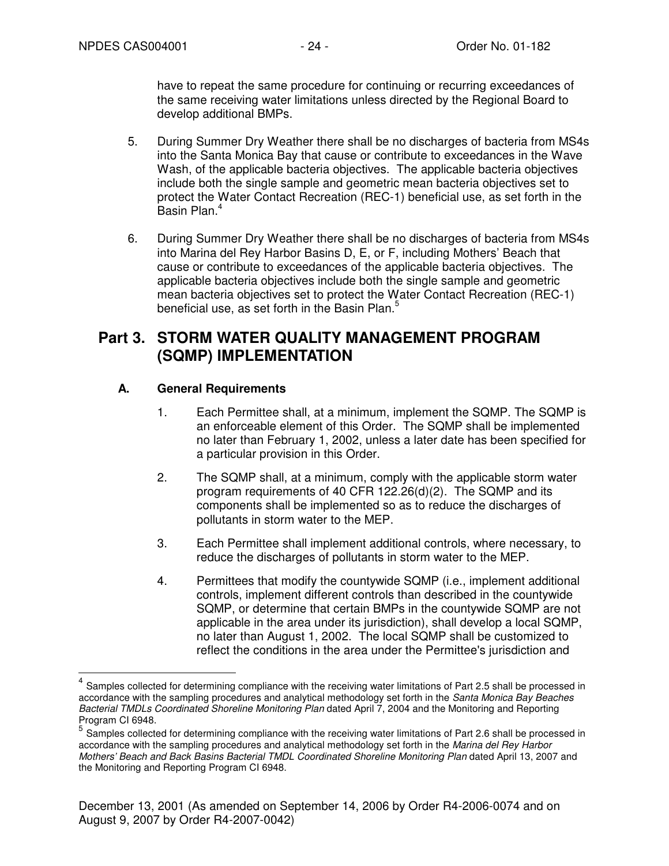have to repeat the same procedure for continuing or recurring exceedances of the same receiving water limitations unless directed by the Regional Board to develop additional BMPs.

- 5. During Summer Dry Weather there shall be no discharges of bacteria from MS4s into the Santa Monica Bay that cause or contribute to exceedances in the Wave Wash, of the applicable bacteria objectives. The applicable bacteria objectives include both the single sample and geometric mean bacteria objectives set to protect the Water Contact Recreation (REC-1) beneficial use, as set forth in the .<br>Basin Plan.<sup>4</sup>
- 6. During Summer Dry Weather there shall be no discharges of bacteria from MS4s into Marina del Rey Harbor Basins D, E, or F, including Mothers' Beach that cause or contribute to exceedances of the applicable bacteria objectives. The applicable bacteria objectives include both the single sample and geometric mean bacteria objectives set to protect the Water Contact Recreation (REC-1) beneficial use, as set forth in the Basin Plan.<sup>5</sup>

# **Part 3. STORM WATER QUALITY MANAGEMENT PROGRAM (SQMP) IMPLEMENTATION**

# **A. General Requirements**

- 1. Each Permittee shall, at a minimum, implement the SQMP. The SQMP is an enforceable element of this Order. The SQMP shall be implemented no later than February 1, 2002, unless a later date has been specified for a particular provision in this Order.
- 2. The SQMP shall, at a minimum, comply with the applicable storm water program requirements of 40 CFR 122.26(d)(2). The SQMP and its components shall be implemented so as to reduce the discharges of pollutants in storm water to the MEP.
- 3. Each Permittee shall implement additional controls, where necessary, to reduce the discharges of pollutants in storm water to the MEP.
- 4. Permittees that modify the countywide SQMP (i.e., implement additional controls, implement different controls than described in the countywide SQMP, or determine that certain BMPs in the countywide SQMP are not applicable in the area under its jurisdiction), shall develop a local SQMP, no later than August 1, 2002. The local SQMP shall be customized to reflect the conditions in the area under the Permittee's jurisdiction and

<sup>4</sup> Samples collected for determining compliance with the receiving water limitations of Part 2.5 shall be processed in accordance with the sampling procedures and analytical methodology set forth in the *Santa Monica Bay Beaches Bacterial TMDLs Coordinated Shoreline Monitoring Plan* dated April 7, 2004 and the Monitoring and Reporting Program CI 6948.

<sup>5</sup> Samples collected for determining compliance with the receiving water limitations of Part 2.6 shall be processed in accordance with the sampling procedures and analytical methodology set forth in the *Marina del Rey Harbor Mothers' Beach and Back Basins Bacterial TMDL Coordinated Shoreline Monitoring Plan* dated April 13, 2007 and the Monitoring and Reporting Program CI 6948.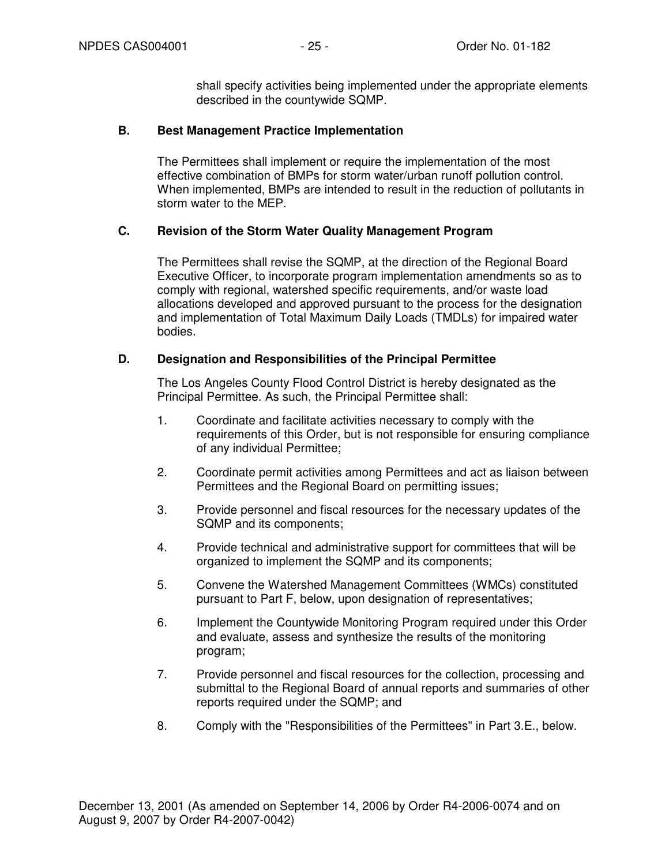shall specify activities being implemented under the appropriate elements described in the countywide SQMP.

# **B. Best Management Practice Implementation**

The Permittees shall implement or require the implementation of the most effective combination of BMPs for storm water/urban runoff pollution control. When implemented, BMPs are intended to result in the reduction of pollutants in storm water to the MEP.

## **C. Revision of the Storm Water Quality Management Program**

The Permittees shall revise the SQMP, at the direction of the Regional Board Executive Officer, to incorporate program implementation amendments so as to comply with regional, watershed specific requirements, and/or waste load allocations developed and approved pursuant to the process for the designation and implementation of Total Maximum Daily Loads (TMDLs) for impaired water bodies.

## **D. Designation and Responsibilities of the Principal Permittee**

The Los Angeles County Flood Control District is hereby designated as the Principal Permittee. As such, the Principal Permittee shall:

- 1. Coordinate and facilitate activities necessary to comply with the requirements of this Order, but is not responsible for ensuring compliance of any individual Permittee;
- 2. Coordinate permit activities among Permittees and act as liaison between Permittees and the Regional Board on permitting issues;
- 3. Provide personnel and fiscal resources for the necessary updates of the SQMP and its components;
- 4. Provide technical and administrative support for committees that will be organized to implement the SQMP and its components;
- 5. Convene the Watershed Management Committees (WMCs) constituted pursuant to Part F, below, upon designation of representatives;
- 6. Implement the Countywide Monitoring Program required under this Order and evaluate, assess and synthesize the results of the monitoring program;
- 7. Provide personnel and fiscal resources for the collection, processing and submittal to the Regional Board of annual reports and summaries of other reports required under the SQMP; and
- 8. Comply with the "Responsibilities of the Permittees" in Part 3.E., below.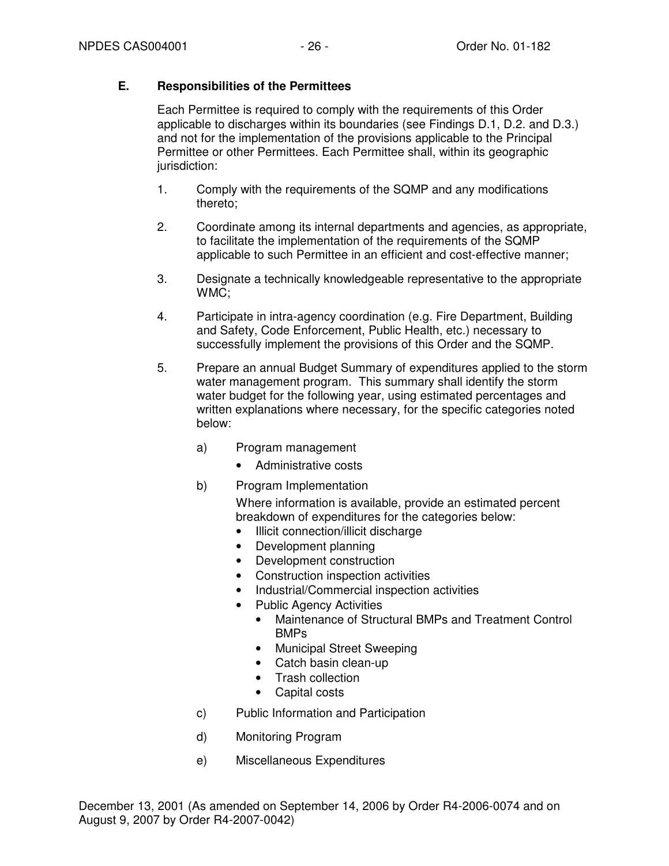### **E. Responsibilities of the Permittees**

Each Permittee is required to comply with the requirements of this Order applicable to discharges within its boundaries (see Findings D.1, D.2. and D.3.) and not for the implementation of the provisions applicable to the Principal Permittee or other Permittees. Each Permittee shall, within its geographic jurisdiction:

- 1. Comply with the requirements of the SQMP and any modifications thereto;
- 2. Coordinate among its internal departments and agencies, as appropriate, to facilitate the implementation of the requirements of the SQMP applicable to such Permittee in an efficient and cost-effective manner;
- 3. Designate a technically knowledgeable representative to the appropriate WMC;
- 4. Participate in intra-agency coordination (e.g. Fire Department, Building and Safety, Code Enforcement, Public Health, etc.) necessary to successfully implement the provisions of this Order and the SQMP.
- 5. Prepare an annual Budget Summary of expenditures applied to the storm water management program. This summary shall identify the storm water budget for the following year, using estimated percentages and written explanations where necessary, for the specific categories noted below:
	- a) Program management
		- Administrative costs
	- b) Program Implementation

Where information is available, provide an estimated percent breakdown of expenditures for the categories below:

- Illicit connection/illicit discharge
- Development planning
- Development construction
- Construction inspection activities
- Industrial/Commercial inspection activities
- Public Agency Activities
	- Maintenance of Structural BMPs and Treatment Control BMPs
	- Municipal Street Sweeping
	- Catch basin clean-up
	- Trash collection
	- Capital costs
- c) Public Information and Participation
- d) Monitoring Program
- e) Miscellaneous Expenditures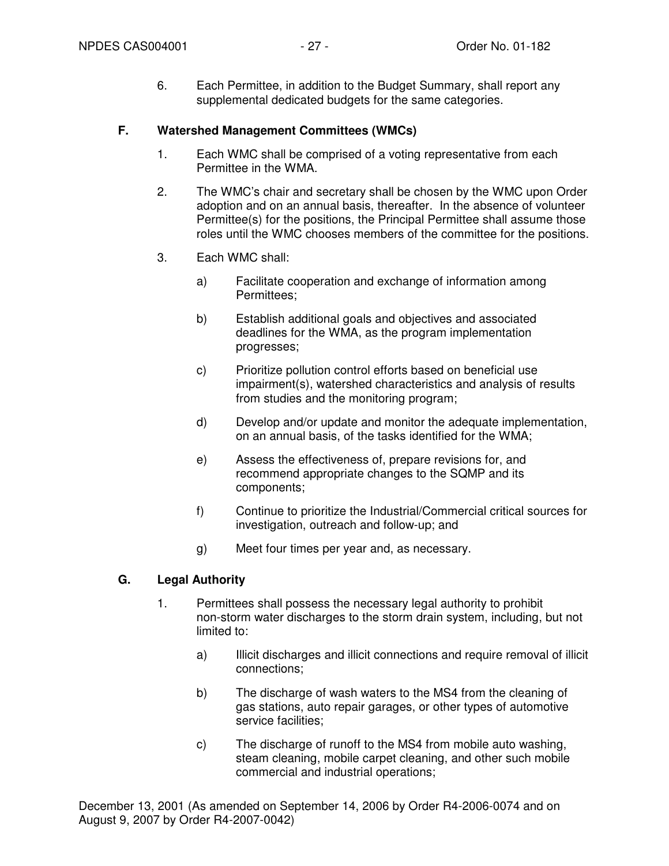6. Each Permittee, in addition to the Budget Summary, shall report any supplemental dedicated budgets for the same categories.

## **F. Watershed Management Committees (WMCs)**

- 1. Each WMC shall be comprised of a voting representative from each Permittee in the WMA.
- 2. The WMC's chair and secretary shall be chosen by the WMC upon Order adoption and on an annual basis, thereafter. In the absence of volunteer Permittee(s) for the positions, the Principal Permittee shall assume those roles until the WMC chooses members of the committee for the positions.
- 3. Each WMC shall:
	- a) Facilitate cooperation and exchange of information among Permittees;
	- b) Establish additional goals and objectives and associated deadlines for the WMA, as the program implementation progresses;
	- c) Prioritize pollution control efforts based on beneficial use impairment(s), watershed characteristics and analysis of results from studies and the monitoring program;
	- d) Develop and/or update and monitor the adequate implementation, on an annual basis, of the tasks identified for the WMA;
	- e) Assess the effectiveness of, prepare revisions for, and recommend appropriate changes to the SQMP and its components;
	- f) Continue to prioritize the Industrial/Commercial critical sources for investigation, outreach and follow-up; and
	- g) Meet four times per year and, as necessary.

### **G. Legal Authority**

- 1. Permittees shall possess the necessary legal authority to prohibit non-storm water discharges to the storm drain system, including, but not limited to:
	- a) Illicit discharges and illicit connections and require removal of illicit connections;
	- b) The discharge of wash waters to the MS4 from the cleaning of gas stations, auto repair garages, or other types of automotive service facilities;
	- c) The discharge of runoff to the MS4 from mobile auto washing, steam cleaning, mobile carpet cleaning, and other such mobile commercial and industrial operations;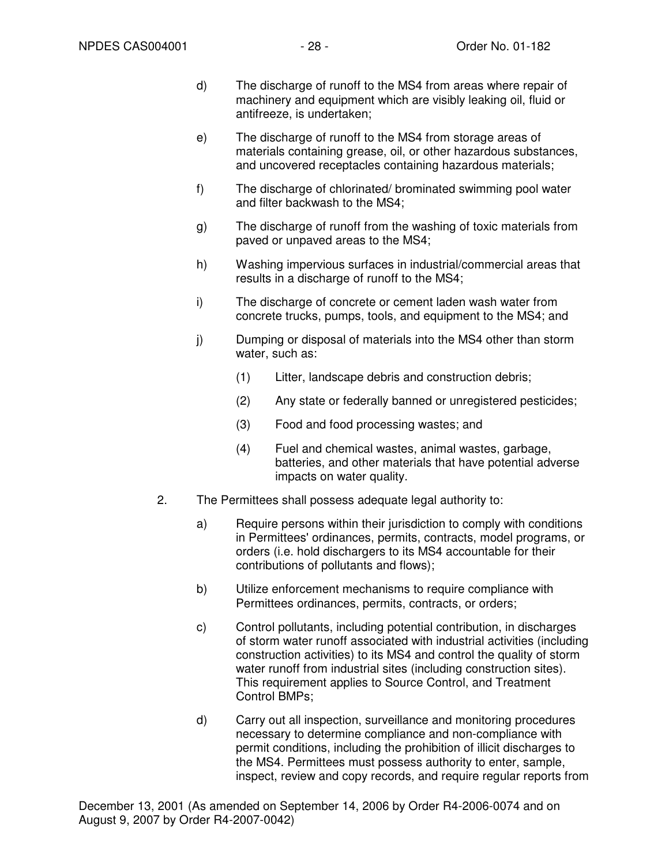- d) The discharge of runoff to the MS4 from areas where repair of machinery and equipment which are visibly leaking oil, fluid or antifreeze, is undertaken;
- e) The discharge of runoff to the MS4 from storage areas of materials containing grease, oil, or other hazardous substances, and uncovered receptacles containing hazardous materials;
- f) The discharge of chlorinated/ brominated swimming pool water and filter backwash to the MS4;
- g) The discharge of runoff from the washing of toxic materials from paved or unpaved areas to the MS4;
- h) Washing impervious surfaces in industrial/commercial areas that results in a discharge of runoff to the MS4;
- i) The discharge of concrete or cement laden wash water from concrete trucks, pumps, tools, and equipment to the MS4; and
- j) Dumping or disposal of materials into the MS4 other than storm water, such as:
	- (1) Litter, landscape debris and construction debris;
	- (2) Any state or federally banned or unregistered pesticides;
	- (3) Food and food processing wastes; and
	- (4) Fuel and chemical wastes, animal wastes, garbage, batteries, and other materials that have potential adverse impacts on water quality.
- 2. The Permittees shall possess adequate legal authority to:
	- a) Require persons within their jurisdiction to comply with conditions in Permittees'ordinances, permits, contracts, model programs, or orders (i.e. hold dischargers to its MS4 accountable for their contributions of pollutants and flows);
	- b) Utilize enforcement mechanisms to require compliance with Permittees ordinances, permits, contracts, or orders;
	- c) Control pollutants, including potential contribution, in discharges of storm water runoff associated with industrial activities (including construction activities) to its MS4 and control the quality of storm water runoff from industrial sites (including construction sites). This requirement applies to Source Control, and Treatment Control BMPs;
	- d) Carry out all inspection, surveillance and monitoring procedures necessary to determine compliance and non-compliance with permit conditions, including the prohibition of illicit discharges to the MS4. Permittees must possess authority to enter, sample, inspect, review and copy records, and require regular reports from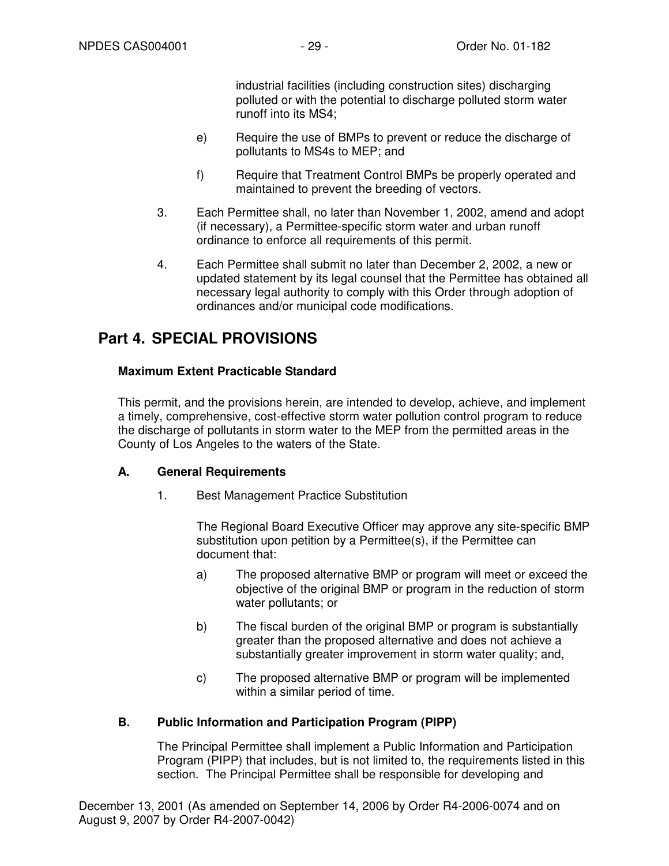industrial facilities (including construction sites) discharging polluted or with the potential to discharge polluted storm water runoff into its MS4;

- e) Require the use of BMPs to prevent or reduce the discharge of pollutants to MS4s to MEP; and
- f) Require that Treatment Control BMPs be properly operated and maintained to prevent the breeding of vectors.
- 3. Each Permittee shall, no later than November 1, 2002, amend and adopt (if necessary), a Permittee-specific storm water and urban runoff ordinance to enforce all requirements of this permit.
- 4. Each Permittee shall submit no later than December 2, 2002, a new or updated statement by its legal counsel that the Permittee has obtained all necessary legal authority to comply with this Order through adoption of ordinances and/or municipal code modifications.

# **Part 4. SPECIAL PROVISIONS**

# **Maximum Extent Practicable Standard**

This permit, and the provisions herein, are intended to develop, achieve, and implement a timely, comprehensive, cost-effective storm water pollution control program to reduce the discharge of pollutants in storm water to the MEP from the permitted areas in the County of Los Angeles to the waters of the State.

# **A. General Requirements**

1. Best Management Practice Substitution

The Regional Board Executive Officer may approve any site-specific BMP substitution upon petition by a Permittee(s), if the Permittee can document that:

- a) The proposed alternative BMP or program will meet or exceed the objective of the original BMP or program in the reduction of storm water pollutants; or
- b) The fiscal burden of the original BMP or program is substantially greater than the proposed alternative and does not achieve a substantially greater improvement in storm water quality; and,
- c) The proposed alternative BMP or program will be implemented within a similar period of time.

# **B. Public Information and Participation Program (PIPP)**

The Principal Permittee shall implement a Public Information and Participation Program (PIPP) that includes, but is not limited to, the requirements listed in this section. The Principal Permittee shall be responsible for developing and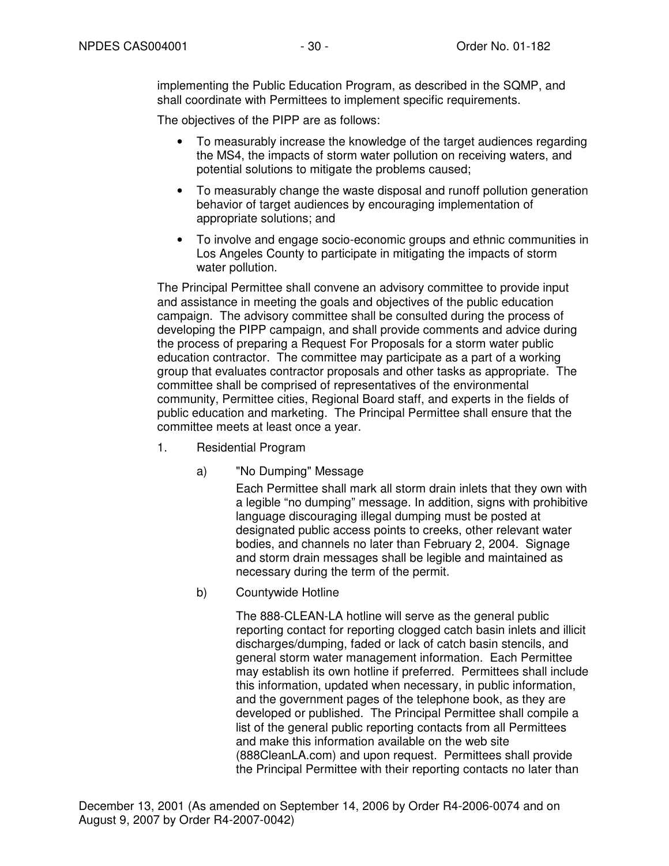implementing the Public Education Program, as described in the SQMP, and shall coordinate with Permittees to implement specific requirements.

The objectives of the PIPP are as follows:

- To measurably increase the knowledge of the target audiences regarding the MS4, the impacts of storm water pollution on receiving waters, and potential solutions to mitigate the problems caused;
- To measurably change the waste disposal and runoff pollution generation behavior of target audiences by encouraging implementation of appropriate solutions; and
- To involve and engage socio-economic groups and ethnic communities in Los Angeles County to participate in mitigating the impacts of storm water pollution.

The Principal Permittee shall convene an advisory committee to provide input and assistance in meeting the goals and objectives of the public education campaign. The advisory committee shall be consulted during the process of developing the PIPP campaign, and shall provide comments and advice during the process of preparing a Request For Proposals for a storm water public education contractor. The committee may participate as a part of a working group that evaluates contractor proposals and other tasks as appropriate. The committee shall be comprised of representatives of the environmental community, Permittee cities, Regional Board staff, and experts in the fields of public education and marketing. The Principal Permittee shall ensure that the committee meets at least once a year.

- 1. Residential Program
	- a) "No Dumping" Message

Each Permittee shall mark all storm drain inlets that they own with a legible "no dumping" message. In addition, signs with prohibitive language discouraging illegal dumping must be posted at designated public access points to creeks, other relevant water bodies, and channels no later than February 2, 2004. Signage and storm drain messages shall be legible and maintained as necessary during the term of the permit.

b) Countywide Hotline

The 888-CLEAN-LA hotline will serve as the general public reporting contact for reporting clogged catch basin inlets and illicit discharges/dumping, faded or lack of catch basin stencils, and general storm water management information. Each Permittee may establish its own hotline if preferred. Permittees shall include this information, updated when necessary, in public information, and the government pages of the telephone book, as they are developed or published. The Principal Permittee shall compile a list of the general public reporting contacts from all Permittees and make this information available on the web site (888CleanLA.com) and upon request. Permittees shall provide the Principal Permittee with their reporting contacts no later than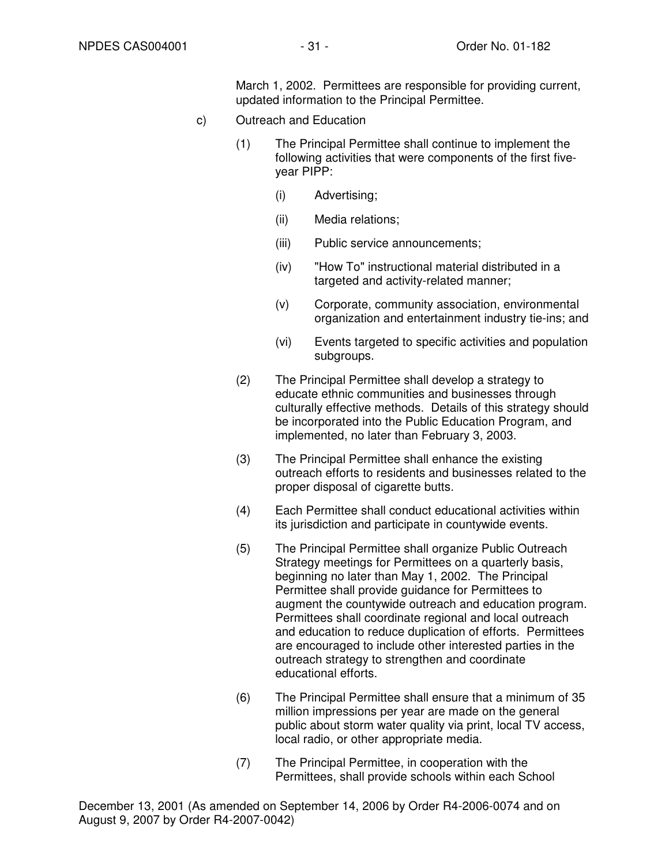March 1, 2002. Permittees are responsible for providing current, updated information to the Principal Permittee.

- c) Outreach and Education
	- (1) The Principal Permittee shall continue to implement the following activities that were components of the first fiveyear PIPP:
		- (i) Advertising;
		- (ii) Media relations;
		- (iii) Public service announcements;
		- (iv) "How To" instructional material distributed in a targeted and activity-related manner;
		- (v) Corporate, community association, environmental organization and entertainment industry tie-ins; and
		- (vi) Events targeted to specific activities and population subgroups.
	- (2) The Principal Permittee shall develop a strategy to educate ethnic communities and businesses through culturally effective methods. Details of this strategy should be incorporated into the Public Education Program, and implemented, no later than February 3, 2003.
	- (3) The Principal Permittee shall enhance the existing outreach efforts to residents and businesses related to the proper disposal of cigarette butts.
	- (4) Each Permittee shall conduct educational activities within its jurisdiction and participate in countywide events.
	- (5) The Principal Permittee shall organize Public Outreach Strategy meetings for Permittees on a quarterly basis, beginning no later than May 1, 2002. The Principal Permittee shall provide guidance for Permittees to augment the countywide outreach and education program. Permittees shall coordinate regional and local outreach and education to reduce duplication of efforts. Permittees are encouraged to include other interested parties in the outreach strategy to strengthen and coordinate educational efforts.
	- (6) The Principal Permittee shall ensure that a minimum of 35 million impressions per year are made on the general public about storm water quality via print, local TV access, local radio, or other appropriate media.
	- (7) The Principal Permittee, in cooperation with the Permittees, shall provide schools within each School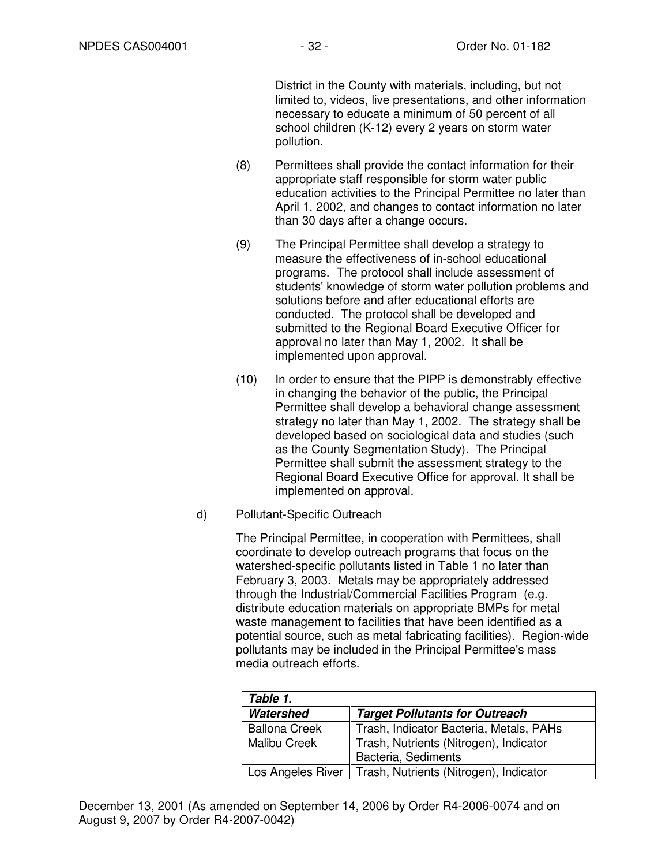District in the County with materials, including, but not limited to, videos, live presentations, and other information necessary to educate a minimum of 50 percent of all school children (K-12) every 2 years on storm water pollution.

- (8) Permittees shall provide the contact information for their appropriate staff responsible for storm water public education activities to the Principal Permittee no later than April 1, 2002, and changes to contact information no later than 30 days after a change occurs.
- (9) The Principal Permittee shall develop a strategy to measure the effectiveness of in-school educational programs. The protocol shall include assessment of students' knowledge of storm water pollution problems and solutions before and after educational efforts are conducted. The protocol shall be developed and submitted to the Regional Board Executive Officer for approval no later than May 1, 2002. It shall be implemented upon approval.
- (10) In order to ensure that the PIPP is demonstrably effective in changing the behavior of the public, the Principal Permittee shall develop a behavioral change assessment strategy no later than May 1, 2002. The strategy shall be developed based on sociological data and studies (such as the County Segmentation Study). The Principal Permittee shall submit the assessment strategy to the Regional Board Executive Office for approval. It shall be implemented on approval.
- d) Pollutant-Specific Outreach

The Principal Permittee, in cooperation with Permittees, shall coordinate to develop outreach programs that focus on the watershed-specific pollutants listed in Table 1 no later than February 3, 2003. Metals may be appropriately addressed through the Industrial/Commercial Facilities Program (e.g. distribute education materials on appropriate BMPs for metal waste management to facilities that have been identified as a potential source, such as metal fabricating facilities). Region-wide pollutants may be included in the Principal Permittee's mass media outreach efforts.

| Table 1.             |                                         |  |  |
|----------------------|-----------------------------------------|--|--|
| Watershed            | <b>Target Pollutants for Outreach</b>   |  |  |
| <b>Ballona Creek</b> | Trash, Indicator Bacteria, Metals, PAHs |  |  |
| <b>Malibu Creek</b>  | Trash, Nutrients (Nitrogen), Indicator  |  |  |
|                      | Bacteria, Sediments                     |  |  |
| Los Angeles River    | Trash, Nutrients (Nitrogen), Indicator  |  |  |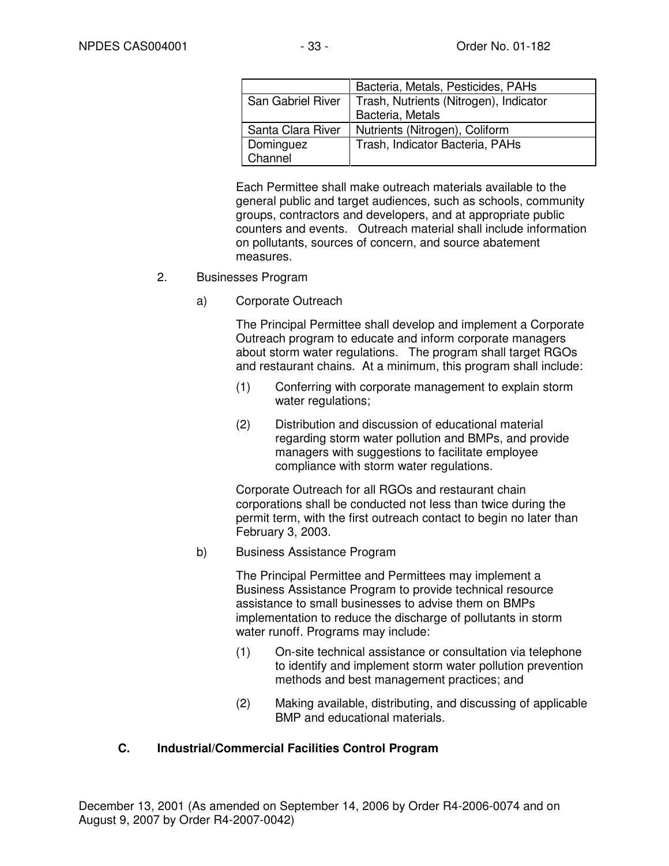|                   | Bacteria, Metals, Pesticides, PAHs     |
|-------------------|----------------------------------------|
| San Gabriel River | Trash, Nutrients (Nitrogen), Indicator |
|                   | Bacteria, Metals                       |
| Santa Clara River | Nutrients (Nitrogen), Coliform         |
| Dominguez         | Trash, Indicator Bacteria, PAHs        |
| Channel           |                                        |

Each Permittee shall make outreach materials available to the general public and target audiences, such as schools, community groups, contractors and developers, and at appropriate public counters and events. Outreach material shall include information on pollutants, sources of concern, and source abatement measures.

### 2. Businesses Program

a) Corporate Outreach

The Principal Permittee shall develop and implement a Corporate Outreach program to educate and inform corporate managers about storm water regulations. The program shall target RGOs and restaurant chains. At a minimum, this program shall include:

- (1) Conferring with corporate management to explain storm water regulations:
- (2) Distribution and discussion of educational material regarding storm water pollution and BMPs, and provide managers with suggestions to facilitate employee compliance with storm water regulations.

Corporate Outreach for all RGOs and restaurant chain corporations shall be conducted not less than twice during the permit term, with the first outreach contact to begin no later than February 3, 2003.

b) Business Assistance Program

The Principal Permittee and Permittees may implement a Business Assistance Program to provide technical resource assistance to small businesses to advise them on BMPs implementation to reduce the discharge of pollutants in storm water runoff. Programs may include:

- (1) On-site technical assistance or consultation via telephone to identify and implement storm water pollution prevention methods and best management practices; and
- (2) Making available, distributing, and discussing of applicable BMP and educational materials.

### **C. Industrial/Commercial Facilities Control Program**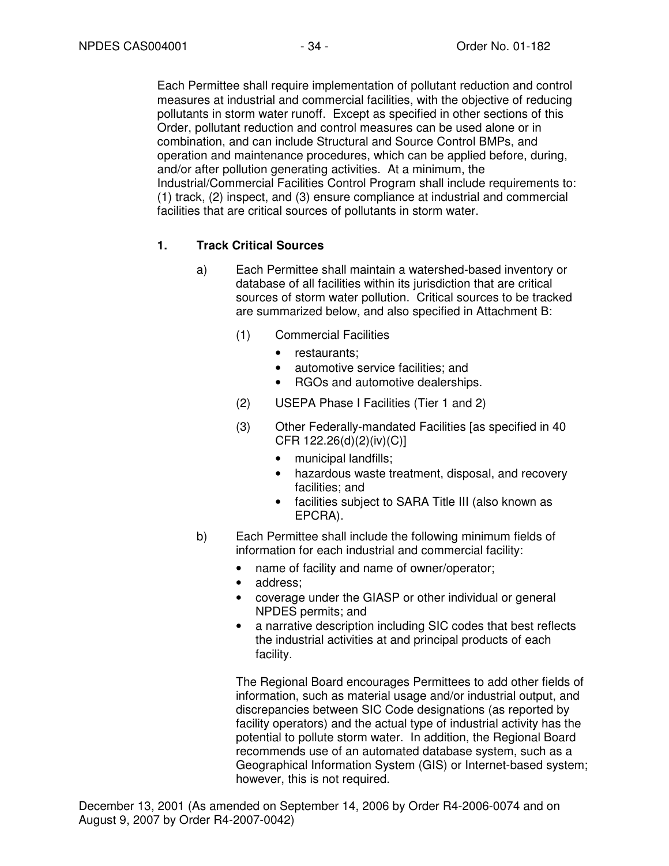Each Permittee shall require implementation of pollutant reduction and control measures at industrial and commercial facilities, with the objective of reducing pollutants in storm water runoff. Except as specified in other sections of this Order, pollutant reduction and control measures can be used alone or in combination, and can include Structural and Source Control BMPs, and operation and maintenance procedures, which can be applied before, during, and/or after pollution generating activities. At a minimum, the Industrial/Commercial Facilities Control Program shall include requirements to: (1) track, (2) inspect, and (3) ensure compliance at industrial and commercial facilities that are critical sources of pollutants in storm water.

# **1. Track Critical Sources**

- a) Each Permittee shall maintain a watershed-based inventory or database of all facilities within its jurisdiction that are critical sources of storm water pollution. Critical sources to be tracked are summarized below, and also specified in Attachment B:
	- (1) Commercial Facilities
		- restaurants;
		- automotive service facilities; and
		- RGOs and automotive dealerships.
	- (2) USEPA Phase I Facilities (Tier 1 and 2)
	- (3) Other Federally-mandated Facilities [as specified in 40 CFR 122.26(d)(2)(iv)(C)]
		- municipal landfills:
		- hazardous waste treatment, disposal, and recovery facilities; and
		- facilities subject to SARA Title III (also known as EPCRA).
- b) Each Permittee shall include the following minimum fields of information for each industrial and commercial facility:
	- name of facility and name of owner/operator;
	- address:
	- coverage under the GIASP or other individual or general NPDES permits; and
	- a narrative description including SIC codes that best reflects the industrial activities at and principal products of each facility.

The Regional Board encourages Permittees to add other fields of information, such as material usage and/or industrial output, and discrepancies between SIC Code designations (as reported by facility operators) and the actual type of industrial activity has the potential to pollute storm water. In addition, the Regional Board recommends use of an automated database system, such as a Geographical Information System (GIS) or Internet-based system; however, this is not required.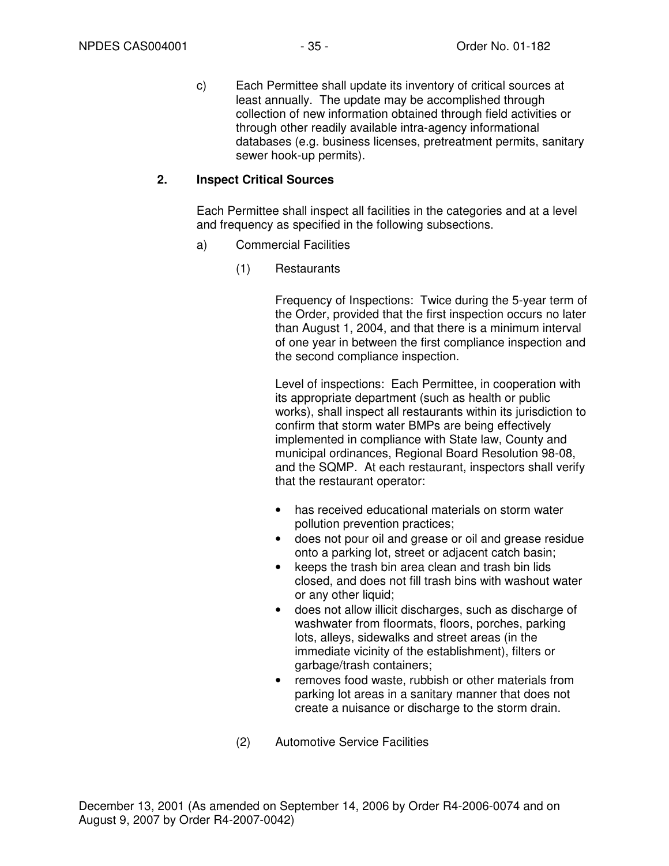c) Each Permittee shall update its inventory of critical sources at least annually. The update may be accomplished through collection of new information obtained through field activities or through other readily available intra-agency informational databases (e.g. business licenses, pretreatment permits, sanitary sewer hook-up permits).

### **2. Inspect Critical Sources**

Each Permittee shall inspect all facilities in the categories and at a level and frequency as specified in the following subsections.

- a) Commercial Facilities
	- (1) Restaurants

Frequency of Inspections: Twice during the 5-year term of the Order, provided that the first inspection occurs no later than August 1, 2004, and that there is a minimum interval of one year in between the first compliance inspection and the second compliance inspection.

Level of inspections: Each Permittee, in cooperation with its appropriate department (such as health or public works), shall inspect all restaurants within its jurisdiction to confirm that storm water BMPs are being effectively implemented in compliance with State law, County and municipal ordinances, Regional Board Resolution 98-08, and the SQMP. At each restaurant, inspectors shall verify that the restaurant operator:

- has received educational materials on storm water pollution prevention practices;
- does not pour oil and grease or oil and grease residue onto a parking lot, street or adjacent catch basin;
- keeps the trash bin area clean and trash bin lids closed, and does not fill trash bins with washout water or any other liquid;
- does not allow illicit discharges, such as discharge of washwater from floormats, floors, porches, parking lots, alleys, sidewalks and street areas (in the immediate vicinity of the establishment), filters or garbage/trash containers;
- removes food waste, rubbish or other materials from parking lot areas in a sanitary manner that does not create a nuisance or discharge to the storm drain.
- (2) Automotive Service Facilities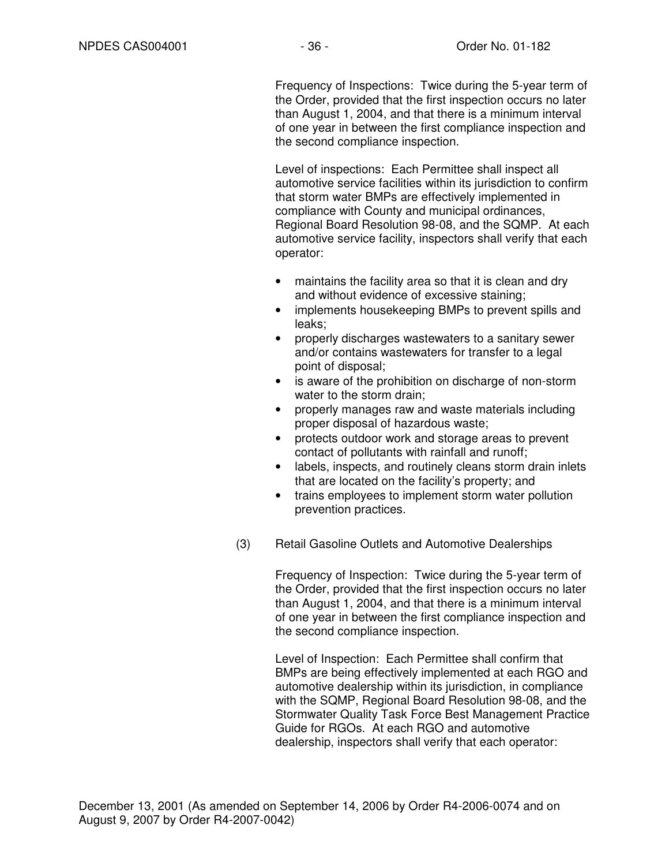Frequency of Inspections: Twice during the 5-year term of the Order, provided that the first inspection occurs no later than August 1, 2004, and that there is a minimum interval of one year in between the first compliance inspection and the second compliance inspection.

Level of inspections: Each Permittee shall inspect all automotive service facilities within its jurisdiction to confirm that storm water BMPs are effectively implemented in compliance with County and municipal ordinances, Regional Board Resolution 98-08, and the SQMP. At each automotive service facility, inspectors shall verify that each operator:

- maintains the facility area so that it is clean and dry and without evidence of excessive staining;
- implements housekeeping BMPs to prevent spills and leaks;
- properly discharges wastewaters to a sanitary sewer and/or contains wastewaters for transfer to a legal point of disposal;
- is aware of the prohibition on discharge of non-storm water to the storm drain;
- properly manages raw and waste materials including proper disposal of hazardous waste;
- protects outdoor work and storage areas to prevent contact of pollutants with rainfall and runoff;
- labels, inspects, and routinely cleans storm drain inlets that are located on the facility's property; and
- trains employees to implement storm water pollution prevention practices.
- (3) Retail Gasoline Outlets and Automotive Dealerships

Frequency of Inspection: Twice during the 5-year term of the Order, provided that the first inspection occurs no later than August 1, 2004, and that there is a minimum interval of one year in between the first compliance inspection and the second compliance inspection.

Level of Inspection: Each Permittee shall confirm that BMPs are being effectively implemented at each RGO and automotive dealership within its jurisdiction, in compliance with the SQMP, Regional Board Resolution 98-08, and the Stormwater Quality Task Force Best Management Practice Guide for RGOs. At each RGO and automotive dealership, inspectors shall verify that each operator: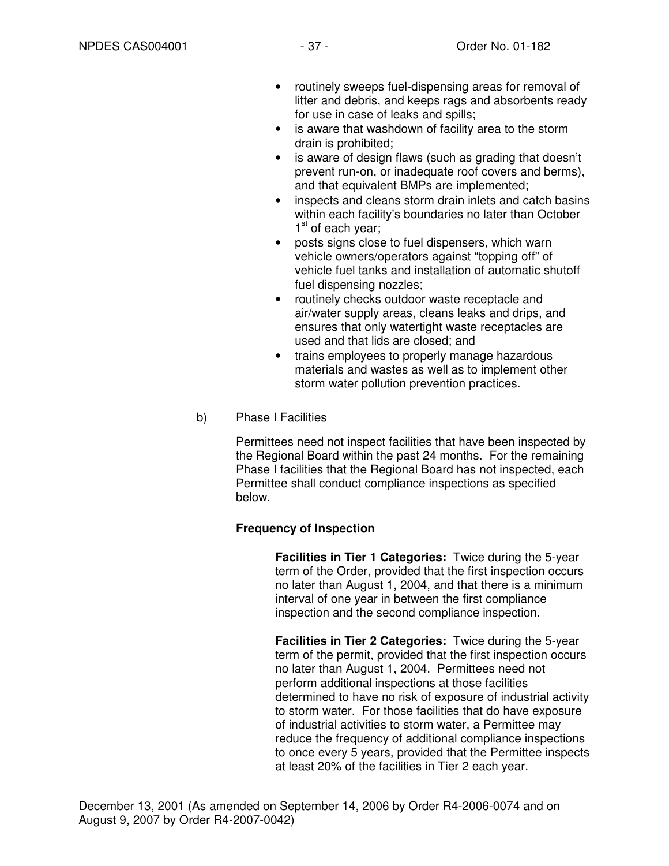- routinely sweeps fuel-dispensing areas for removal of litter and debris, and keeps rags and absorbents ready for use in case of leaks and spills;
- is aware that washdown of facility area to the storm drain is prohibited;
- is aware of design flaws (such as grading that doesn't prevent run-on, or inadequate roof covers and berms), and that equivalent BMPs are implemented;
- inspects and cleans storm drain inlets and catch basins within each facility's boundaries no later than October 1st of each year;
- posts signs close to fuel dispensers, which warn vehicle owners/operators against "topping off" of vehicle fuel tanks and installation of automatic shutoff fuel dispensing nozzles;
- routinely checks outdoor waste receptacle and air/water supply areas, cleans leaks and drips, and ensures that only watertight waste receptacles are used and that lids are closed; and
- trains employees to properly manage hazardous materials and wastes as well as to implement other storm water pollution prevention practices.
- b) Phase I Facilities

Permittees need not inspect facilities that have been inspected by the Regional Board within the past 24 months. For the remaining Phase I facilities that the Regional Board has not inspected, each Permittee shall conduct compliance inspections as specified below.

## **Frequency of Inspection**

**Facilities in Tier 1 Categories:** Twice during the 5-year term of the Order, provided that the first inspection occurs no later than August 1, 2004, and that there is a minimum interval of one year in between the first compliance inspection and the second compliance inspection.

**Facilities in Tier 2 Categories:** Twice during the 5-year term of the permit, provided that the first inspection occurs no later than August 1, 2004. Permittees need not perform additional inspections at those facilities determined to have no risk of exposure of industrial activity to storm water. For those facilities that do have exposure of industrial activities to storm water, a Permittee may reduce the frequency of additional compliance inspections to once every 5 years, provided that the Permittee inspects at least 20% of the facilities in Tier 2 each year.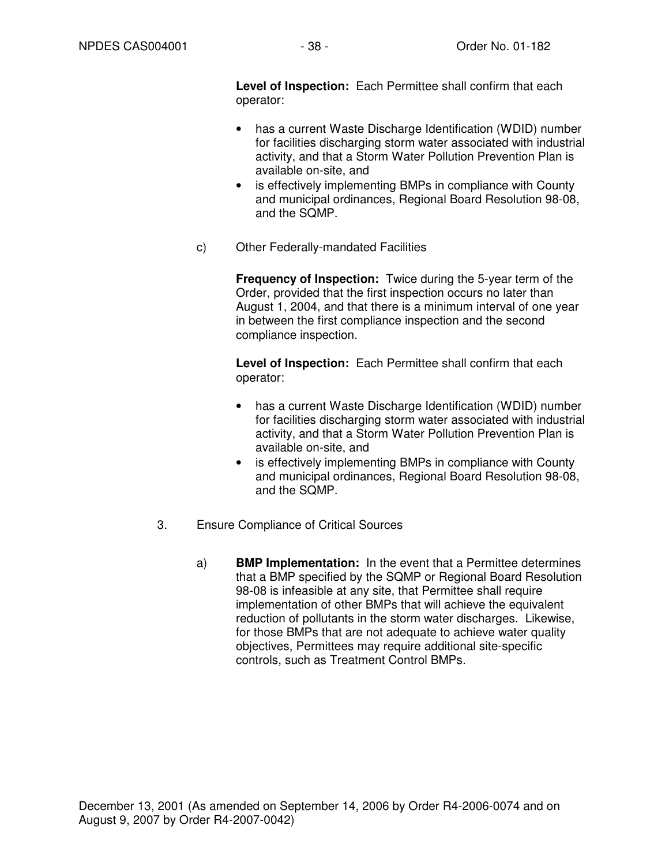**Level of Inspection:** Each Permittee shall confirm that each operator:

- has a current Waste Discharge Identification (WDID) number for facilities discharging storm water associated with industrial activity, and that a Storm Water Pollution Prevention Plan is available on-site, and
- is effectively implementing BMPs in compliance with County and municipal ordinances, Regional Board Resolution 98-08, and the SQMP.
- c) Other Federally-mandated Facilities

**Frequency of Inspection:** Twice during the 5-year term of the Order, provided that the first inspection occurs no later than August 1, 2004, and that there is a minimum interval of one year in between the first compliance inspection and the second compliance inspection.

**Level of Inspection:** Each Permittee shall confirm that each operator:

- has a current Waste Discharge Identification (WDID) number for facilities discharging storm water associated with industrial activity, and that a Storm Water Pollution Prevention Plan is available on-site, and
- is effectively implementing BMPs in compliance with County and municipal ordinances, Regional Board Resolution 98-08, and the SQMP.
- 3. Ensure Compliance of Critical Sources
	- a) **BMP Implementation:** In the event that a Permittee determines that a BMP specified by the SQMP or Regional Board Resolution 98-08 is infeasible at any site, that Permittee shall require implementation of other BMPs that will achieve the equivalent reduction of pollutants in the storm water discharges. Likewise, for those BMPs that are not adequate to achieve water quality objectives, Permittees may require additional site-specific controls, such as Treatment Control BMPs.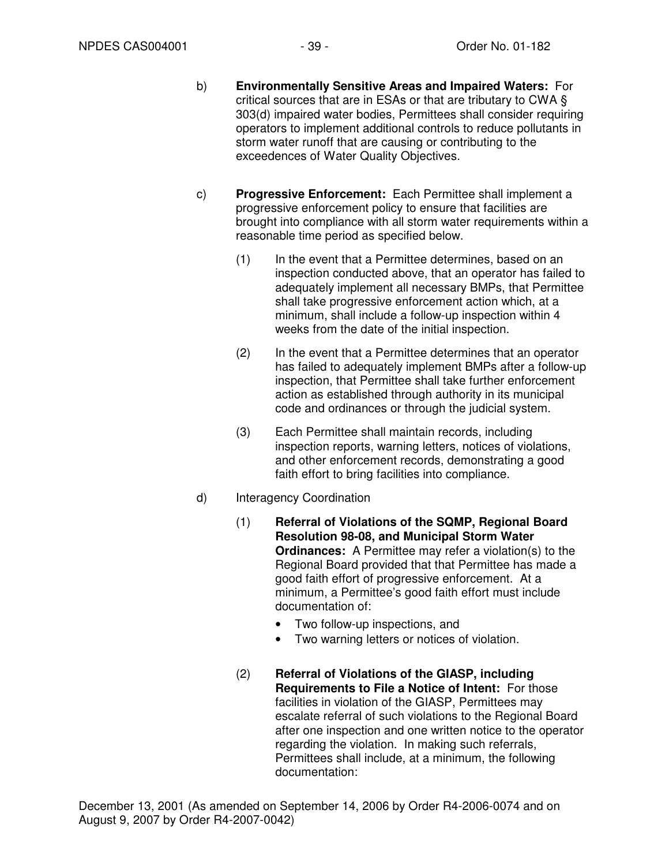- b) **Environmentally Sensitive Areas and Impaired Waters:** For critical sources that are in ESAs or that are tributary to CWA § 303(d) impaired water bodies, Permittees shall consider requiring operators to implement additional controls to reduce pollutants in storm water runoff that are causing or contributing to the exceedences of Water Quality Objectives.
- c) **Progressive Enforcement:** Each Permittee shall implement a progressive enforcement policy to ensure that facilities are brought into compliance with all storm water requirements within a reasonable time period as specified below.
	- (1) In the event that a Permittee determines, based on an inspection conducted above, that an operator has failed to adequately implement all necessary BMPs, that Permittee shall take progressive enforcement action which, at a minimum, shall include a follow-up inspection within 4 weeks from the date of the initial inspection.
	- (2) In the event that a Permittee determines that an operator has failed to adequately implement BMPs after a follow-up inspection, that Permittee shall take further enforcement action as established through authority in its municipal code and ordinances or through the judicial system.
	- (3) Each Permittee shall maintain records, including inspection reports, warning letters, notices of violations, and other enforcement records, demonstrating a good faith effort to bring facilities into compliance.
- d) Interagency Coordination
	- (1) **Referral of Violations of the SQMP, Regional Board Resolution 98-08, and Municipal Storm Water Ordinances:** A Permittee may refer a violation(s) to the Regional Board provided that that Permittee has made a good faith effort of progressive enforcement. At a minimum, a Permittee's good faith effort must include documentation of:
		- Two follow-up inspections, and
		- Two warning letters or notices of violation.
	- (2) **Referral of Violations of the GIASP, including Requirements to File a Notice of Intent:** For those facilities in violation of the GIASP, Permittees may escalate referral of such violations to the Regional Board after one inspection and one written notice to the operator regarding the violation. In making such referrals, Permittees shall include, at a minimum, the following documentation: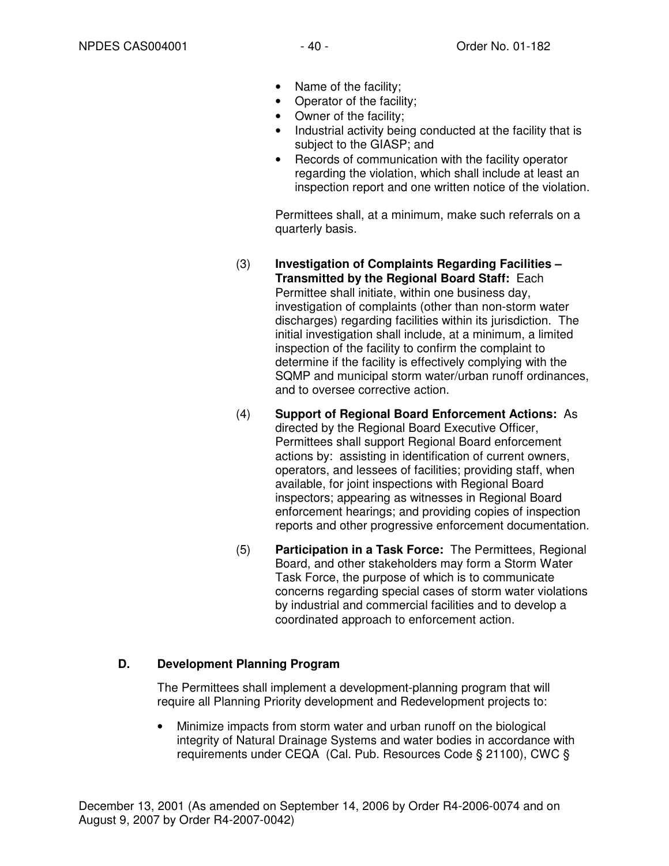- Name of the facility;
- Operator of the facility;
- Owner of the facility:
- Industrial activity being conducted at the facility that is subject to the GIASP; and
- Records of communication with the facility operator regarding the violation, which shall include at least an inspection report and one written notice of the violation.

Permittees shall, at a minimum, make such referrals on a quarterly basis.

- (3) **Investigation of Complaints Regarding Facilities – Transmitted by the Regional Board Staff:** Each Permittee shall initiate, within one business day, investigation of complaints (other than non-storm water discharges) regarding facilities within its jurisdiction. The initial investigation shall include, at a minimum, a limited inspection of the facility to confirm the complaint to determine if the facility is effectively complying with the SQMP and municipal storm water/urban runoff ordinances, and to oversee corrective action.
- (4) **Support of Regional Board Enforcement Actions:** As directed by the Regional Board Executive Officer, Permittees shall support Regional Board enforcement actions by: assisting in identification of current owners, operators, and lessees of facilities; providing staff, when available, for joint inspections with Regional Board inspectors; appearing as witnesses in Regional Board enforcement hearings; and providing copies of inspection reports and other progressive enforcement documentation.
- (5) **Participation in a Task Force:** The Permittees, Regional Board, and other stakeholders may form a Storm Water Task Force, the purpose of which is to communicate concerns regarding special cases of storm water violations by industrial and commercial facilities and to develop a coordinated approach to enforcement action.

### **D. Development Planning Program**

The Permittees shall implement a development-planning program that will require all Planning Priority development and Redevelopment projects to:

• Minimize impacts from storm water and urban runoff on the biological integrity of Natural Drainage Systems and water bodies in accordance with requirements under CEQA (Cal. Pub. Resources Code § 21100), CWC §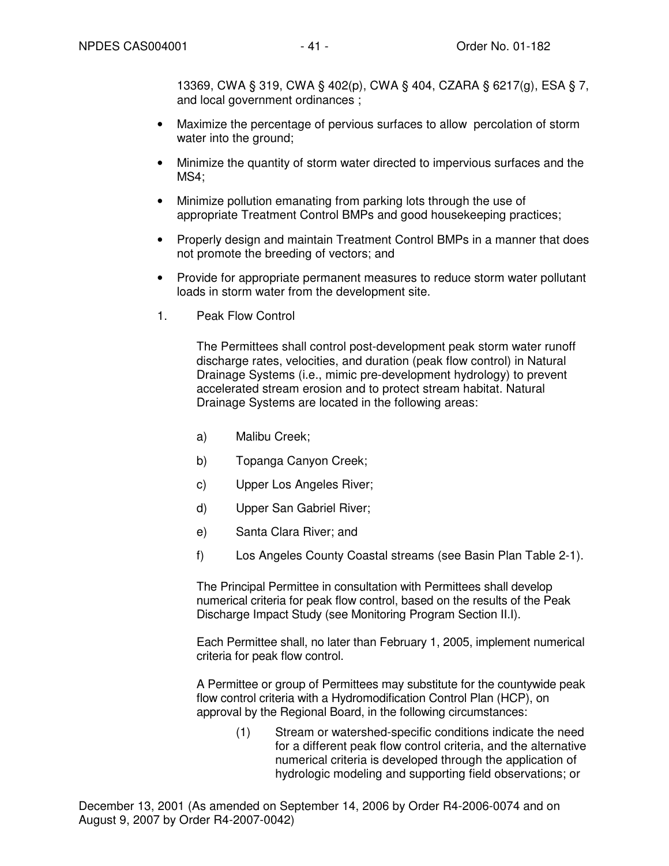13369, CWA § 319, CWA § 402(p), CWA § 404, CZARA § 6217(g), ESA § 7, and local government ordinances ;

- Maximize the percentage of pervious surfaces to allow percolation of storm water into the ground;
- Minimize the quantity of storm water directed to impervious surfaces and the MS4:
- Minimize pollution emanating from parking lots through the use of appropriate Treatment Control BMPs and good housekeeping practices;
- Properly design and maintain Treatment Control BMPs in a manner that does not promote the breeding of vectors; and
- Provide for appropriate permanent measures to reduce storm water pollutant loads in storm water from the development site.
- 1. Peak Flow Control

The Permittees shall control post-development peak storm water runoff discharge rates, velocities, and duration (peak flow control) in Natural Drainage Systems (i.e., mimic pre-development hydrology) to prevent accelerated stream erosion and to protect stream habitat. Natural Drainage Systems are located in the following areas:

- a) Malibu Creek;
- b) Topanga Canyon Creek;
- c) Upper Los Angeles River;
- d) Upper San Gabriel River;
- e) Santa Clara River; and
- f) Los Angeles County Coastal streams (see Basin Plan Table 2-1).

The Principal Permittee in consultation with Permittees shall develop numerical criteria for peak flow control, based on the results of the Peak Discharge Impact Study (see Monitoring Program Section II.I).

Each Permittee shall, no later than February 1, 2005, implement numerical criteria for peak flow control.

A Permittee or group of Permittees may substitute for the countywide peak flow control criteria with a Hydromodification Control Plan (HCP), on approval by the Regional Board, in the following circumstances:

(1) Stream or watershed-specific conditions indicate the need for a different peak flow control criteria, and the alternative numerical criteria is developed through the application of hydrologic modeling and supporting field observations; or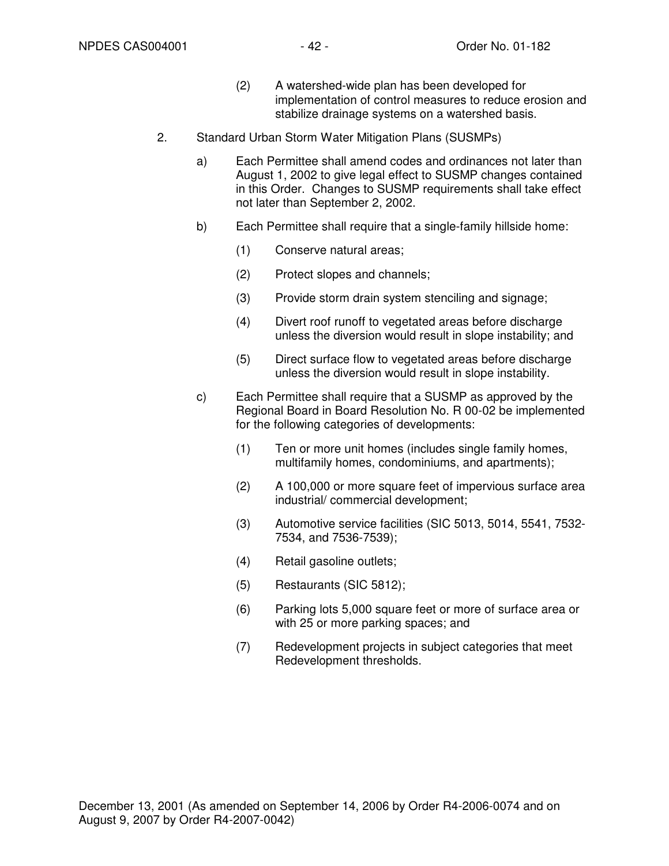- (2) A watershed-wide plan has been developed for implementation of control measures to reduce erosion and stabilize drainage systems on a watershed basis.
- 2. Standard Urban Storm Water Mitigation Plans (SUSMPs)
	- a) Each Permittee shall amend codes and ordinances not later than August 1, 2002 to give legal effect to SUSMP changes contained in this Order. Changes to SUSMP requirements shall take effect not later than September 2, 2002.
	- b) Each Permittee shall require that a single-family hillside home:
		- (1) Conserve natural areas;
		- (2) Protect slopes and channels;
		- (3) Provide storm drain system stenciling and signage;
		- (4) Divert roof runoff to vegetated areas before discharge unless the diversion would result in slope instability; and
		- (5) Direct surface flow to vegetated areas before discharge unless the diversion would result in slope instability.
	- c) Each Permittee shall require that a SUSMP as approved by the Regional Board in Board Resolution No. R 00-02 be implemented for the following categories of developments:
		- (1) Ten or more unit homes (includes single family homes, multifamily homes, condominiums, and apartments);
		- (2) A 100,000 or more square feet of impervious surface area industrial/ commercial development;
		- (3) Automotive service facilities (SIC 5013, 5014, 5541, 7532- 7534, and 7536-7539);
		- (4) Retail gasoline outlets;
		- (5) Restaurants (SIC 5812);
		- (6) Parking lots 5,000 square feet or more of surface area or with 25 or more parking spaces; and
		- (7) Redevelopment projects in subject categories that meet Redevelopment thresholds.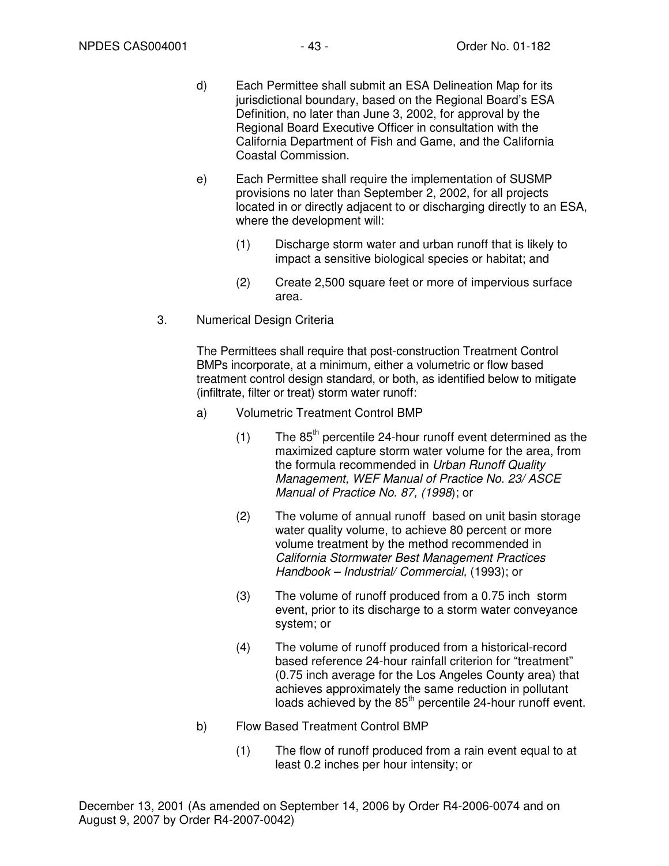- d) Each Permittee shall submit an ESA Delineation Map for its jurisdictional boundary, based on the Regional Board's ESA Definition, no later than June 3, 2002, for approval by the Regional Board Executive Officer in consultation with the California Department of Fish and Game, and the California Coastal Commission.
- e) Each Permittee shall require the implementation of SUSMP provisions no later than September 2, 2002, for all projects located in or directly adjacent to or discharging directly to an ESA, where the development will:
	- (1) Discharge storm water and urban runoff that is likely to impact a sensitive biological species or habitat; and
	- (2) Create 2,500 square feet or more of impervious surface area.
- 3. Numerical Design Criteria

The Permittees shall require that post-construction Treatment Control BMPs incorporate, at a minimum, either a volumetric or flow based treatment control design standard, or both, as identified below to mitigate (infiltrate, filter or treat) storm water runoff:

- a) Volumetric Treatment Control BMP
	- (1) The  $85<sup>th</sup>$  percentile 24-hour runoff event determined as the maximized capture storm water volume for the area, from the formula recommended in *Urban Runoff Quality Management, WEF Manual of Practice No. 23/ ASCE Manual of Practice No. 87, (1998*); or
	- (2) The volume of annual runoff based on unit basin storage water quality volume, to achieve 80 percent or more volume treatment by the method recommended in *California Stormwater Best Management Practices Handbook – Industrial/ Commercial,* (1993); or
	- (3) The volume of runoff produced from a 0.75 inch storm event, prior to its discharge to a storm water conveyance system; or
	- (4) The volume of runoff produced from a historical-record based reference 24-hour rainfall criterion for "treatment" (0.75 inch average for the Los Angeles County area) that achieves approximately the same reduction in pollutant loads achieved by the 85<sup>th</sup> percentile 24-hour runoff event.
- b) Flow Based Treatment Control BMP
	- (1) The flow of runoff produced from a rain event equal to at least 0.2 inches per hour intensity; or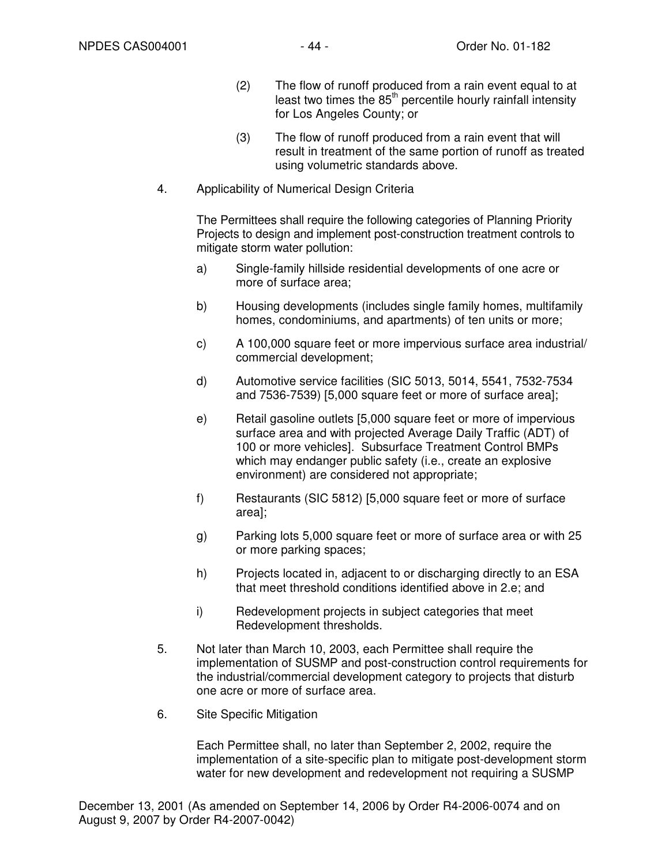- (2) The flow of runoff produced from a rain event equal to at least two times the 85<sup>th</sup> percentile hourly rainfall intensity for Los Angeles County; or
- (3) The flow of runoff produced from a rain event that will result in treatment of the same portion of runoff as treated using volumetric standards above.
- 4. Applicability of Numerical Design Criteria

The Permittees shall require the following categories of Planning Priority Projects to design and implement post-construction treatment controls to mitigate storm water pollution:

- a) Single-family hillside residential developments of one acre or more of surface area;
- b) Housing developments (includes single family homes, multifamily homes, condominiums, and apartments) of ten units or more;
- c) A 100,000 square feet or more impervious surface area industrial/ commercial development;
- d) Automotive service facilities (SIC 5013, 5014, 5541, 7532-7534 and 7536-7539) [5,000 square feet or more of surface area];
- e) Retail gasoline outlets [5,000 square feet or more of impervious surface area and with projected Average Daily Traffic (ADT) of 100 or more vehicles]. Subsurface Treatment Control BMPs which may endanger public safety (i.e., create an explosive environment) are considered not appropriate;
- f) Restaurants (SIC 5812) [5,000 square feet or more of surface area];
- g) Parking lots 5,000 square feet or more of surface area or with 25 or more parking spaces;
- h) Projects located in, adjacent to or discharging directly to an ESA that meet threshold conditions identified above in 2.e; and
- i) Redevelopment projects in subject categories that meet Redevelopment thresholds.
- 5. Not later than March 10, 2003, each Permittee shall require the implementation of SUSMP and post-construction control requirements for the industrial/commercial development category to projects that disturb one acre or more of surface area.
- 6. Site Specific Mitigation

Each Permittee shall, no later than September 2, 2002, require the implementation of a site-specific plan to mitigate post-development storm water for new development and redevelopment not requiring a SUSMP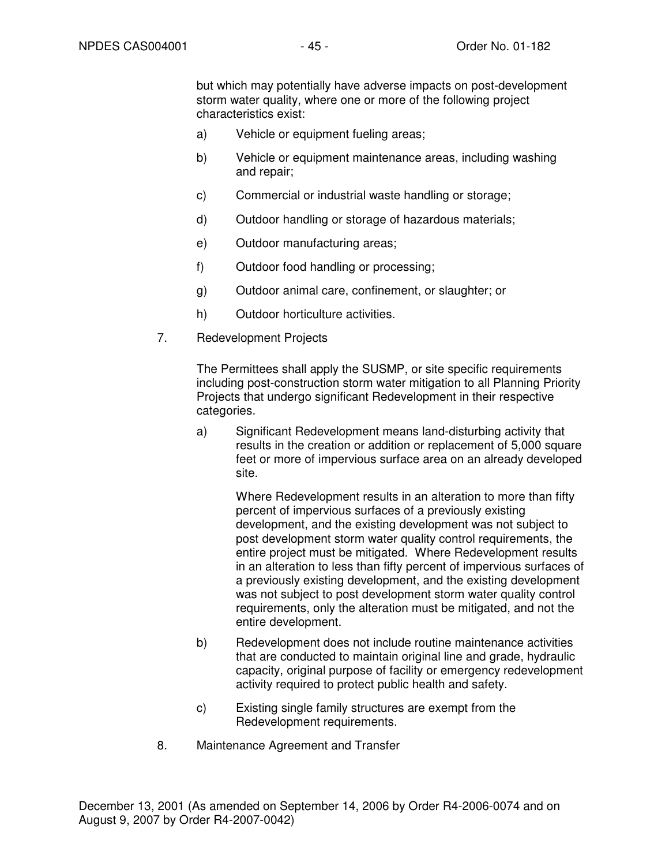but which may potentially have adverse impacts on post-development storm water quality, where one or more of the following project characteristics exist:

- a) Vehicle or equipment fueling areas;
- b) Vehicle or equipment maintenance areas, including washing and repair;
- c) Commercial or industrial waste handling or storage;
- d) Outdoor handling or storage of hazardous materials;
- e) Outdoor manufacturing areas;
- f) Outdoor food handling or processing;
- g) Outdoor animal care, confinement, or slaughter; or
- h) Outdoor horticulture activities.
- 7. Redevelopment Projects

The Permittees shall apply the SUSMP, or site specific requirements including post-construction storm water mitigation to all Planning Priority Projects that undergo significant Redevelopment in their respective categories.

a) Significant Redevelopment means land-disturbing activity that results in the creation or addition or replacement of 5,000 square feet or more of impervious surface area on an already developed site.

Where Redevelopment results in an alteration to more than fifty percent of impervious surfaces of a previously existing development, and the existing development was not subject to post development storm water quality control requirements, the entire project must be mitigated. Where Redevelopment results in an alteration to less than fifty percent of impervious surfaces of a previously existing development, and the existing development was not subject to post development storm water quality control requirements, only the alteration must be mitigated, and not the entire development.

- b) Redevelopment does not include routine maintenance activities that are conducted to maintain original line and grade, hydraulic capacity, original purpose of facility or emergency redevelopment activity required to protect public health and safety.
- c) Existing single family structures are exempt from the Redevelopment requirements.
- 8. Maintenance Agreement and Transfer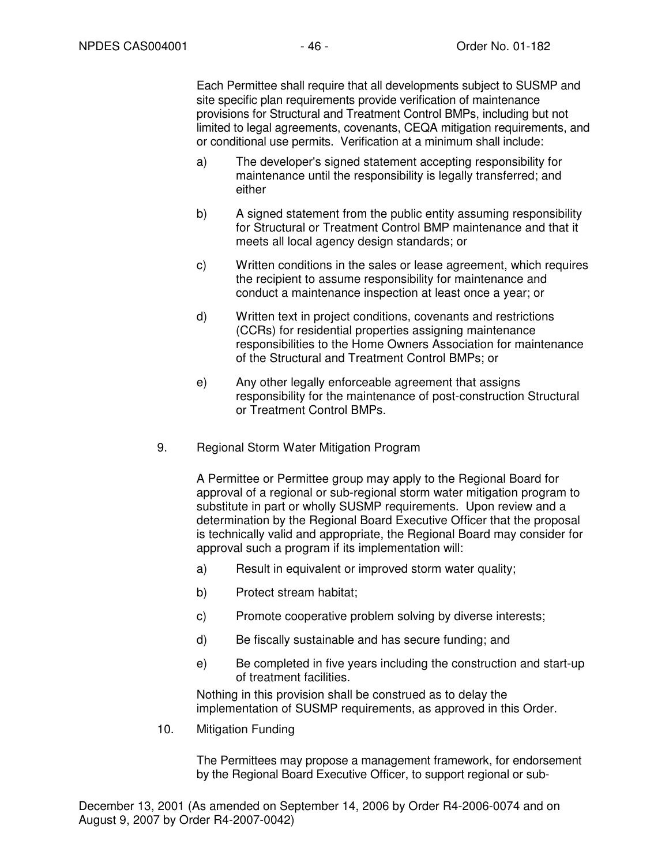Each Permittee shall require that all developments subject to SUSMP and site specific plan requirements provide verification of maintenance provisions for Structural and Treatment Control BMPs, including but not limited to legal agreements, covenants, CEQA mitigation requirements, and or conditional use permits. Verification at a minimum shall include:

- a) The developer's signed statement accepting responsibility for maintenance until the responsibility is legally transferred; and either
- b) A signed statement from the public entity assuming responsibility for Structural or Treatment Control BMP maintenance and that it meets all local agency design standards; or
- c) Written conditions in the sales or lease agreement, which requires the recipient to assume responsibility for maintenance and conduct a maintenance inspection at least once a year; or
- d) Written text in project conditions, covenants and restrictions (CCRs) for residential properties assigning maintenance responsibilities to the Home Owners Association for maintenance of the Structural and Treatment Control BMPs; or
- e) Any other legally enforceable agreement that assigns responsibility for the maintenance of post-construction Structural or Treatment Control BMPs.
- 9. Regional Storm Water Mitigation Program

A Permittee or Permittee group may apply to the Regional Board for approval of a regional or sub-regional storm water mitigation program to substitute in part or wholly SUSMP requirements. Upon review and a determination by the Regional Board Executive Officer that the proposal is technically valid and appropriate, the Regional Board may consider for approval such a program if its implementation will:

- a) Result in equivalent or improved storm water quality;
- b) Protect stream habitat;
- c) Promote cooperative problem solving by diverse interests;
- d) Be fiscally sustainable and has secure funding; and
- e) Be completed in five years including the construction and start-up of treatment facilities.

Nothing in this provision shall be construed as to delay the implementation of SUSMP requirements, as approved in this Order.

10. Mitigation Funding

The Permittees may propose a management framework, for endorsement by the Regional Board Executive Officer, to support regional or sub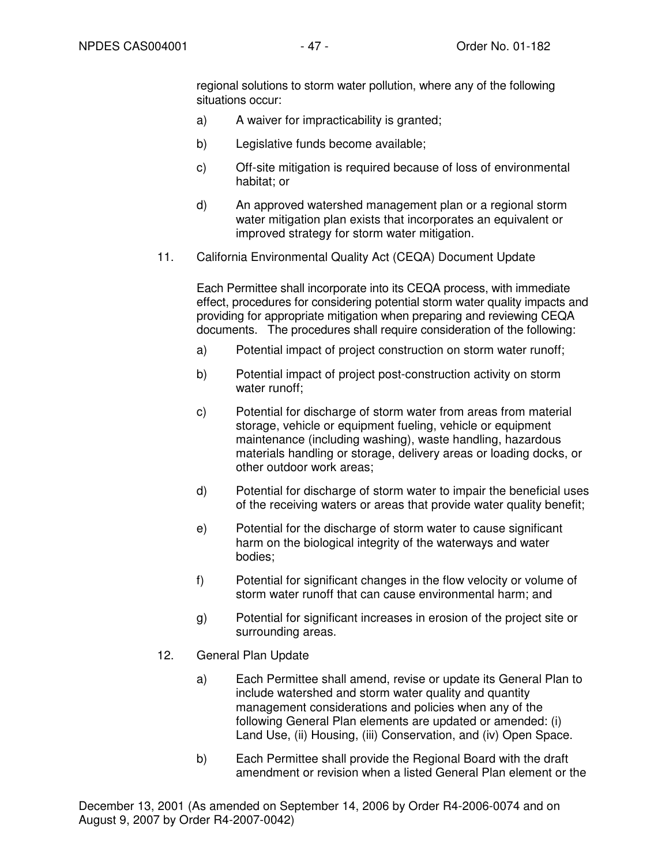regional solutions to storm water pollution, where any of the following situations occur:

- a) A waiver for impracticability is granted;
- b) Legislative funds become available;
- c) Off-site mitigation is required because of loss of environmental habitat; or
- d) An approved watershed management plan or a regional storm water mitigation plan exists that incorporates an equivalent or improved strategy for storm water mitigation.
- 11. California Environmental Quality Act (CEQA) Document Update

Each Permittee shall incorporate into its CEQA process, with immediate effect, procedures for considering potential storm water quality impacts and providing for appropriate mitigation when preparing and reviewing CEQA documents. The procedures shall require consideration of the following:

- a) Potential impact of project construction on storm water runoff;
- b) Potential impact of project post-construction activity on storm water runoff:
- c) Potential for discharge of storm water from areas from material storage, vehicle or equipment fueling, vehicle or equipment maintenance (including washing), waste handling, hazardous materials handling or storage, delivery areas or loading docks, or other outdoor work areas;
- d) Potential for discharge of storm water to impair the beneficial uses of the receiving waters or areas that provide water quality benefit;
- e) Potential for the discharge of storm water to cause significant harm on the biological integrity of the waterways and water bodies;
- f) Potential for significant changes in the flow velocity or volume of storm water runoff that can cause environmental harm; and
- g) Potential for significant increases in erosion of the project site or surrounding areas.
- 12. General Plan Update
	- a) Each Permittee shall amend, revise or update its General Plan to include watershed and storm water quality and quantity management considerations and policies when any of the following General Plan elements are updated or amended: (i) Land Use, (ii) Housing, (iii) Conservation, and (iv) Open Space.
	- b) Each Permittee shall provide the Regional Board with the draft amendment or revision when a listed General Plan element or the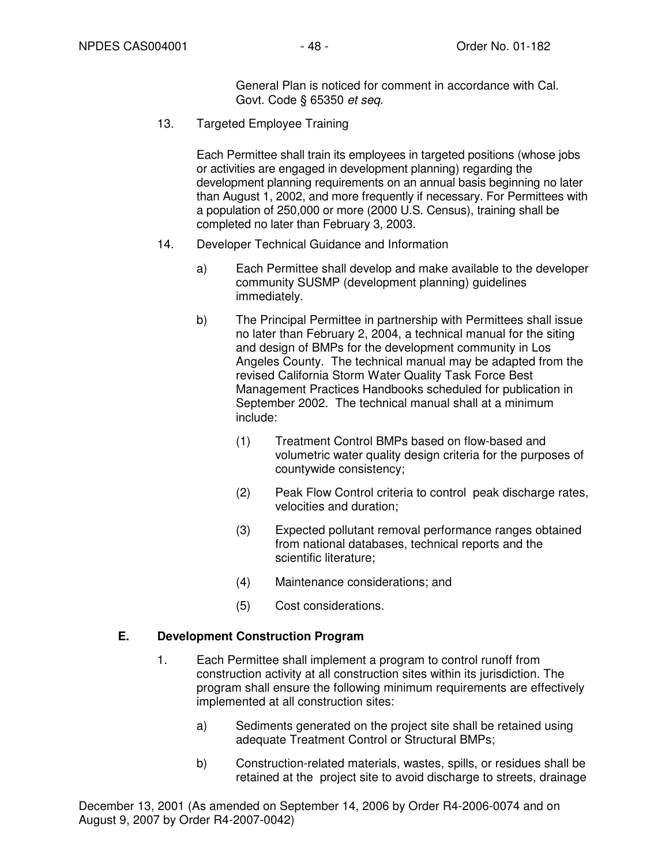General Plan is noticed for comment in accordance with Cal. Govt. Code § 65350 *et seq*.

13. Targeted Employee Training

Each Permittee shall train its employees in targeted positions (whose jobs or activities are engaged in development planning) regarding the development planning requirements on an annual basis beginning no later than August 1, 2002, and more frequently if necessary. For Permittees with a population of 250,000 or more (2000 U.S. Census), training shall be completed no later than February 3, 2003.

- 14. Developer Technical Guidance and Information
	- a) Each Permittee shall develop and make available to the developer community SUSMP (development planning) guidelines immediately.
	- b) The Principal Permittee in partnership with Permittees shall issue no later than February 2, 2004, a technical manual for the siting and design of BMPs for the development community in Los Angeles County. The technical manual may be adapted from the revised California Storm Water Quality Task Force Best Management Practices Handbooks scheduled for publication in September 2002. The technical manual shall at a minimum include:
		- (1) Treatment Control BMPs based on flow-based and volumetric water quality design criteria for the purposes of countywide consistency;
		- (2) Peak Flow Control criteria to control peak discharge rates, velocities and duration;
		- (3) Expected pollutant removal performance ranges obtained from national databases, technical reports and the scientific literature;
		- (4) Maintenance considerations; and
		- (5) Cost considerations.

### **E. Development Construction Program**

- 1. Each Permittee shall implement a program to control runoff from construction activity at all construction sites within its jurisdiction. The program shall ensure the following minimum requirements are effectively implemented at all construction sites:
	- a) Sediments generated on the project site shall be retained using adequate Treatment Control or Structural BMPs;
	- b) Construction-related materials, wastes, spills, or residues shall be retained at the project site to avoid discharge to streets, drainage

December 13, 2001 (As amended on September 14, 2006 by Order R4-2006-0074 and on August 9, 2007 by Order R4-2007-0042)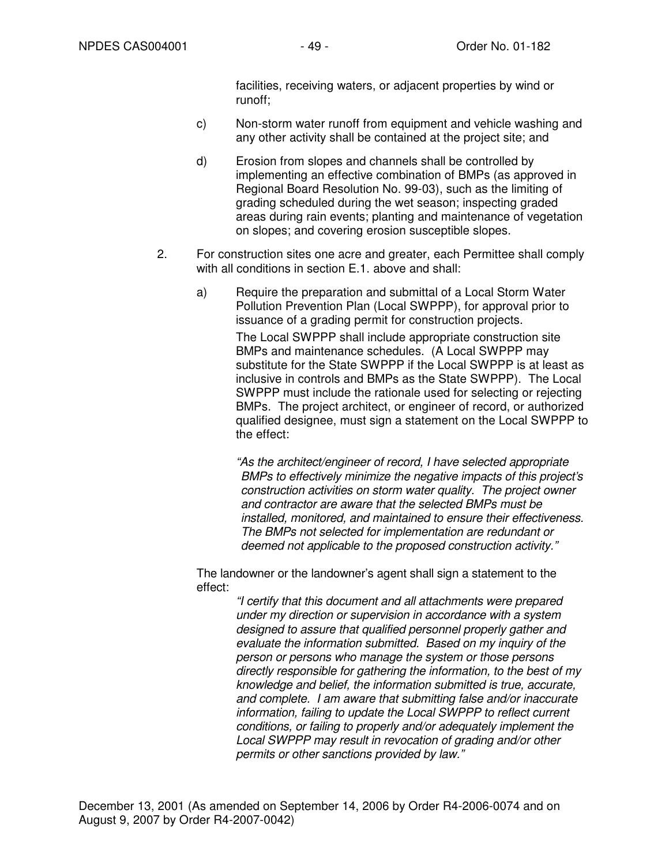facilities, receiving waters, or adjacent properties by wind or runoff;

- c) Non-storm water runoff from equipment and vehicle washing and any other activity shall be contained at the project site; and
- d) Erosion from slopes and channels shall be controlled by implementing an effective combination of BMPs (as approved in Regional Board Resolution No. 99-03), such as the limiting of grading scheduled during the wet season; inspecting graded areas during rain events; planting and maintenance of vegetation on slopes; and covering erosion susceptible slopes.
- 2. For construction sites one acre and greater, each Permittee shall comply with all conditions in section E.1. above and shall:
	- a) Require the preparation and submittal of a Local Storm Water Pollution Prevention Plan (Local SWPPP), for approval prior to issuance of a grading permit for construction projects. The Local SWPPP shall include appropriate construction site BMPs and maintenance schedules. (A Local SWPPP may substitute for the State SWPPP if the Local SWPPP is at least as inclusive in controls and BMPs as the State SWPPP). The Local SWPPP must include the rationale used for selecting or rejecting BMPs. The project architect, or engineer of record, or authorized qualified designee, must sign a statement on the Local SWPPP to the effect:

*"As the architect/engineer of record, I have selected appropriate BMPs to effectively minimize the negative impacts of this project's construction activities on storm water quality. The project owner and contractor are aware that the selected BMPs must be installed, monitored, and maintained to ensure their effectiveness. The BMPs not selected for implementation are redundant or deemed not applicable to the proposed construction activity."*

The landowner or the landowner's agent shall sign a statement to the effect:

> *"I certify that this document and all attachments were prepared under my direction or supervision in accordance with a system designed to assure that qualified personnel properly gather and evaluate the information submitted. Based on my inquiry of the person or persons who manage the system or those persons directly responsible for gathering the information, to the best of my knowledge and belief, the information submitted is true, accurate, and complete. I am aware that submitting false and/or inaccurate information, failing to update the Local SWPPP to reflect current conditions, or failing to properly and/or adequately implement the Local SWPPP may result in revocation of grading and/or other permits or other sanctions provided by law."*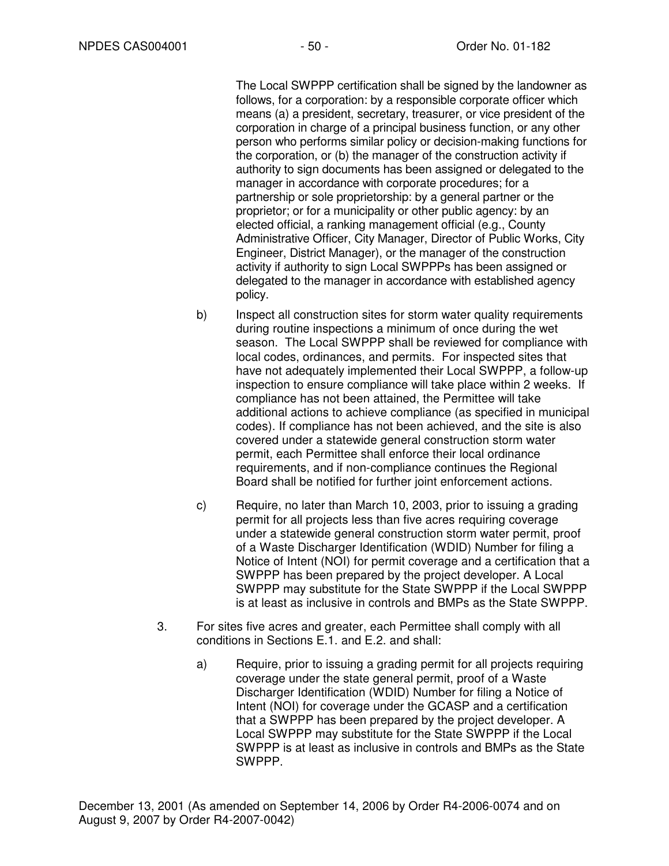The Local SWPPP certification shall be signed by the landowner as follows, for a corporation: by a responsible corporate officer which means (a) a president, secretary, treasurer, or vice president of the corporation in charge of a principal business function, or any other person who performs similar policy or decision-making functions for the corporation, or (b) the manager of the construction activity if authority to sign documents has been assigned or delegated to the manager in accordance with corporate procedures; for a partnership or sole proprietorship: by a general partner or the proprietor; or for a municipality or other public agency: by an elected official, a ranking management official (e.g., County Administrative Officer, City Manager, Director of Public Works, City Engineer, District Manager), or the manager of the construction activity if authority to sign Local SWPPPs has been assigned or delegated to the manager in accordance with established agency policy.

- b) Inspect all construction sites for storm water quality requirements during routine inspections a minimum of once during the wet season. The Local SWPPP shall be reviewed for compliance with local codes, ordinances, and permits. For inspected sites that have not adequately implemented their Local SWPPP, a follow-up inspection to ensure compliance will take place within 2 weeks. If compliance has not been attained, the Permittee will take additional actions to achieve compliance (as specified in municipal codes). If compliance has not been achieved, and the site is also covered under a statewide general construction storm water permit, each Permittee shall enforce their local ordinance requirements, and if non-compliance continues the Regional Board shall be notified for further joint enforcement actions.
- c) Require, no later than March 10, 2003, prior to issuing a grading permit for all projects less than five acres requiring coverage under a statewide general construction storm water permit, proof of a Waste Discharger Identification (WDID) Number for filing a Notice of Intent (NOI) for permit coverage and a certification that a SWPPP has been prepared by the project developer. A Local SWPPP may substitute for the State SWPPP if the Local SWPPP is at least as inclusive in controls and BMPs as the State SWPPP.
- 3. For sites five acres and greater, each Permittee shall comply with all conditions in Sections E.1. and E.2. and shall:
	- a) Require, prior to issuing a grading permit for all projects requiring coverage under the state general permit, proof of a Waste Discharger Identification (WDID) Number for filing a Notice of Intent (NOI) for coverage under the GCASP and a certification that a SWPPP has been prepared by the project developer. A Local SWPPP may substitute for the State SWPPP if the Local SWPPP is at least as inclusive in controls and BMPs as the State SWPPP.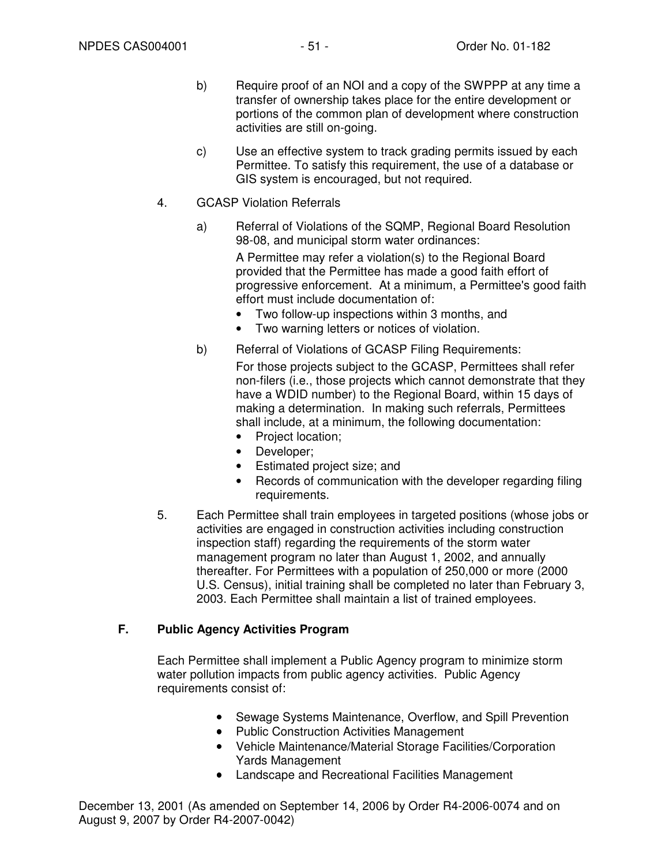- b) Require proof of an NOI and a copy of the SWPPP at any time a transfer of ownership takes place for the entire development or portions of the common plan of development where construction activities are still on-going.
- c) Use an effective system to track grading permits issued by each Permittee. To satisfy this requirement, the use of a database or GIS system is encouraged, but not required.
- 4. GCASP Violation Referrals
	- a) Referral of Violations of the SQMP, Regional Board Resolution 98-08, and municipal storm water ordinances:

A Permittee may refer a violation(s) to the Regional Board provided that the Permittee has made a good faith effort of progressive enforcement. At a minimum, a Permittee's good faith effort must include documentation of:

- Two follow-up inspections within 3 months, and
- Two warning letters or notices of violation.
- b) Referral of Violations of GCASP Filing Requirements:

For those projects subject to the GCASP, Permittees shall refer non-filers (i.e., those projects which cannot demonstrate that they have a WDID number) to the Regional Board, within 15 days of making a determination. In making such referrals, Permittees shall include, at a minimum, the following documentation:

- Project location;
- Developer;
- Estimated project size; and
- Records of communication with the developer regarding filing requirements.
- 5. Each Permittee shall train employees in targeted positions (whose jobs or activities are engaged in construction activities including construction inspection staff) regarding the requirements of the storm water management program no later than August 1, 2002, and annually thereafter. For Permittees with a population of 250,000 or more (2000 U.S. Census), initial training shall be completed no later than February 3, 2003. Each Permittee shall maintain a list of trained employees.

## **F. Public Agency Activities Program**

Each Permittee shall implement a Public Agency program to minimize storm water pollution impacts from public agency activities. Public Agency requirements consist of:

- Sewage Systems Maintenance, Overflow, and Spill Prevention
- Public Construction Activities Management
- Vehicle Maintenance/Material Storage Facilities/Corporation Yards Management
- Landscape and Recreational Facilities Management

December 13, 2001 (As amended on September 14, 2006 by Order R4-2006-0074 and on August 9, 2007 by Order R4-2007-0042)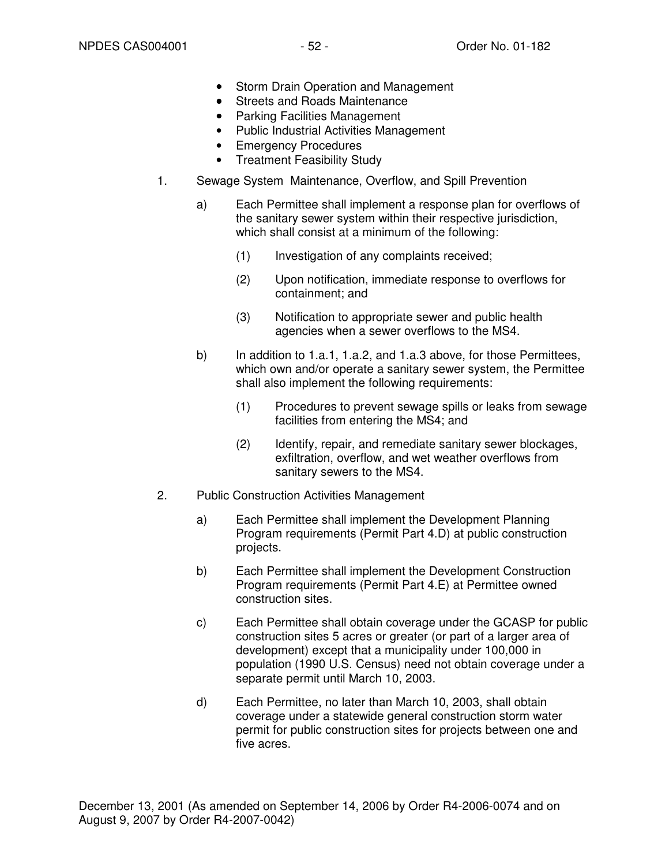- Storm Drain Operation and Management
- Streets and Roads Maintenance
- Parking Facilities Management
- Public Industrial Activities Management
- Emergency Procedures
- Treatment Feasibility Study
- 1. Sewage System Maintenance, Overflow, and Spill Prevention
	- a) Each Permittee shall implement a response plan for overflows of the sanitary sewer system within their respective jurisdiction, which shall consist at a minimum of the following:
		- (1) Investigation of any complaints received;
		- (2) Upon notification, immediate response to overflows for containment; and
		- (3) Notification to appropriate sewer and public health agencies when a sewer overflows to the MS4.
	- b) In addition to 1.a.1, 1.a.2, and 1.a.3 above, for those Permittees, which own and/or operate a sanitary sewer system, the Permittee shall also implement the following requirements:
		- (1) Procedures to prevent sewage spills or leaks from sewage facilities from entering the MS4; and
		- (2) Identify, repair, and remediate sanitary sewer blockages, exfiltration, overflow, and wet weather overflows from sanitary sewers to the MS4.
- 2. Public Construction Activities Management
	- a) Each Permittee shall implement the Development Planning Program requirements (Permit Part 4.D) at public construction projects.
	- b) Each Permittee shall implement the Development Construction Program requirements (Permit Part 4.E) at Permittee owned construction sites.
	- c) Each Permittee shall obtain coverage under the GCASP for public construction sites 5 acres or greater (or part of a larger area of development) except that a municipality under 100,000 in population (1990 U.S. Census) need not obtain coverage under a separate permit until March 10, 2003.
	- d) Each Permittee, no later than March 10, 2003, shall obtain coverage under a statewide general construction storm water permit for public construction sites for projects between one and five acres.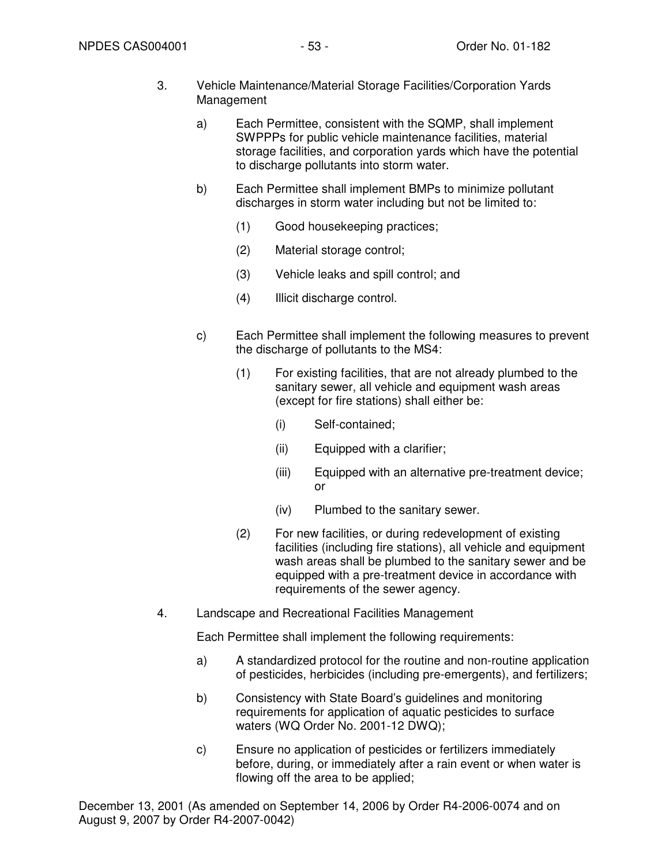- 3. Vehicle Maintenance/Material Storage Facilities/Corporation Yards Management
	- a) Each Permittee, consistent with the SQMP, shall implement SWPPPs for public vehicle maintenance facilities, material storage facilities, and corporation yards which have the potential to discharge pollutants into storm water.
	- b) Each Permittee shall implement BMPs to minimize pollutant discharges in storm water including but not be limited to:
		- (1) Good housekeeping practices;
		- (2) Material storage control;
		- (3) Vehicle leaks and spill control; and
		- (4) Illicit discharge control.
	- c) Each Permittee shall implement the following measures to prevent the discharge of pollutants to the MS4:
		- (1) For existing facilities, that are not already plumbed to the sanitary sewer, all vehicle and equipment wash areas (except for fire stations) shall either be:
			- (i) Self-contained;
			- (ii) Equipped with a clarifier;
			- (iii) Equipped with an alternative pre-treatment device; or
			- (iv) Plumbed to the sanitary sewer.
		- (2) For new facilities, or during redevelopment of existing facilities (including fire stations), all vehicle and equipment wash areas shall be plumbed to the sanitary sewer and be equipped with a pre-treatment device in accordance with requirements of the sewer agency.
- 4. Landscape and Recreational Facilities Management

Each Permittee shall implement the following requirements:

- a) A standardized protocol for the routine and non-routine application of pesticides, herbicides (including pre-emergents), and fertilizers;
- b) Consistency with State Board's guidelines and monitoring requirements for application of aquatic pesticides to surface waters (WQ Order No. 2001-12 DWQ);
- c) Ensure no application of pesticides or fertilizers immediately before, during, or immediately after a rain event or when water is flowing off the area to be applied;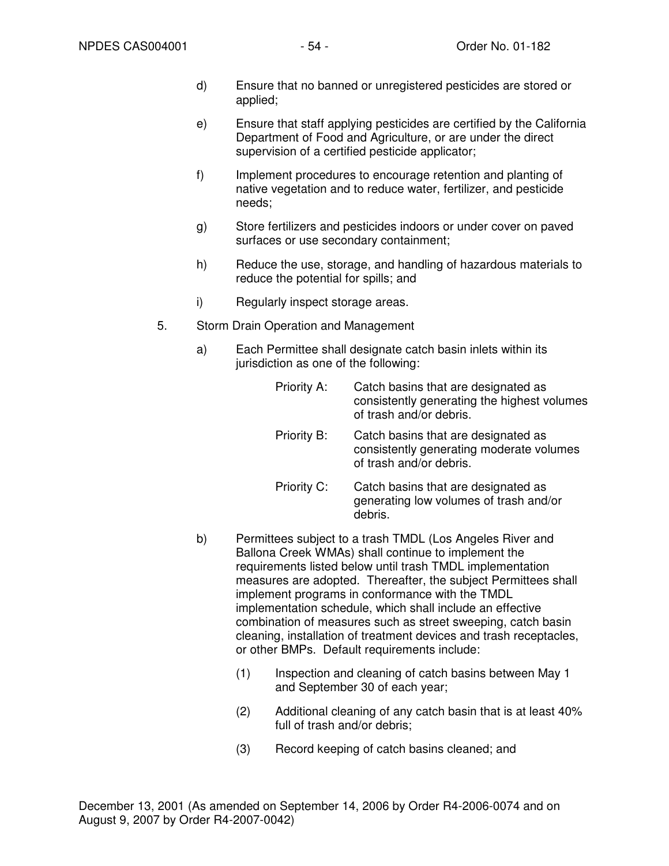- d) Ensure that no banned or unregistered pesticides are stored or applied;
- e) Ensure that staff applying pesticides are certified by the California Department of Food and Agriculture, or are under the direct supervision of a certified pesticide applicator;
- f) Implement procedures to encourage retention and planting of native vegetation and to reduce water, fertilizer, and pesticide needs;
- g) Store fertilizers and pesticides indoors or under cover on paved surfaces or use secondary containment;
- h) Reduce the use, storage, and handling of hazardous materials to reduce the potential for spills; and
- i) Regularly inspect storage areas.
- 5. Storm Drain Operation and Management
	- a) Each Permittee shall designate catch basin inlets within its jurisdiction as one of the following:

|    | Priority A: | Catch basins that are designated as<br>consistently generating the highest volumes<br>of trash and/or debris.                                                                         |
|----|-------------|---------------------------------------------------------------------------------------------------------------------------------------------------------------------------------------|
|    | Priority B: | Catch basins that are designated as<br>consistently generating moderate volumes<br>of trash and/or debris.                                                                            |
|    | Priority C: | Catch basins that are designated as<br>generating low volumes of trash and/or<br>debris.                                                                                              |
| b) |             | Permittees subject to a trash TMDL (Los Angeles River and<br>Ballona Creek WMAs) shall continue to implement the<br>resultated at the lead below until treated to TMDL implementation |

- Ballona Creek WMAs) shall continue to implement the requirements listed below until trash TMDL implementation measures are adopted. Thereafter, the subject Permittees shall implement programs in conformance with the TMDL implementation schedule, which shall include an effective combination of measures such as street sweeping, catch basin cleaning, installation of treatment devices and trash receptacles, or other BMPs. Default requirements include:
	- (1) Inspection and cleaning of catch basins between May 1 and September 30 of each year;
	- (2) Additional cleaning of any catch basin that is at least 40% full of trash and/or debris:
	- (3) Record keeping of catch basins cleaned; and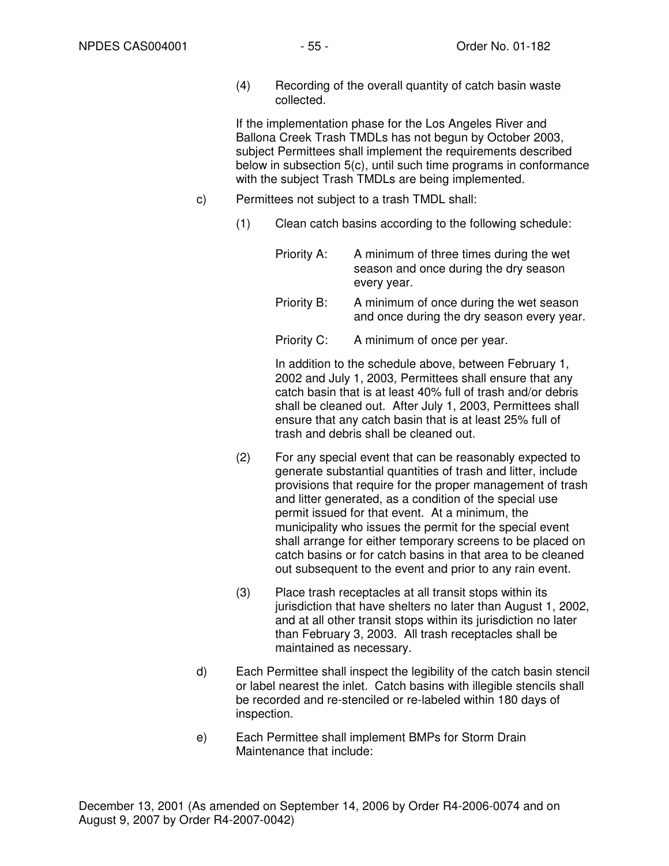(4) Recording of the overall quantity of catch basin waste collected.

If the implementation phase for the Los Angeles River and Ballona Creek Trash TMDLs has not begun by October 2003, subject Permittees shall implement the requirements described below in subsection 5(c), until such time programs in conformance with the subject Trash TMDLs are being implemented.

- c) Permittees not subject to a trash TMDL shall:
	- (1) Clean catch basins according to the following schedule:

| Priority A: | A minimum of three times during the wet |
|-------------|-----------------------------------------|
|             | season and once during the dry season   |
|             | every year.                             |

Priority B: A minimum of once during the wet season and once during the dry season every year.

Priority C: A minimum of once per year.

In addition to the schedule above, between February 1, 2002 and July 1, 2003, Permittees shall ensure that any catch basin that is at least 40% full of trash and/or debris shall be cleaned out. After July 1, 2003, Permittees shall ensure that any catch basin that is at least 25% full of trash and debris shall be cleaned out.

- (2) For any special event that can be reasonably expected to generate substantial quantities of trash and litter, include provisions that require for the proper management of trash and litter generated, as a condition of the special use permit issued for that event. At a minimum, the municipality who issues the permit for the special event shall arrange for either temporary screens to be placed on catch basins or for catch basins in that area to be cleaned out subsequent to the event and prior to any rain event.
- (3) Place trash receptacles at all transit stops within its jurisdiction that have shelters no later than August 1, 2002, and at all other transit stops within its jurisdiction no later than February 3, 2003. All trash receptacles shall be maintained as necessary.
- d) Each Permittee shall inspect the legibility of the catch basin stencil or label nearest the inlet. Catch basins with illegible stencils shall be recorded and re-stenciled or re-labeled within 180 days of inspection.
- e) Each Permittee shall implement BMPs for Storm Drain Maintenance that include: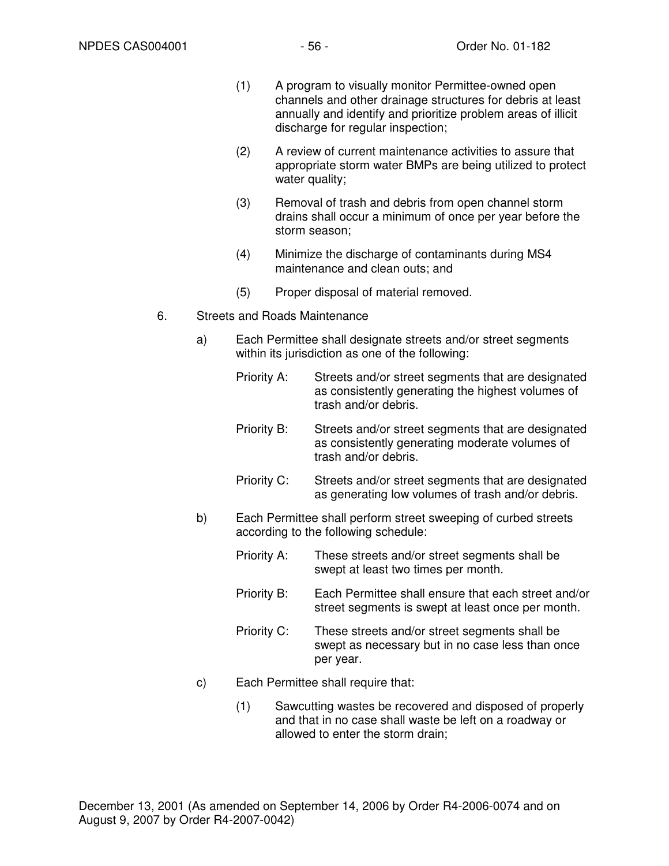- (1) A program to visually monitor Permittee-owned open channels and other drainage structures for debris at least annually and identify and prioritize problem areas of illicit discharge for regular inspection;
- (2) A review of current maintenance activities to assure that appropriate storm water BMPs are being utilized to protect water quality;
- (3) Removal of trash and debris from open channel storm drains shall occur a minimum of once per year before the storm season;
- (4) Minimize the discharge of contaminants during MS4 maintenance and clean outs; and
- (5) Proper disposal of material removed.
- 6. Streets and Roads Maintenance
	- a) Each Permittee shall designate streets and/or street segments within its jurisdiction as one of the following:
		- Priority A: Streets and/or street segments that are designated as consistently generating the highest volumes of trash and/or debris.
		- Priority B: Streets and/or street segments that are designated as consistently generating moderate volumes of trash and/or debris.
		- Priority C: Streets and/or street segments that are designated as generating low volumes of trash and/or debris.
	- b) Each Permittee shall perform street sweeping of curbed streets according to the following schedule:
		- Priority A: These streets and/or street segments shall be swept at least two times per month.
		- Priority B: Each Permittee shall ensure that each street and/or street segments is swept at least once per month.
		- Priority C: These streets and/or street segments shall be swept as necessary but in no case less than once per year.
	- c) Each Permittee shall require that:
		- (1) Sawcutting wastes be recovered and disposed of properly and that in no case shall waste be left on a roadway or allowed to enter the storm drain;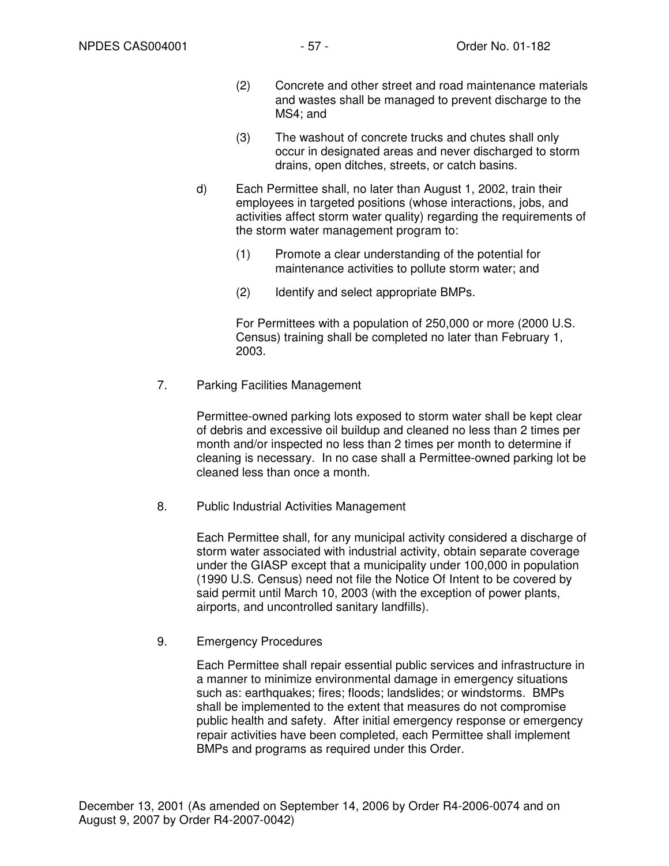- (2) Concrete and other street and road maintenance materials and wastes shall be managed to prevent discharge to the MS4; and
- (3) The washout of concrete trucks and chutes shall only occur in designated areas and never discharged to storm drains, open ditches, streets, or catch basins.
- d) Each Permittee shall, no later than August 1, 2002, train their employees in targeted positions (whose interactions, jobs, and activities affect storm water quality) regarding the requirements of the storm water management program to:
	- (1) Promote a clear understanding of the potential for maintenance activities to pollute storm water; and
	- (2) Identify and select appropriate BMPs.

For Permittees with a population of 250,000 or more (2000 U.S. Census) training shall be completed no later than February 1, 2003.

7. Parking Facilities Management

Permittee-owned parking lots exposed to storm water shall be kept clear of debris and excessive oil buildup and cleaned no less than 2 times per month and/or inspected no less than 2 times per month to determine if cleaning is necessary. In no case shall a Permittee-owned parking lot be cleaned less than once a month.

8. Public Industrial Activities Management

Each Permittee shall, for any municipal activity considered a discharge of storm water associated with industrial activity, obtain separate coverage under the GIASP except that a municipality under 100,000 in population (1990 U.S. Census) need not file the Notice Of Intent to be covered by said permit until March 10, 2003 (with the exception of power plants, airports, and uncontrolled sanitary landfills).

9. Emergency Procedures

Each Permittee shall repair essential public services and infrastructure in a manner to minimize environmental damage in emergency situations such as: earthquakes; fires; floods; landslides; or windstorms. BMPs shall be implemented to the extent that measures do not compromise public health and safety. After initial emergency response or emergency repair activities have been completed, each Permittee shall implement BMPs and programs as required under this Order.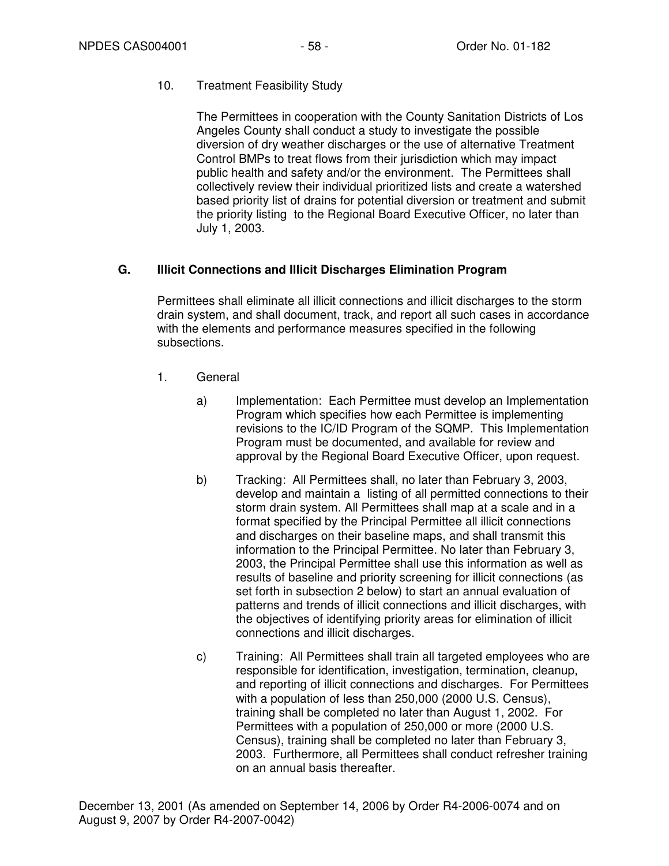## 10. Treatment Feasibility Study

The Permittees in cooperation with the County Sanitation Districts of Los Angeles County shall conduct a study to investigate the possible diversion of dry weather discharges or the use of alternative Treatment Control BMPs to treat flows from their jurisdiction which may impact public health and safety and/or the environment. The Permittees shall collectively review their individual prioritized lists and create a watershed based priority list of drains for potential diversion or treatment and submit the priority listing to the Regional Board Executive Officer, no later than July 1, 2003.

## **G. Illicit Connections and Illicit Discharges Elimination Program**

Permittees shall eliminate all illicit connections and illicit discharges to the storm drain system, and shall document, track, and report all such cases in accordance with the elements and performance measures specified in the following subsections.

- 1. General
	- a) Implementation: Each Permittee must develop an Implementation Program which specifies how each Permittee is implementing revisions to the IC/ID Program of the SQMP. This Implementation Program must be documented, and available for review and approval by the Regional Board Executive Officer, upon request.
	- b) Tracking: All Permittees shall, no later than February 3, 2003, develop and maintain a listing of all permitted connections to their storm drain system. All Permittees shall map at a scale and in a format specified by the Principal Permittee all illicit connections and discharges on their baseline maps, and shall transmit this information to the Principal Permittee. No later than February 3, 2003, the Principal Permittee shall use this information as well as results of baseline and priority screening for illicit connections (as set forth in subsection 2 below) to start an annual evaluation of patterns and trends of illicit connections and illicit discharges, with the objectives of identifying priority areas for elimination of illicit connections and illicit discharges.
	- c) Training: All Permittees shall train all targeted employees who are responsible for identification, investigation, termination, cleanup, and reporting of illicit connections and discharges. For Permittees with a population of less than 250,000 (2000 U.S. Census), training shall be completed no later than August 1, 2002. For Permittees with a population of 250,000 or more (2000 U.S. Census), training shall be completed no later than February 3, 2003. Furthermore, all Permittees shall conduct refresher training on an annual basis thereafter.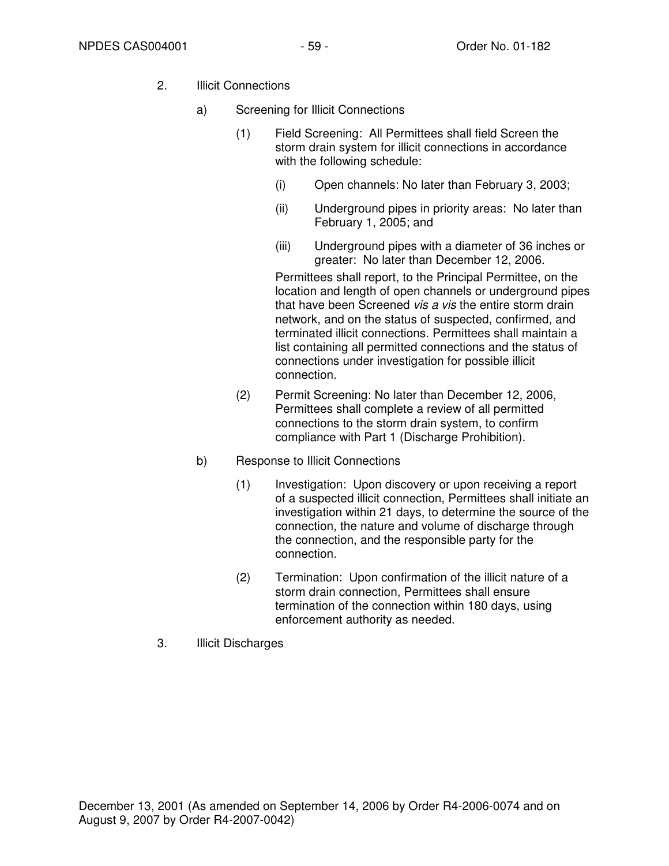- 2. Illicit Connections
	- a) Screening for Illicit Connections
		- (1) Field Screening: All Permittees shall field Screen the storm drain system for illicit connections in accordance with the following schedule:
			- (i) Open channels: No later than February 3, 2003;
			- (ii) Underground pipes in priority areas: No later than February 1, 2005; and
			- (iii) Underground pipes with a diameter of 36 inches or greater: No later than December 12, 2006.

Permittees shall report, to the Principal Permittee, on the location and length of open channels or underground pipes that have been Screened *vis a vis* the entire storm drain network, and on the status of suspected, confirmed, and terminated illicit connections. Permittees shall maintain a list containing all permitted connections and the status of connections under investigation for possible illicit connection.

- (2) Permit Screening: No later than December 12, 2006, Permittees shall complete a review of all permitted connections to the storm drain system, to confirm compliance with Part 1 (Discharge Prohibition).
- b) Response to Illicit Connections
	- (1) Investigation: Upon discovery or upon receiving a report of a suspected illicit connection, Permittees shall initiate an investigation within 21 days, to determine the source of the connection, the nature and volume of discharge through the connection, and the responsible party for the connection.
	- (2) Termination: Upon confirmation of the illicit nature of a storm drain connection, Permittees shall ensure termination of the connection within 180 days, using enforcement authority as needed.
- 3. Illicit Discharges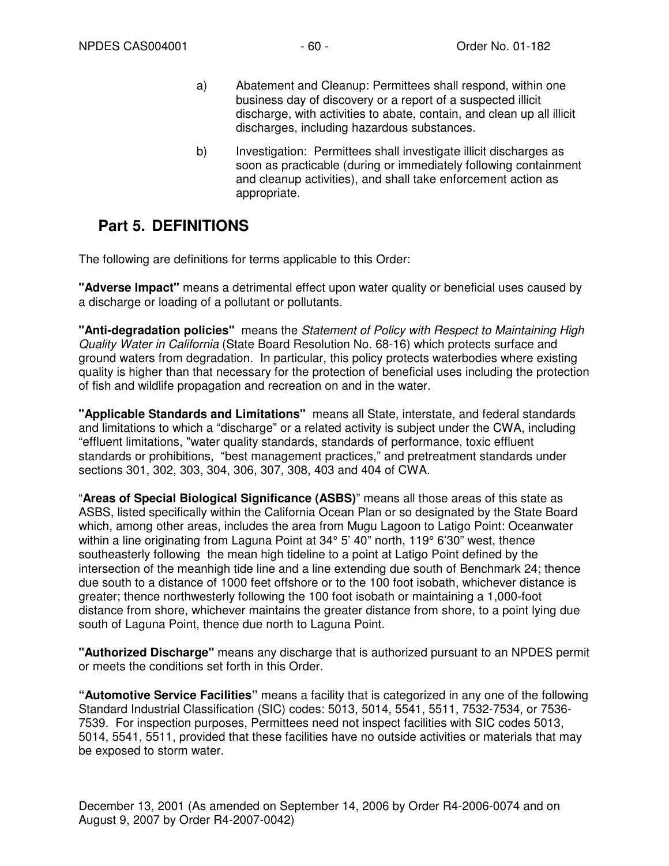- a) Abatement and Cleanup: Permittees shall respond, within one business day of discovery or a report of a suspected illicit discharge, with activities to abate, contain, and clean up all illicit discharges, including hazardous substances.
- b) Investigation: Permittees shall investigate illicit discharges as soon as practicable (during or immediately following containment and cleanup activities), and shall take enforcement action as appropriate.

# **Part 5. DEFINITIONS**

The following are definitions for terms applicable to this Order:

**"Adverse Impact"** means a detrimental effect upon water quality or beneficial uses caused by a discharge or loading of a pollutant or pollutants.

**"Anti-degradation policies"** means the *Statement of Policy with Respect to Maintaining High Quality Water in California* (State Board Resolution No. 68-16) which protects surface and ground waters from degradation. In particular, this policy protects waterbodies where existing quality is higher than that necessary for the protection of beneficial uses including the protection of fish and wildlife propagation and recreation on and in the water.

**"Applicable Standards and Limitations"** means all State, interstate, and federal standards and limitations to which a "discharge" or a related activity is subject under the CWA, including "effluent limitations, "water quality standards, standards of performance, toxic effluent standards or prohibitions, "best management practices," and pretreatment standards under sections 301, 302, 303, 304, 306, 307, 308, 403 and 404 of CWA.

"**Areas of Special Biological Significance (ASBS)**" means all those areas of this state as ASBS, listed specifically within the California Ocean Plan or so designated by the State Board which, among other areas, includes the area from Mugu Lagoon to Latigo Point: Oceanwater within a line originating from Laguna Point at 34° 5' 40" north, 119° 6'30" west, thence southeasterly following the mean high tideline to a point at Latigo Point defined by the intersection of the meanhigh tide line and a line extending due south of Benchmark 24; thence due south to a distance of 1000 feet offshore or to the 100 foot isobath, whichever distance is greater; thence northwesterly following the 100 foot isobath or maintaining a 1,000-foot distance from shore, whichever maintains the greater distance from shore, to a point lying due south of Laguna Point, thence due north to Laguna Point.

**"Authorized Discharge"** means any discharge that is authorized pursuant to an NPDES permit or meets the conditions set forth in this Order.

**"Automotive Service Facilities"** means a facility that is categorized in any one of the following Standard Industrial Classification (SIC) codes: 5013, 5014, 5541, 5511, 7532-7534, or 7536- 7539. For inspection purposes, Permittees need not inspect facilities with SIC codes 5013, 5014, 5541, 5511, provided that these facilities have no outside activities or materials that may be exposed to storm water.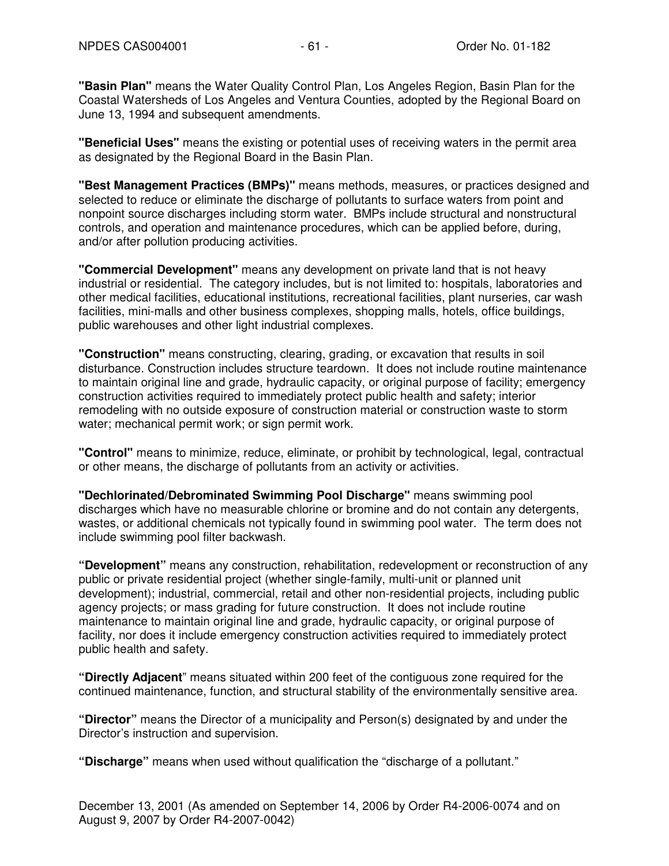**"Basin Plan"** means the Water Quality Control Plan, Los Angeles Region, Basin Plan for the Coastal Watersheds of Los Angeles and Ventura Counties, adopted by the Regional Board on June 13, 1994 and subsequent amendments.

**"Beneficial Uses"** means the existing or potential uses of receiving waters in the permit area as designated by the Regional Board in the Basin Plan.

**"Best Management Practices (BMPs)"** means methods, measures, or practices designed and selected to reduce or eliminate the discharge of pollutants to surface waters from point and nonpoint source discharges including storm water. BMPs include structural and nonstructural controls, and operation and maintenance procedures, which can be applied before, during, and/or after pollution producing activities.

**"Commercial Development"** means any development on private land that is not heavy industrial or residential. The category includes, but is not limited to: hospitals, laboratories and other medical facilities, educational institutions, recreational facilities, plant nurseries, car wash facilities, mini-malls and other business complexes, shopping malls, hotels, office buildings, public warehouses and other light industrial complexes.

**"Construction"** means constructing, clearing, grading, or excavation that results in soil disturbance. Construction includes structure teardown. It does not include routine maintenance to maintain original line and grade, hydraulic capacity, or original purpose of facility; emergency construction activities required to immediately protect public health and safety; interior remodeling with no outside exposure of construction material or construction waste to storm water; mechanical permit work; or sign permit work.

**"Control"** means to minimize, reduce, eliminate, or prohibit by technological, legal, contractual or other means, the discharge of pollutants from an activity or activities.

**"Dechlorinated/Debrominated Swimming Pool Discharge"** means swimming pool discharges which have no measurable chlorine or bromine and do not contain any detergents, wastes, or additional chemicals not typically found in swimming pool water. The term does not include swimming pool filter backwash.

**"Development"** means any construction, rehabilitation, redevelopment or reconstruction of any public or private residential project (whether single-family, multi-unit or planned unit development); industrial, commercial, retail and other non-residential projects, including public agency projects; or mass grading for future construction. It does not include routine maintenance to maintain original line and grade, hydraulic capacity, or original purpose of facility, nor does it include emergency construction activities required to immediately protect public health and safety.

**"Directly Adjacent**" means situated within 200 feet of the contiguous zone required for the continued maintenance, function, and structural stability of the environmentally sensitive area.

**"Director"** means the Director of a municipality and Person(s) designated by and under the Director's instruction and supervision.

**"Discharge"** means when used without qualification the "discharge of a pollutant."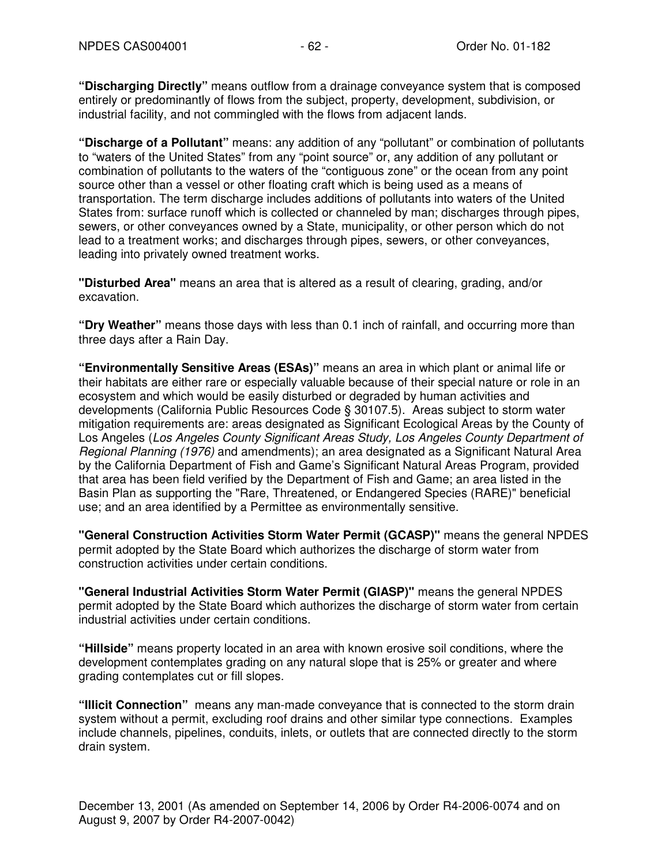**"Discharging Directly"** means outflow from a drainage conveyance system that is composed entirely or predominantly of flows from the subject, property, development, subdivision, or industrial facility, and not commingled with the flows from adjacent lands.

**"Discharge of a Pollutant"** means: any addition of any "pollutant" or combination of pollutants to "waters of the United States" from any "point source" or, any addition of any pollutant or combination of pollutants to the waters of the "contiguous zone" or the ocean from any point source other than a vessel or other floating craft which is being used as a means of transportation. The term discharge includes additions of pollutants into waters of the United States from: surface runoff which is collected or channeled by man; discharges through pipes, sewers, or other conveyances owned by a State, municipality, or other person which do not lead to a treatment works; and discharges through pipes, sewers, or other conveyances, leading into privately owned treatment works.

**"Disturbed Area"** means an area that is altered as a result of clearing, grading, and/or excavation.

**"Dry Weather"** means those days with less than 0.1 inch of rainfall, and occurring more than three days after a Rain Day.

**"Environmentally Sensitive Areas (ESAs)"** means an area in which plant or animal life or their habitats are either rare or especially valuable because of their special nature or role in an ecosystem and which would be easily disturbed or degraded by human activities and developments (California Public Resources Code § 30107.5). Areas subject to storm water mitigation requirements are: areas designated as Significant Ecological Areas by the County of Los Angeles (*Los Angeles County Significant Areas Study, Los Angeles County Department of Regional Planning (1976)* and amendments); an area designated as a Significant Natural Area by the California Department of Fish and Game's Significant Natural Areas Program, provided that area has been field verified by the Department of Fish and Game; an area listed in the Basin Plan as supporting the "Rare, Threatened, or Endangered Species (RARE)" beneficial use; and an area identified by a Permittee as environmentally sensitive.

**"General Construction Activities Storm Water Permit (GCASP)"** means the general NPDES permit adopted by the State Board which authorizes the discharge of storm water from construction activities under certain conditions.

**"General Industrial Activities Storm Water Permit (GIASP)"** means the general NPDES permit adopted by the State Board which authorizes the discharge of storm water from certain industrial activities under certain conditions.

**"Hillside"** means property located in an area with known erosive soil conditions, where the development contemplates grading on any natural slope that is 25% or greater and where grading contemplates cut or fill slopes.

**"Illicit Connection"** means any man-made conveyance that is connected to the storm drain system without a permit, excluding roof drains and other similar type connections. Examples include channels, pipelines, conduits, inlets, or outlets that are connected directly to the storm drain system.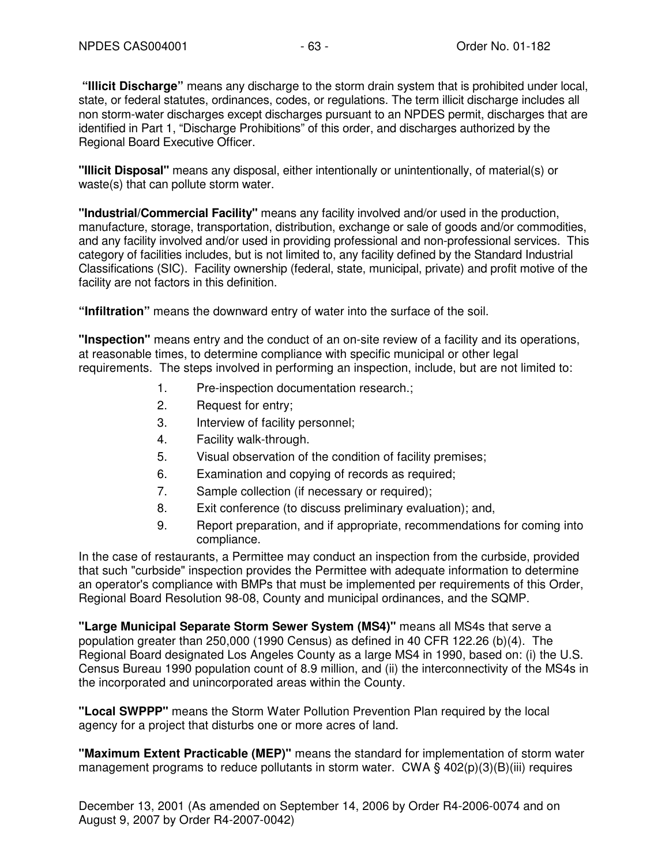**"Illicit Discharge"** means any discharge to the storm drain system that is prohibited under local, state, or federal statutes, ordinances, codes, or regulations. The term illicit discharge includes all non storm-water discharges except discharges pursuant to an NPDES permit, discharges that are identified in Part 1, "Discharge Prohibitions" of this order, and discharges authorized by the Regional Board Executive Officer.

**"Illicit Disposal"** means any disposal, either intentionally or unintentionally, of material(s) or waste(s) that can pollute storm water.

**"Industrial/Commercial Facility"** means any facility involved and/or used in the production, manufacture, storage, transportation, distribution, exchange or sale of goods and/or commodities, and any facility involved and/or used in providing professional and non-professional services. This category of facilities includes, but is not limited to, any facility defined by the Standard Industrial Classifications (SIC). Facility ownership (federal, state, municipal, private) and profit motive of the facility are not factors in this definition.

**"Infiltration"** means the downward entry of water into the surface of the soil.

**"Inspection"** means entry and the conduct of an on-site review of a facility and its operations, at reasonable times, to determine compliance with specific municipal or other legal requirements. The steps involved in performing an inspection, include, but are not limited to:

- 1. Pre-inspection documentation research.;
- 2. Request for entry;
- 3. Interview of facility personnel;
- 4. Facility walk-through.
- 5. Visual observation of the condition of facility premises;
- 6. Examination and copying of records as required;
- 7. Sample collection (if necessary or required);
- 8. Exit conference (to discuss preliminary evaluation); and,
- 9. Report preparation, and if appropriate, recommendations for coming into compliance.

In the case of restaurants, a Permittee may conduct an inspection from the curbside, provided that such "curbside" inspection provides the Permittee with adequate information to determine an operator's compliance with BMPs that must be implemented per requirements of this Order, Regional Board Resolution 98-08, County and municipal ordinances, and the SQMP.

**"Large Municipal Separate Storm Sewer System (MS4)"** means all MS4s that serve a population greater than 250,000 (1990 Census) as defined in 40 CFR 122.26 (b)(4). The Regional Board designated Los Angeles County as a large MS4 in 1990, based on: (i) the U.S. Census Bureau 1990 population count of 8.9 million, and (ii) the interconnectivity of the MS4s in the incorporated and unincorporated areas within the County.

**"Local SWPPP"** means the Storm Water Pollution Prevention Plan required by the local agency for a project that disturbs one or more acres of land.

**"Maximum Extent Practicable (MEP)"** means the standard for implementation of storm water management programs to reduce pollutants in storm water. CWA §  $402(p)(3)(B)(iii)$  requires

December 13, 2001 (As amended on September 14, 2006 by Order R4-2006-0074 and on August 9, 2007 by Order R4-2007-0042)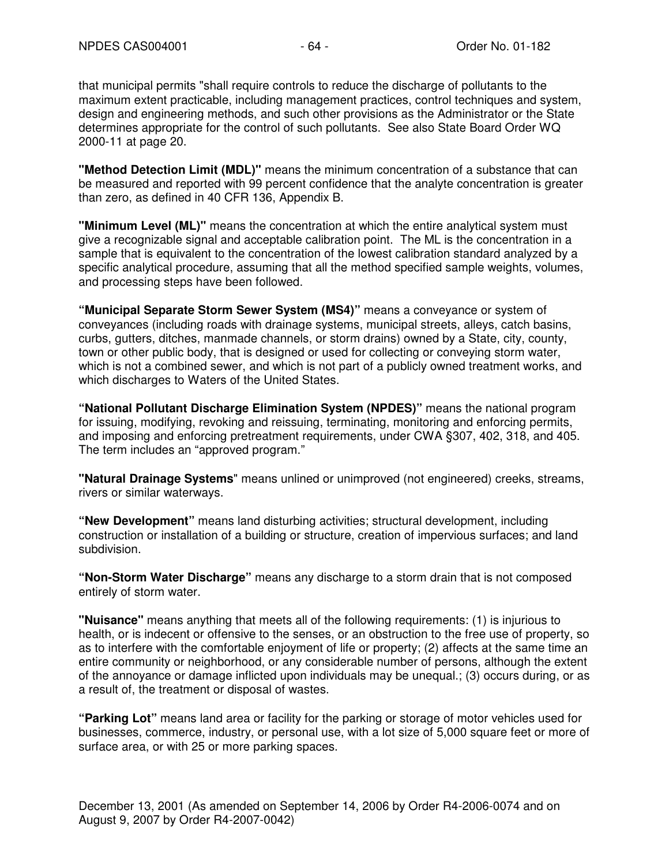that municipal permits "shall require controls to reduce the discharge of pollutants to the maximum extent practicable, including management practices, control techniques and system, design and engineering methods, and such other provisions as the Administrator or the State determines appropriate for the control of such pollutants. See also State Board Order WQ 2000-11 at page 20.

**"Method Detection Limit (MDL)"** means the minimum concentration of a substance that can be measured and reported with 99 percent confidence that the analyte concentration is greater than zero, as defined in 40 CFR 136, Appendix B.

**"Minimum Level (ML)"** means the concentration at which the entire analytical system must give a recognizable signal and acceptable calibration point. The ML is the concentration in a sample that is equivalent to the concentration of the lowest calibration standard analyzed by a specific analytical procedure, assuming that all the method specified sample weights, volumes, and processing steps have been followed.

**"Municipal Separate Storm Sewer System (MS4)"** means a conveyance or system of conveyances (including roads with drainage systems, municipal streets, alleys, catch basins, curbs, gutters, ditches, manmade channels, or storm drains) owned by a State, city, county, town or other public body, that is designed or used for collecting or conveying storm water, which is not a combined sewer, and which is not part of a publicly owned treatment works, and which discharges to Waters of the United States.

**"National Pollutant Discharge Elimination System (NPDES)"** means the national program for issuing, modifying, revoking and reissuing, terminating, monitoring and enforcing permits, and imposing and enforcing pretreatment requirements, under CWA §307, 402, 318, and 405. The term includes an "approved program."

**"Natural Drainage Systems**" means unlined or unimproved (not engineered) creeks, streams, rivers or similar waterways.

**"New Development"** means land disturbing activities; structural development, including construction or installation of a building or structure, creation of impervious surfaces; and land subdivision.

**"Non-Storm Water Discharge"** means any discharge to a storm drain that is not composed entirely of storm water.

**"Nuisance"** means anything that meets all of the following requirements: (1) is injurious to health, or is indecent or offensive to the senses, or an obstruction to the free use of property, so as to interfere with the comfortable enjoyment of life or property; (2) affects at the same time an entire community or neighborhood, or any considerable number of persons, although the extent of the annoyance or damage inflicted upon individuals may be unequal.; (3) occurs during, or as a result of, the treatment or disposal of wastes.

**"Parking Lot"** means land area or facility for the parking or storage of motor vehicles used for businesses, commerce, industry, or personal use, with a lot size of 5,000 square feet or more of surface area, or with 25 or more parking spaces.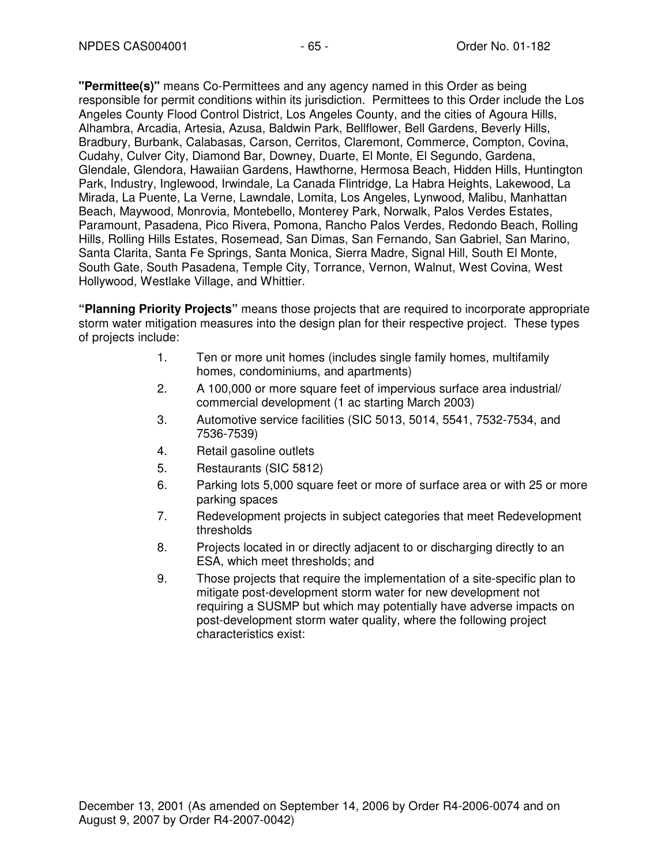**"Permittee(s)"** means Co-Permittees and any agency named in this Order as being responsible for permit conditions within its jurisdiction. Permittees to this Order include the Los Angeles County Flood Control District, Los Angeles County, and the cities of Agoura Hills, Alhambra, Arcadia, Artesia, Azusa, Baldwin Park, Bellflower, Bell Gardens, Beverly Hills, Bradbury, Burbank, Calabasas, Carson, Cerritos, Claremont, Commerce, Compton, Covina, Cudahy, Culver City, Diamond Bar, Downey, Duarte, El Monte, El Segundo, Gardena, Glendale, Glendora, Hawaiian Gardens, Hawthorne, Hermosa Beach, Hidden Hills, Huntington Park, Industry, Inglewood, Irwindale, La Canada Flintridge, La Habra Heights, Lakewood, La Mirada, La Puente, La Verne, Lawndale, Lomita, Los Angeles, Lynwood, Malibu, Manhattan Beach, Maywood, Monrovia, Montebello, Monterey Park, Norwalk, Palos Verdes Estates, Paramount, Pasadena, Pico Rivera, Pomona, Rancho Palos Verdes, Redondo Beach, Rolling Hills, Rolling Hills Estates, Rosemead, San Dimas, San Fernando, San Gabriel, San Marino, Santa Clarita, Santa Fe Springs, Santa Monica, Sierra Madre, Signal Hill, South El Monte, South Gate, South Pasadena, Temple City, Torrance, Vernon, Walnut, West Covina, West Hollywood, Westlake Village, and Whittier.

**"Planning Priority Projects"** means those projects that are required to incorporate appropriate storm water mitigation measures into the design plan for their respective project. These types of projects include:

- 1. Ten or more unit homes (includes single family homes, multifamily homes, condominiums, and apartments)
- 2. A 100,000 or more square feet of impervious surface area industrial/ commercial development (1 ac starting March 2003)
- 3. Automotive service facilities (SIC 5013, 5014, 5541, 7532-7534, and 7536-7539)
- 4. Retail gasoline outlets
- 5. Restaurants (SIC 5812)
- 6. Parking lots 5,000 square feet or more of surface area or with 25 or more parking spaces
- 7. Redevelopment projects in subject categories that meet Redevelopment thresholds
- 8. Projects located in or directly adjacent to or discharging directly to an ESA, which meet thresholds; and
- 9. Those projects that require the implementation of a site-specific plan to mitigate post-development storm water for new development not requiring a SUSMP but which may potentially have adverse impacts on post-development storm water quality, where the following project characteristics exist: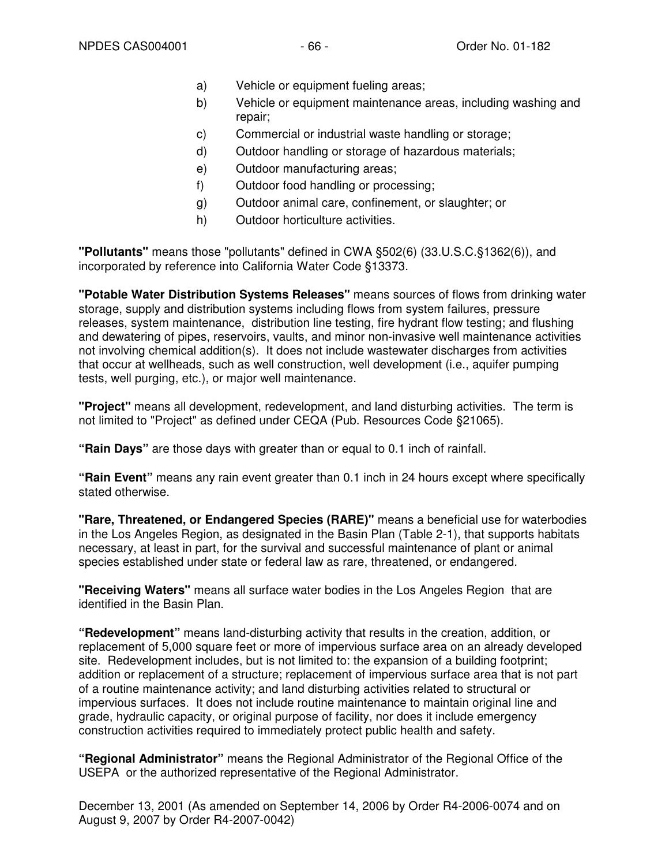- a) Vehicle or equipment fueling areas;
- b) Vehicle or equipment maintenance areas, including washing and repair;
- c) Commercial or industrial waste handling or storage;
- d) Outdoor handling or storage of hazardous materials;
- e) Outdoor manufacturing areas;
- f) Outdoor food handling or processing;
- g) Outdoor animal care, confinement, or slaughter; or
- h) Outdoor horticulture activities.

**"Pollutants"** means those "pollutants" defined in CWA §502(6) (33.U.S.C.§1362(6)), and incorporated by reference into California Water Code §13373.

**"Potable Water Distribution Systems Releases"** means sources of flows from drinking water storage, supply and distribution systems including flows from system failures, pressure releases, system maintenance, distribution line testing, fire hydrant flow testing; and flushing and dewatering of pipes, reservoirs, vaults, and minor non-invasive well maintenance activities not involving chemical addition(s). It does not include wastewater discharges from activities that occur at wellheads, such as well construction, well development (i.e., aquifer pumping tests, well purging, etc.), or major well maintenance.

**"Project"** means all development, redevelopment, and land disturbing activities. The term is not limited to "Project" as defined under CEQA (Pub. Resources Code §21065).

**"Rain Days"** are those days with greater than or equal to 0.1 inch of rainfall.

**"Rain Event"** means any rain event greater than 0.1 inch in 24 hours except where specifically stated otherwise.

**"Rare, Threatened, or Endangered Species (RARE)"** means a beneficial use for waterbodies in the Los Angeles Region, as designated in the Basin Plan (Table 2-1), that supports habitats necessary, at least in part, for the survival and successful maintenance of plant or animal species established under state or federal law as rare, threatened, or endangered.

**"Receiving Waters"** means all surface water bodies in the Los Angeles Region that are identified in the Basin Plan.

**"Redevelopment"** means land-disturbing activity that results in the creation, addition, or replacement of 5,000 square feet or more of impervious surface area on an already developed site. Redevelopment includes, but is not limited to: the expansion of a building footprint; addition or replacement of a structure; replacement of impervious surface area that is not part of a routine maintenance activity; and land disturbing activities related to structural or impervious surfaces. It does not include routine maintenance to maintain original line and grade, hydraulic capacity, or original purpose of facility, nor does it include emergency construction activities required to immediately protect public health and safety.

**"Regional Administrator"** means the Regional Administrator of the Regional Office of the USEPA or the authorized representative of the Regional Administrator.

December 13, 2001 (As amended on September 14, 2006 by Order R4-2006-0074 and on August 9, 2007 by Order R4-2007-0042)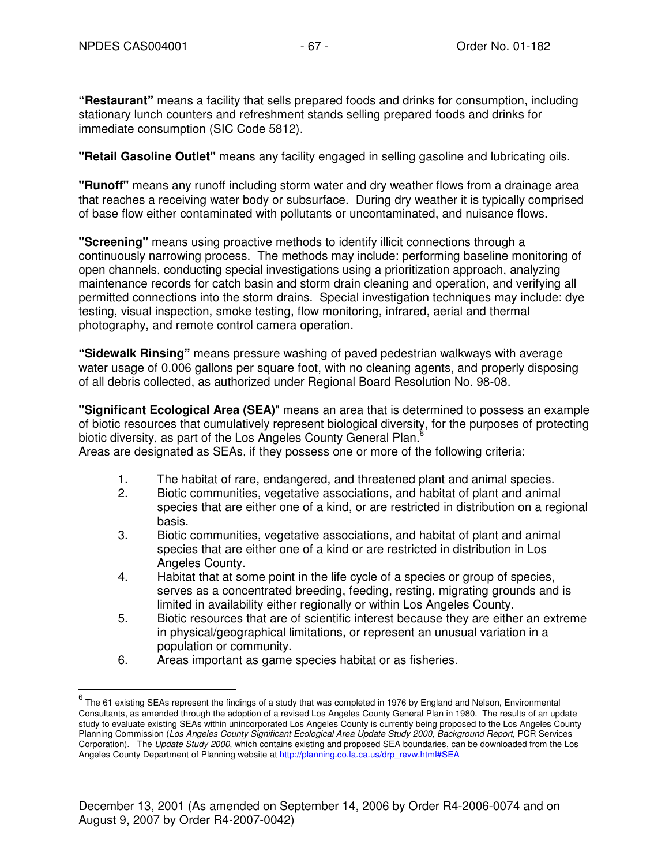**"Restaurant"** means a facility that sells prepared foods and drinks for consumption, including stationary lunch counters and refreshment stands selling prepared foods and drinks for immediate consumption (SIC Code 5812).

**"Retail Gasoline Outlet"** means any facility engaged in selling gasoline and lubricating oils.

**"Runoff"** means any runoff including storm water and dry weather flows from a drainage area that reaches a receiving water body or subsurface. During dry weather it is typically comprised of base flow either contaminated with pollutants or uncontaminated, and nuisance flows.

**"Screening"** means using proactive methods to identify illicit connections through a continuously narrowing process. The methods may include: performing baseline monitoring of open channels, conducting special investigations using a prioritization approach, analyzing maintenance records for catch basin and storm drain cleaning and operation, and verifying all permitted connections into the storm drains. Special investigation techniques may include: dye testing, visual inspection, smoke testing, flow monitoring, infrared, aerial and thermal photography, and remote control camera operation.

**"Sidewalk Rinsing"** means pressure washing of paved pedestrian walkways with average water usage of 0.006 gallons per square foot, with no cleaning agents, and properly disposing of all debris collected, as authorized under Regional Board Resolution No. 98-08.

**"Significant Ecological Area (SEA)**" means an area that is determined to possess an example of biotic resources that cumulatively represent biological diversity, for the purposes of protecting biotic diversity, as part of the Los Angeles County General Plan.<sup>6</sup> Areas are designated as SEAs, if they possess one or more of the following criteria:

- 1. The habitat of rare, endangered, and threatened plant and animal species.
	- 2. Biotic communities, vegetative associations, and habitat of plant and animal species that are either one of a kind, or are restricted in distribution on a regional basis.
	- 3. Biotic communities, vegetative associations, and habitat of plant and animal species that are either one of a kind or are restricted in distribution in Los Angeles County.
	- 4. Habitat that at some point in the life cycle of a species or group of species, serves as a concentrated breeding, feeding, resting, migrating grounds and is limited in availability either regionally or within Los Angeles County.
	- 5. Biotic resources that are of scientific interest because they are either an extreme in physical/geographical limitations, or represent an unusual variation in a population or community.
	- 6. Areas important as game species habitat or as fisheries.

<sup>&</sup>lt;sup>6</sup> The 61 existing SEAs represent the findings of a study that was completed in 1976 by England and Nelson, Environmental Consultants, as amended through the adoption of a revised Los Angeles County General Plan in 1980. The results of an update study to evaluate existing SEAs within unincorporated Los Angeles County is currently being proposed to the Los Angeles County Planning Commission (*Los Angeles County Significant Ecological Area Update Study 2000, Background Report*, PCR Services Corporation). The *Update Study 2000*, which contains existing and proposed SEA boundaries, can be downloaded from the Los Angeles County Department of Planning website at http://planning.co.la.ca.us/drp\_revw.html#SEA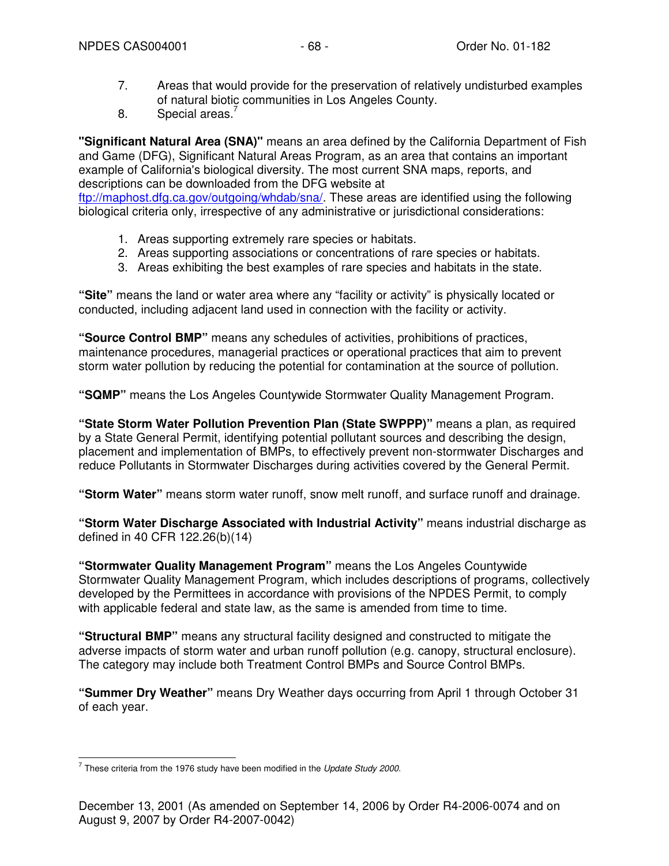- 7. Areas that would provide for the preservation of relatively undisturbed examples of natural biotic communities in Los Angeles County.
- 8. Special areas.<sup>7</sup>

**"Significant Natural Area (SNA)"** means an area defined by the California Department of Fish and Game (DFG), Significant Natural Areas Program, as an area that contains an important example of California's biological diversity. The most current SNA maps, reports, and descriptions can be downloaded from the DFG website at ftp://maphost.dfg.ca.gov/outgoing/whdab/sna/. These areas are identified using the following biological criteria only, irrespective of any administrative or jurisdictional considerations:

- 1. Areas supporting extremely rare species or habitats.
- 2. Areas supporting associations or concentrations of rare species or habitats.
- 3. Areas exhibiting the best examples of rare species and habitats in the state.

**"Site"** means the land or water area where any "facility or activity" is physically located or conducted, including adjacent land used in connection with the facility or activity.

**"Source Control BMP"** means any schedules of activities, prohibitions of practices, maintenance procedures, managerial practices or operational practices that aim to prevent storm water pollution by reducing the potential for contamination at the source of pollution.

**"SQMP"** means the Los Angeles Countywide Stormwater Quality Management Program.

**"State Storm Water Pollution Prevention Plan (State SWPPP)"** means a plan, as required by a State General Permit, identifying potential pollutant sources and describing the design, placement and implementation of BMPs, to effectively prevent non-stormwater Discharges and reduce Pollutants in Stormwater Discharges during activities covered by the General Permit.

**"Storm Water"** means storm water runoff, snow melt runoff, and surface runoff and drainage.

**"Storm Water Discharge Associated with Industrial Activity"** means industrial discharge as defined in 40 CFR 122.26(b)(14)

**"Stormwater Quality Management Program"** means the Los Angeles Countywide Stormwater Quality Management Program, which includes descriptions of programs, collectively developed by the Permittees in accordance with provisions of the NPDES Permit, to comply with applicable federal and state law, as the same is amended from time to time.

**"Structural BMP"** means any structural facility designed and constructed to mitigate the adverse impacts of storm water and urban runoff pollution (e.g. canopy, structural enclosure). The category may include both Treatment Control BMPs and Source Control BMPs.

**"Summer Dry Weather"** means Dry Weather days occurring from April 1 through October 31 of each year.

<sup>7</sup> These criteria from the 1976 study have been modified in the *Update Study 2000*.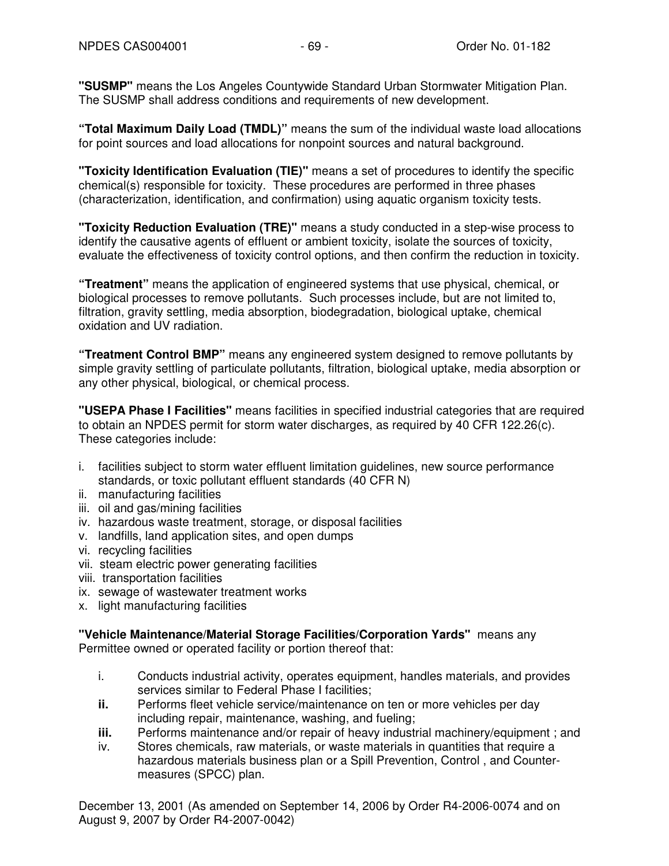**"SUSMP"** means the Los Angeles Countywide Standard Urban Stormwater Mitigation Plan. The SUSMP shall address conditions and requirements of new development.

**"Total Maximum Daily Load (TMDL)"** means the sum of the individual waste load allocations for point sources and load allocations for nonpoint sources and natural background.

**"Toxicity Identification Evaluation (TIE)"** means a set of procedures to identify the specific chemical(s) responsible for toxicity. These procedures are performed in three phases (characterization, identification, and confirmation) using aquatic organism toxicity tests.

**"Toxicity Reduction Evaluation (TRE)"** means a study conducted in a step-wise process to identify the causative agents of effluent or ambient toxicity, isolate the sources of toxicity, evaluate the effectiveness of toxicity control options, and then confirm the reduction in toxicity.

**"Treatment"** means the application of engineered systems that use physical, chemical, or biological processes to remove pollutants. Such processes include, but are not limited to, filtration, gravity settling, media absorption, biodegradation, biological uptake, chemical oxidation and UV radiation.

**"Treatment Control BMP"** means any engineered system designed to remove pollutants by simple gravity settling of particulate pollutants, filtration, biological uptake, media absorption or any other physical, biological, or chemical process.

**"USEPA Phase I Facilities"** means facilities in specified industrial categories that are required to obtain an NPDES permit for storm water discharges, as required by 40 CFR 122.26(c). These categories include:

- i. facilities subject to storm water effluent limitation guidelines, new source performance standards, or toxic pollutant effluent standards (40 CFR N)
- ii. manufacturing facilities
- iii. oil and gas/mining facilities
- iv. hazardous waste treatment, storage, or disposal facilities
- v. landfills, land application sites, and open dumps
- vi. recycling facilities
- vii. steam electric power generating facilities
- viii. transportation facilities
- ix. sewage of wastewater treatment works
- x. light manufacturing facilities

**"Vehicle Maintenance/Material Storage Facilities/Corporation Yards"** means any

Permittee owned or operated facility or portion thereof that:

- i. Conducts industrial activity, operates equipment, handles materials, and provides services similar to Federal Phase I facilities;
- **ii.** Performs fleet vehicle service/maintenance on ten or more vehicles per day including repair, maintenance, washing, and fueling;
- **iii.** Performs maintenance and/or repair of heavy industrial machinery/equipment; and
- iv. Stores chemicals, raw materials, or waste materials in quantities that require a hazardous materials business plan or a Spill Prevention, Control , and Countermeasures (SPCC) plan.

December 13, 2001 (As amended on September 14, 2006 by Order R4-2006-0074 and on August 9, 2007 by Order R4-2007-0042)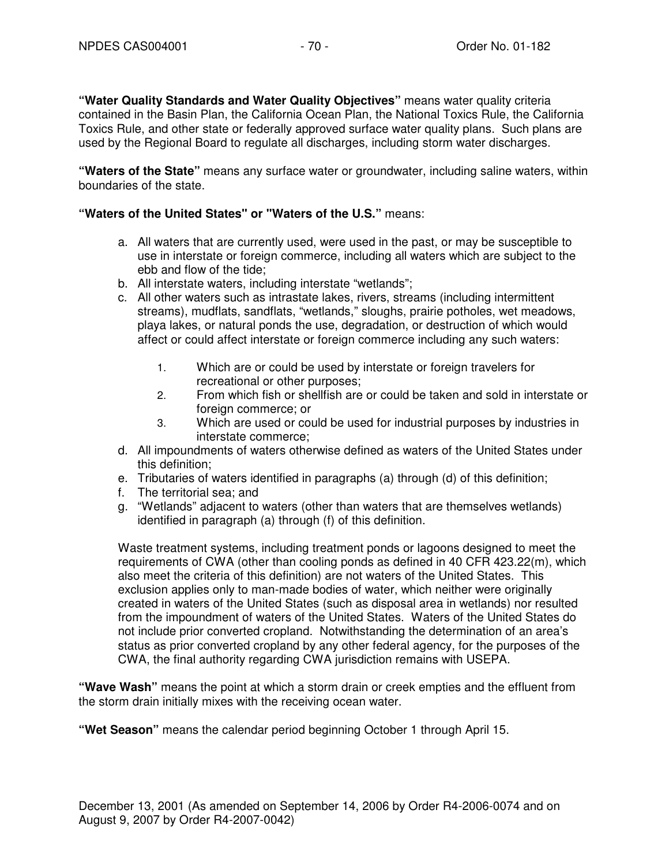**"Water Quality Standards and Water Quality Objectives"** means water quality criteria contained in the Basin Plan, the California Ocean Plan, the National Toxics Rule, the California Toxics Rule, and other state or federally approved surface water quality plans. Such plans are used by the Regional Board to regulate all discharges, including storm water discharges.

**"Waters of the State"** means any surface water or groundwater, including saline waters, within boundaries of the state.

### **"Waters of the United States" or "Waters of the U.S."** means:

- a. All waters that are currently used, were used in the past, or may be susceptible to use in interstate or foreign commerce, including all waters which are subject to the ebb and flow of the tide;
- b. All interstate waters, including interstate "wetlands";
- c. All other waters such as intrastate lakes, rivers, streams (including intermittent streams), mudflats, sandflats, "wetlands," sloughs, prairie potholes, wet meadows, playa lakes, or natural ponds the use, degradation, or destruction of which would affect or could affect interstate or foreign commerce including any such waters:
	- 1. Which are or could be used by interstate or foreign travelers for recreational or other purposes;
	- 2. From which fish or shellfish are or could be taken and sold in interstate or foreign commerce; or
	- 3. Which are used or could be used for industrial purposes by industries in interstate commerce;
- d. All impoundments of waters otherwise defined as waters of the United States under this definition;
- e. Tributaries of waters identified in paragraphs (a) through (d) of this definition;
- f. The territorial sea; and
- g. "Wetlands" adjacent to waters (other than waters that are themselves wetlands) identified in paragraph (a) through (f) of this definition.

Waste treatment systems, including treatment ponds or lagoons designed to meet the requirements of CWA (other than cooling ponds as defined in 40 CFR 423.22(m), which also meet the criteria of this definition) are not waters of the United States. This exclusion applies only to man-made bodies of water, which neither were originally created in waters of the United States (such as disposal area in wetlands) nor resulted from the impoundment of waters of the United States. Waters of the United States do not include prior converted cropland. Notwithstanding the determination of an area's status as prior converted cropland by any other federal agency, for the purposes of the CWA, the final authority regarding CWA jurisdiction remains with USEPA.

**"Wave Wash"** means the point at which a storm drain or creek empties and the effluent from the storm drain initially mixes with the receiving ocean water.

**"Wet Season"** means the calendar period beginning October 1 through April 15.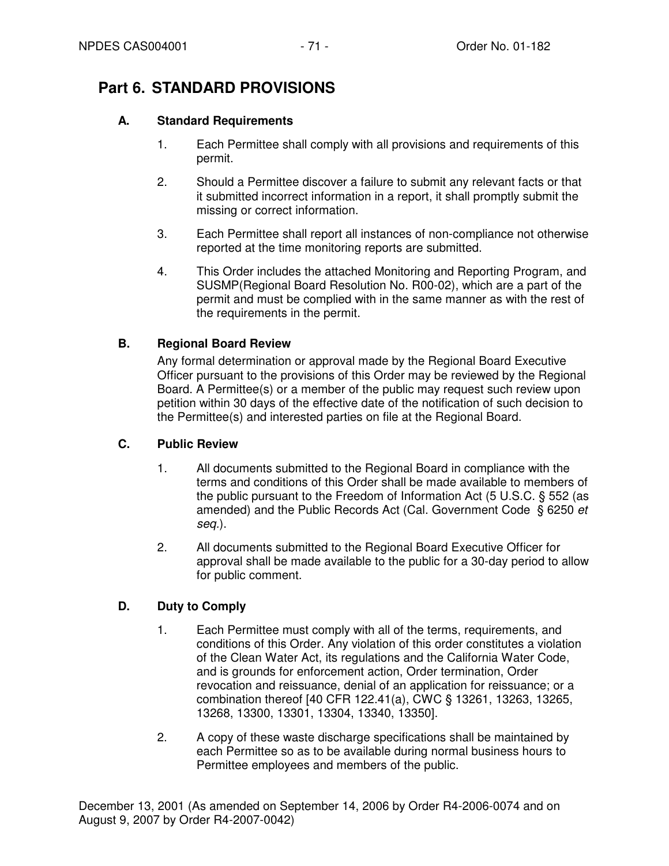# **Part 6. STANDARD PROVISIONS**

## **A. Standard Requirements**

- 1. Each Permittee shall comply with all provisions and requirements of this permit.
- 2. Should a Permittee discover a failure to submit any relevant facts or that it submitted incorrect information in a report, it shall promptly submit the missing or correct information.
- 3. Each Permittee shall report all instances of non-compliance not otherwise reported at the time monitoring reports are submitted.
- 4. This Order includes the attached Monitoring and Reporting Program, and SUSMP(Regional Board Resolution No. R00-02), which are a part of the permit and must be complied with in the same manner as with the rest of the requirements in the permit.

## **B. Regional Board Review**

Any formal determination or approval made by the Regional Board Executive Officer pursuant to the provisions of this Order may be reviewed by the Regional Board. A Permittee(s) or a member of the public may request such review upon petition within 30 days of the effective date of the notification of such decision to the Permittee(s) and interested parties on file at the Regional Board.

## **C. Public Review**

- 1. All documents submitted to the Regional Board in compliance with the terms and conditions of this Order shall be made available to members of the public pursuant to the Freedom of Information Act (5 U.S.C. § 552 (as amended) and the Public Records Act (Cal. Government Code § 6250 *et seq.*).
- 2. All documents submitted to the Regional Board Executive Officer for approval shall be made available to the public for a 30-day period to allow for public comment.

# **D. Duty to Comply**

- 1. Each Permittee must comply with all of the terms, requirements, and conditions of this Order. Any violation of this order constitutes a violation of the Clean Water Act, its regulations and the California Water Code, and is grounds for enforcement action, Order termination, Order revocation and reissuance, denial of an application for reissuance; or a combination thereof [40 CFR 122.41(a), CWC § 13261, 13263, 13265, 13268, 13300, 13301, 13304, 13340, 13350].
- 2. A copy of these waste discharge specifications shall be maintained by each Permittee so as to be available during normal business hours to Permittee employees and members of the public.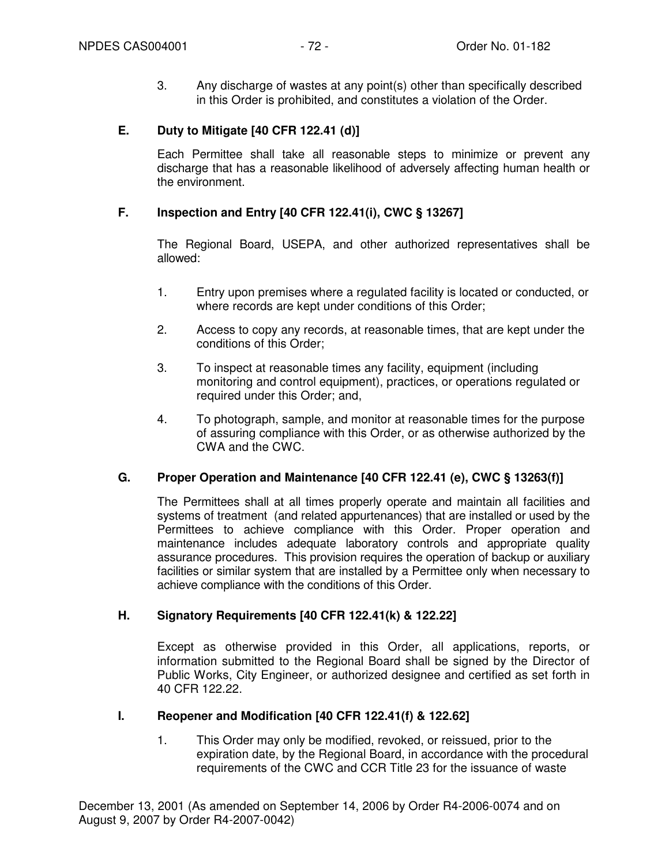3. Any discharge of wastes at any point(s) other than specifically described in this Order is prohibited, and constitutes a violation of the Order.

#### **E. Duty to Mitigate [40 CFR 122.41 (d)]**

Each Permittee shall take all reasonable steps to minimize or prevent any discharge that has a reasonable likelihood of adversely affecting human health or the environment.

#### **F. Inspection and Entry [40 CFR 122.41(i), CWC § 13267]**

The Regional Board, USEPA, and other authorized representatives shall be allowed:

- 1. Entry upon premises where a regulated facility is located or conducted, or where records are kept under conditions of this Order;
- 2. Access to copy any records, at reasonable times, that are kept under the conditions of this Order;
- 3. To inspect at reasonable times any facility, equipment (including monitoring and control equipment), practices, or operations regulated or required under this Order; and,
- 4. To photograph, sample, and monitor at reasonable times for the purpose of assuring compliance with this Order, or as otherwise authorized by the CWA and the CWC.

#### **G. Proper Operation and Maintenance [40 CFR 122.41 (e), CWC § 13263(f)]**

The Permittees shall at all times properly operate and maintain all facilities and systems of treatment (and related appurtenances) that are installed or used by the Permittees to achieve compliance with this Order. Proper operation and maintenance includes adequate laboratory controls and appropriate quality assurance procedures. This provision requires the operation of backup or auxiliary facilities or similar system that are installed by a Permittee only when necessary to achieve compliance with the conditions of this Order.

#### **H. Signatory Requirements [40 CFR 122.41(k) & 122.22]**

Except as otherwise provided in this Order, all applications, reports, or information submitted to the Regional Board shall be signed by the Director of Public Works, City Engineer, or authorized designee and certified as set forth in 40 CFR 122.22.

#### **I. Reopener and Modification [40 CFR 122.41(f) & 122.62]**

1. This Order may only be modified, revoked, or reissued, prior to the expiration date, by the Regional Board, in accordance with the procedural requirements of the CWC and CCR Title 23 for the issuance of waste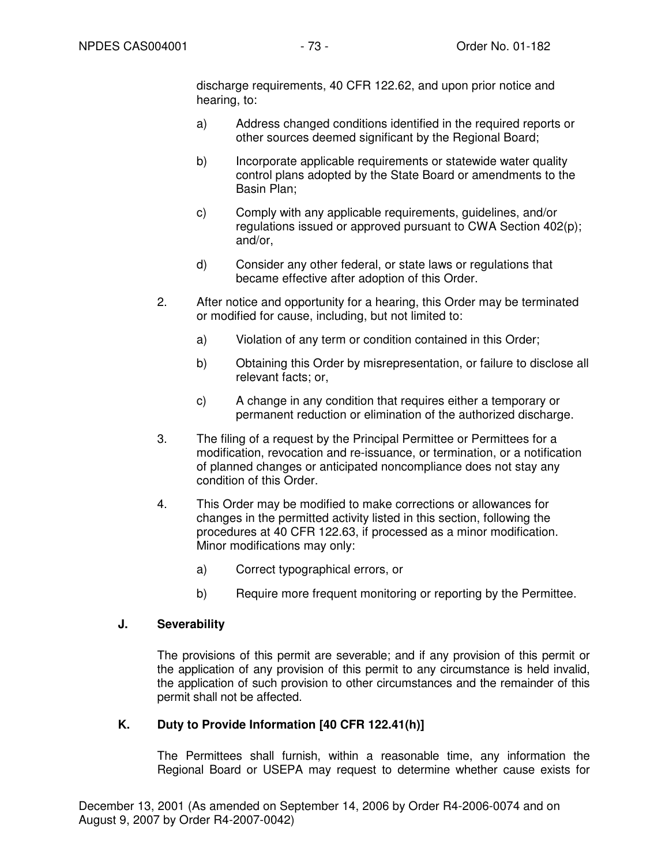discharge requirements, 40 CFR 122.62, and upon prior notice and hearing, to:

- a) Address changed conditions identified in the required reports or other sources deemed significant by the Regional Board;
- b) Incorporate applicable requirements or statewide water quality control plans adopted by the State Board or amendments to the Basin Plan;
- c) Comply with any applicable requirements, guidelines, and/or regulations issued or approved pursuant to CWA Section 402(p); and/or,
- d) Consider any other federal, or state laws or regulations that became effective after adoption of this Order.
- 2. After notice and opportunity for a hearing, this Order may be terminated or modified for cause, including, but not limited to:
	- a) Violation of any term or condition contained in this Order;
	- b) Obtaining this Order by misrepresentation, or failure to disclose all relevant facts; or,
	- c) A change in any condition that requires either a temporary or permanent reduction or elimination of the authorized discharge.
- 3. The filing of a request by the Principal Permittee or Permittees for a modification, revocation and re-issuance, or termination, or a notification of planned changes or anticipated noncompliance does not stay any condition of this Order.
- 4. This Order may be modified to make corrections or allowances for changes in the permitted activity listed in this section, following the procedures at 40 CFR 122.63, if processed as a minor modification. Minor modifications may only:
	- a) Correct typographical errors, or
	- b) Require more frequent monitoring or reporting by the Permittee.

#### **J. Severability**

The provisions of this permit are severable; and if any provision of this permit or the application of any provision of this permit to any circumstance is held invalid, the application of such provision to other circumstances and the remainder of this permit shall not be affected.

#### **K. Duty to Provide Information [40 CFR 122.41(h)]**

The Permittees shall furnish, within a reasonable time, any information the Regional Board or USEPA may request to determine whether cause exists for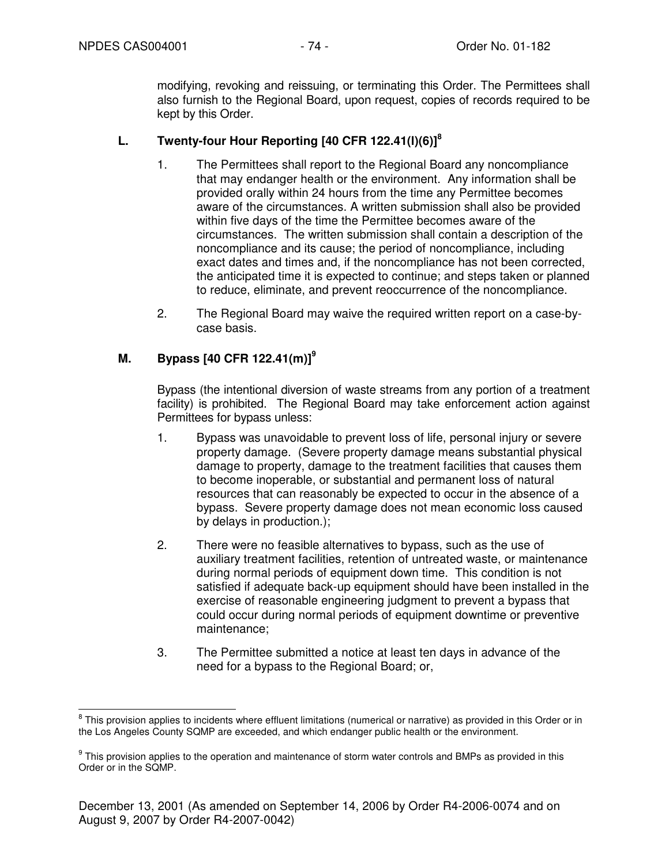modifying, revoking and reissuing, or terminating this Order. The Permittees shall also furnish to the Regional Board, upon request, copies of records required to be kept by this Order.

# **L. Twenty-four Hour Reporting [40 CFR 122.41(l)(6)] 8**

- 1. The Permittees shall report to the Regional Board any noncompliance that may endanger health or the environment. Any information shall be provided orally within 24 hours from the time any Permittee becomes aware of the circumstances. A written submission shall also be provided within five days of the time the Permittee becomes aware of the circumstances. The written submission shall contain a description of the noncompliance and its cause; the period of noncompliance, including exact dates and times and, if the noncompliance has not been corrected, the anticipated time it is expected to continue; and steps taken or planned to reduce, eliminate, and prevent reoccurrence of the noncompliance.
- 2. The Regional Board may waive the required written report on a case-bycase basis.

# **M. Bypass [40 CFR 122.41(m)] 9**

Bypass (the intentional diversion of waste streams from any portion of a treatment facility) is prohibited. The Regional Board may take enforcement action against Permittees for bypass unless:

- 1. Bypass was unavoidable to prevent loss of life, personal injury or severe property damage. (Severe property damage means substantial physical damage to property, damage to the treatment facilities that causes them to become inoperable, or substantial and permanent loss of natural resources that can reasonably be expected to occur in the absence of a bypass. Severe property damage does not mean economic loss caused by delays in production.);
- 2. There were no feasible alternatives to bypass, such as the use of auxiliary treatment facilities, retention of untreated waste, or maintenance during normal periods of equipment down time. This condition is not satisfied if adequate back-up equipment should have been installed in the exercise of reasonable engineering judgment to prevent a bypass that could occur during normal periods of equipment downtime or preventive maintenance;
- 3. The Permittee submitted a notice at least ten days in advance of the need for a bypass to the Regional Board; or,

<sup>&</sup>lt;sup>8</sup> This provision applies to incidents where effluent limitations (numerical or narrative) as provided in this Order or in the Los Angeles County SQMP are exceeded, and which endanger public health or the environment.

<sup>&</sup>lt;sup>9</sup> This provision applies to the operation and maintenance of storm water controls and BMPs as provided in this Order or in the SQMP.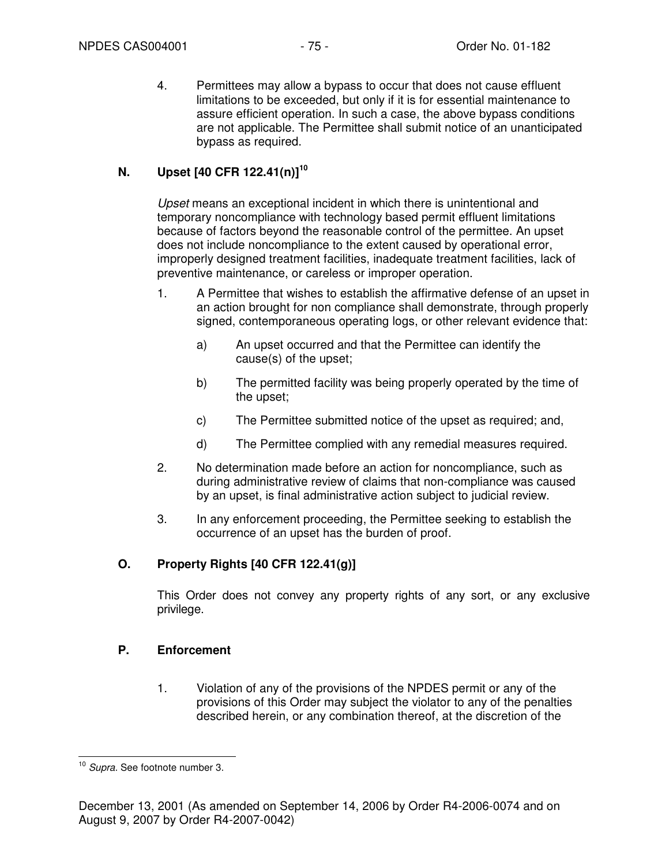4. Permittees may allow a bypass to occur that does not cause effluent limitations to be exceeded, but only if it is for essential maintenance to assure efficient operation. In such a case, the above bypass conditions are not applicable. The Permittee shall submit notice of an unanticipated bypass as required.

# **N. Upset [40 CFR 122.41(n)] 10**

*Upset* means an exceptional incident in which there is unintentional and temporary noncompliance with technology based permit effluent limitations because of factors beyond the reasonable control of the permittee. An upset does not include noncompliance to the extent caused by operational error, improperly designed treatment facilities, inadequate treatment facilities, lack of preventive maintenance, or careless or improper operation.

- 1. A Permittee that wishes to establish the affirmative defense of an upset in an action brought for non compliance shall demonstrate, through properly signed, contemporaneous operating logs, or other relevant evidence that:
	- a) An upset occurred and that the Permittee can identify the cause(s) of the upset;
	- b) The permitted facility was being properly operated by the time of the upset;
	- c) The Permittee submitted notice of the upset as required; and,
	- d) The Permittee complied with any remedial measures required.
- 2. No determination made before an action for noncompliance, such as during administrative review of claims that non-compliance was caused by an upset, is final administrative action subject to judicial review.
- 3. In any enforcement proceeding, the Permittee seeking to establish the occurrence of an upset has the burden of proof.

## **O. Property Rights [40 CFR 122.41(g)]**

This Order does not convey any property rights of any sort, or any exclusive privilege.

#### **P. Enforcement**

1. Violation of any of the provisions of the NPDES permit or any of the provisions of this Order may subject the violator to any of the penalties described herein, or any combination thereof, at the discretion of the

<sup>10</sup> *Supra*. See footnote number 3.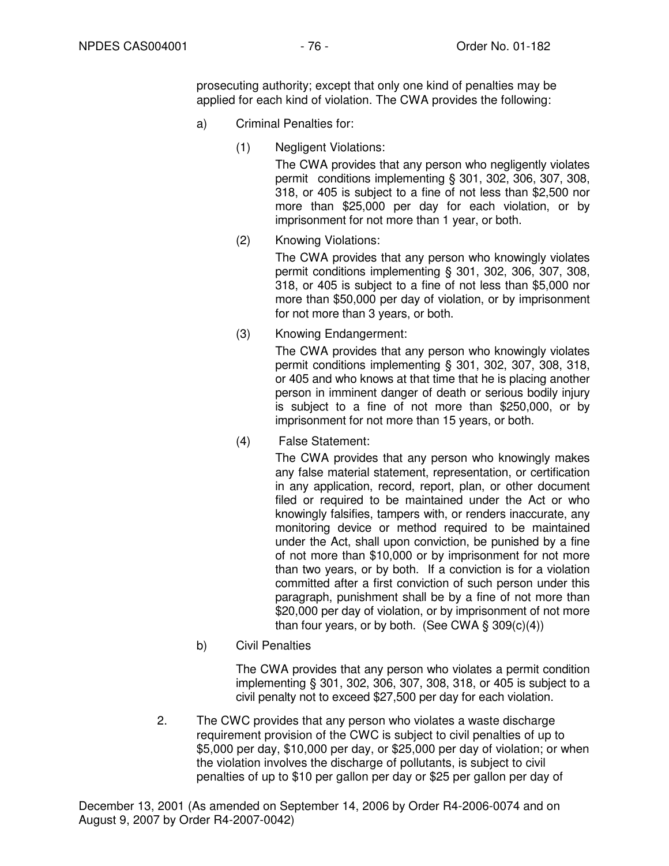prosecuting authority; except that only one kind of penalties may be applied for each kind of violation. The CWA provides the following:

- a) Criminal Penalties for:
	- (1) Negligent Violations:

The CWA provides that any person who negligently violates permit conditions implementing § 301, 302, 306, 307, 308, 318, or 405 is subject to a fine of not less than \$2,500 nor more than \$25,000 per day for each violation, or by imprisonment for not more than 1 year, or both.

(2) Knowing Violations:

The CWA provides that any person who knowingly violates permit conditions implementing § 301, 302, 306, 307, 308, 318, or 405 is subject to a fine of not less than \$5,000 nor more than \$50,000 per day of violation, or by imprisonment for not more than 3 years, or both.

(3) Knowing Endangerment:

The CWA provides that any person who knowingly violates permit conditions implementing § 301, 302, 307, 308, 318, or 405 and who knows at that time that he is placing another person in imminent danger of death or serious bodily injury is subject to a fine of not more than \$250,000, or by imprisonment for not more than 15 years, or both.

(4) False Statement:

The CWA provides that any person who knowingly makes any false material statement, representation, or certification in any application, record, report, plan, or other document filed or required to be maintained under the Act or who knowingly falsifies, tampers with, or renders inaccurate, any monitoring device or method required to be maintained under the Act, shall upon conviction, be punished by a fine of not more than \$10,000 or by imprisonment for not more than two years, or by both. If a conviction is for a violation committed after a first conviction of such person under this paragraph, punishment shall be by a fine of not more than \$20,000 per day of violation, or by imprisonment of not more than four years, or by both. (See CWA  $\S$  309(c)(4))

b) Civil Penalties

The CWA provides that any person who violates a permit condition implementing § 301, 302, 306, 307, 308, 318, or 405 is subject to a civil penalty not to exceed \$27,500 per day for each violation.

2. The CWC provides that any person who violates a waste discharge requirement provision of the CWC is subject to civil penalties of up to \$5,000 per day, \$10,000 per day, or \$25,000 per day of violation; or when the violation involves the discharge of pollutants, is subject to civil penalties of up to \$10 per gallon per day or \$25 per gallon per day of

December 13, 2001 (As amended on September 14, 2006 by Order R4-2006-0074 and on August 9, 2007 by Order R4-2007-0042)